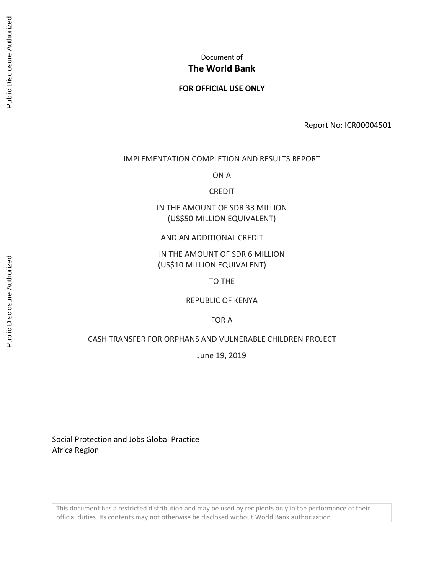# Document of **The World Bank**

### **FOR OFFICIAL USE ONLY**

Report No: ICR00004501

#### IMPLEMENTATION COMPLETION AND RESULTS REPORT

ON A

CREDIT

IN THE AMOUNT OF SDR 33 MILLION (US\$50 MILLION EQUIVALENT)

#### AND AN ADDITIONAL CREDIT

IN THE AMOUNT OF SDR 6 MILLION (US\$10 MILLION EQUIVALENT)

TO THE

REPUBLIC OF KENYA

FOR A

#### CASH TRANSFER FOR ORPHANS AND VULNERABLE CHILDREN PROJECT

June 19, 2019

Social Protection and Jobs Global Practice Africa Region

This document has a restricted distribution and may be used by recipients only in the performance of their official duties. Its contents may not otherwise be disclosed without World Bank authorization.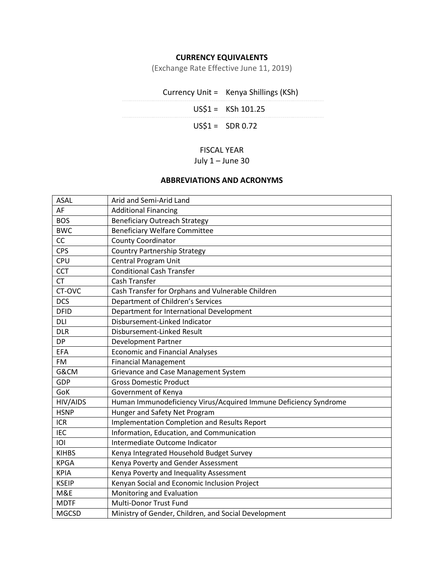# **CURRENCY EQUIVALENTS**

(Exchange Rate Effective June 11, 2019)

| Currency Unit = Kenya Shillings (KSh) |
|---------------------------------------|
| $US$1 = KSh 101.25$                   |
| $USS1 = SDR 0.72$                     |
|                                       |

# FISCAL YEAR

# July 1 – June 30

# **ABBREVIATIONS AND ACRONYMS**

| <b>ASAL</b>  | Arid and Semi-Arid Land                                          |
|--------------|------------------------------------------------------------------|
| AF           | <b>Additional Financing</b>                                      |
| <b>BOS</b>   | <b>Beneficiary Outreach Strategy</b>                             |
| <b>BWC</b>   | <b>Beneficiary Welfare Committee</b>                             |
| CC           | <b>County Coordinator</b>                                        |
| <b>CPS</b>   | <b>Country Partnership Strategy</b>                              |
| <b>CPU</b>   | <b>Central Program Unit</b>                                      |
| <b>CCT</b>   | <b>Conditional Cash Transfer</b>                                 |
| <b>CT</b>    | <b>Cash Transfer</b>                                             |
| CT-OVC       | Cash Transfer for Orphans and Vulnerable Children                |
| <b>DCS</b>   | Department of Children's Services                                |
| <b>DFID</b>  | Department for International Development                         |
| <b>DLI</b>   | Disbursement-Linked Indicator                                    |
| <b>DLR</b>   | Disbursement-Linked Result                                       |
| <b>DP</b>    | <b>Development Partner</b>                                       |
| <b>EFA</b>   | <b>Economic and Financial Analyses</b>                           |
| <b>FM</b>    | <b>Financial Management</b>                                      |
| G&CM         | Grievance and Case Management System                             |
| GDP          | <b>Gross Domestic Product</b>                                    |
| GoK          | Government of Kenya                                              |
| HIV/AIDS     | Human Immunodeficiency Virus/Acquired Immune Deficiency Syndrome |
| <b>HSNP</b>  | Hunger and Safety Net Program                                    |
| <b>ICR</b>   | Implementation Completion and Results Report                     |
| <b>IEC</b>   | Information, Education, and Communication                        |
| IOI          | Intermediate Outcome Indicator                                   |
| <b>KIHBS</b> | Kenya Integrated Household Budget Survey                         |
| <b>KPGA</b>  | Kenya Poverty and Gender Assessment                              |
| <b>KPIA</b>  | Kenya Poverty and Inequality Assessment                          |
| <b>KSEIP</b> | Kenyan Social and Economic Inclusion Project                     |
| M&E          | Monitoring and Evaluation                                        |
| <b>MDTF</b>  | Multi-Donor Trust Fund                                           |
| <b>MGCSD</b> | Ministry of Gender, Children, and Social Development             |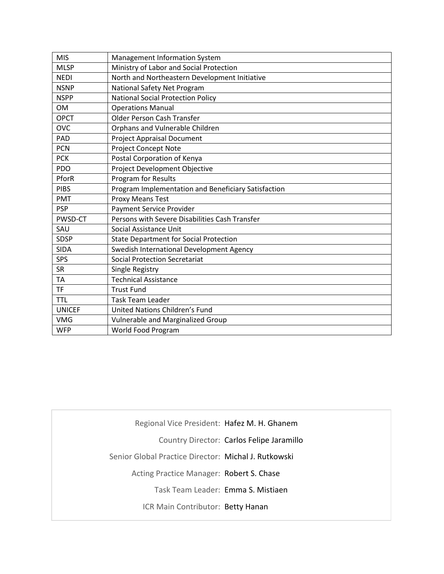| <b>MIS</b>    | Management Information System                       |
|---------------|-----------------------------------------------------|
| <b>MLSP</b>   | Ministry of Labor and Social Protection             |
| <b>NEDI</b>   | North and Northeastern Development Initiative       |
| <b>NSNP</b>   | National Safety Net Program                         |
| <b>NSPP</b>   | <b>National Social Protection Policy</b>            |
| <b>OM</b>     | <b>Operations Manual</b>                            |
| <b>OPCT</b>   | <b>Older Person Cash Transfer</b>                   |
| <b>OVC</b>    | Orphans and Vulnerable Children                     |
| PAD           | <b>Project Appraisal Document</b>                   |
| <b>PCN</b>    | <b>Project Concept Note</b>                         |
| <b>PCK</b>    | Postal Corporation of Kenya                         |
| <b>PDO</b>    | Project Development Objective                       |
| PforR         | Program for Results                                 |
| <b>PIBS</b>   | Program Implementation and Beneficiary Satisfaction |
| <b>PMT</b>    | Proxy Means Test                                    |
| <b>PSP</b>    | <b>Payment Service Provider</b>                     |
| PWSD-CT       | Persons with Severe Disabilities Cash Transfer      |
| SAU           | Social Assistance Unit                              |
| <b>SDSP</b>   | <b>State Department for Social Protection</b>       |
| <b>SIDA</b>   | Swedish International Development Agency            |
| SPS           | <b>Social Protection Secretariat</b>                |
| <b>SR</b>     | Single Registry                                     |
| <b>TA</b>     | <b>Technical Assistance</b>                         |
| <b>TF</b>     | <b>Trust Fund</b>                                   |
| <b>TTL</b>    | <b>Task Team Leader</b>                             |
| <b>UNICEF</b> | United Nations Children's Fund                      |
| <b>VMG</b>    | Vulnerable and Marginalized Group                   |
| <b>WFP</b>    | World Food Program                                  |

Regional Vice President: Hafez M. H. Ghanem

Country Director: Carlos Felipe Jaramillo

Senior Global Practice Director: Michal J. Rutkowski

Acting Practice Manager: Robert S. Chase

Task Team Leader: Emma S. Mistiaen

ICR Main Contributor: Betty Hanan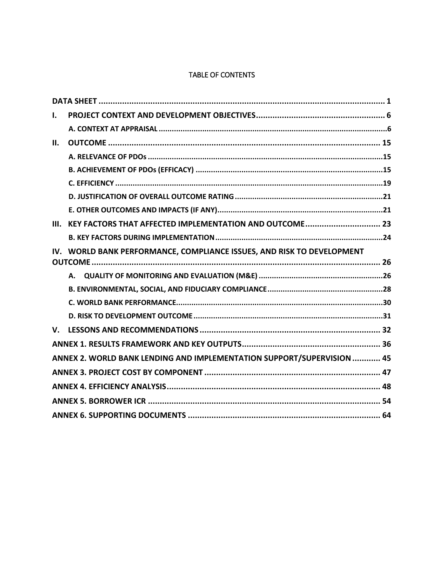# TABLE OF CONTENTS

| I.          |                                                                        |  |
|-------------|------------------------------------------------------------------------|--|
|             |                                                                        |  |
| II.         |                                                                        |  |
|             |                                                                        |  |
|             |                                                                        |  |
|             |                                                                        |  |
|             |                                                                        |  |
|             |                                                                        |  |
| III.        | KEY FACTORS THAT AFFECTED IMPLEMENTATION AND OUTCOME 23                |  |
|             |                                                                        |  |
|             | IV. WORLD BANK PERFORMANCE, COMPLIANCE ISSUES, AND RISK TO DEVELOPMENT |  |
|             |                                                                        |  |
|             |                                                                        |  |
|             |                                                                        |  |
|             |                                                                        |  |
|             |                                                                        |  |
| $V_{\cdot}$ |                                                                        |  |
|             |                                                                        |  |
|             | ANNEX 2. WORLD BANK LENDING AND IMPLEMENTATION SUPPORT/SUPERVISION  45 |  |
|             |                                                                        |  |
|             |                                                                        |  |
|             |                                                                        |  |
|             |                                                                        |  |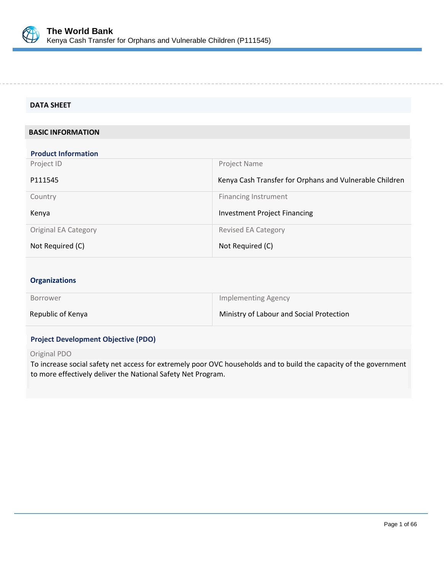

#### <span id="page-4-0"></span>**DATA SHEET**

### **BASIC INFORMATION**

| <b>Product Information</b>  |                                                         |
|-----------------------------|---------------------------------------------------------|
| Project ID                  | Project Name                                            |
| P111545                     | Kenya Cash Transfer for Orphans and Vulnerable Children |
| Country                     | <b>Financing Instrument</b>                             |
| Kenya                       | <b>Investment Project Financing</b>                     |
| <b>Original EA Category</b> | <b>Revised EA Category</b>                              |
| Not Required (C)            | Not Required (C)                                        |

### **Organizations**

| <b>Borrower</b>   | Implementing Agency                      |
|-------------------|------------------------------------------|
| Republic of Kenya | Ministry of Labour and Social Protection |

### **Project Development Objective (PDO)**

#### Original PDO

To increase social safety net access for extremely poor OVC households and to build the capacity of the government to more effectively deliver the National Safety Net Program.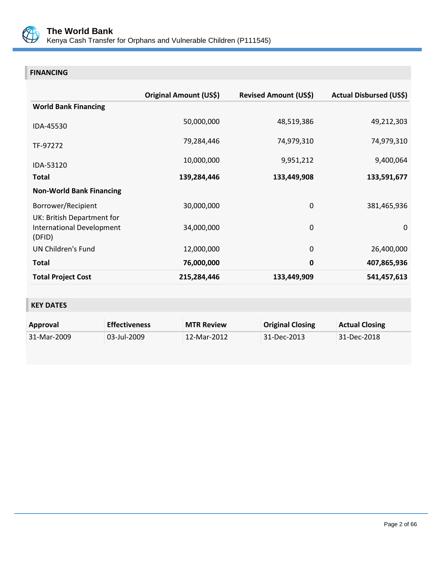

# **FINANCING**

|                                                                          | Original Amount (US\$) | <b>Revised Amount (US\$)</b> | <b>Actual Disbursed (US\$)</b> |
|--------------------------------------------------------------------------|------------------------|------------------------------|--------------------------------|
| <b>World Bank Financing</b>                                              |                        |                              |                                |
| IDA-45530                                                                | 50,000,000             | 48,519,386                   | 49,212,303                     |
| TF-97272                                                                 | 79,284,446             | 74,979,310                   | 74,979,310                     |
| IDA-53120                                                                | 10,000,000             | 9,951,212                    | 9,400,064                      |
| <b>Total</b>                                                             | 139,284,446            | 133,449,908                  | 133,591,677                    |
| <b>Non-World Bank Financing</b>                                          |                        |                              |                                |
| Borrower/Recipient                                                       | 30,000,000             | $\mathbf 0$                  | 381,465,936                    |
| UK: British Department for<br><b>International Development</b><br>(DFID) | 34,000,000             | $\mathbf 0$                  | $\Omega$                       |
| <b>UN Children's Fund</b>                                                | 12,000,000             | $\mathbf 0$                  | 26,400,000                     |
| <b>Total</b>                                                             | 76,000,000             | $\mathbf 0$                  | 407,865,936                    |
| <b>Total Project Cost</b>                                                | 215,284,446            | 133,449,909                  | 541,457,613                    |

# **KEY DATES**

| Approval    | <b>Effectiveness</b> | <b>MTR Review</b> | <b>Original Closing</b> | <b>Actual Closing</b> |
|-------------|----------------------|-------------------|-------------------------|-----------------------|
| 31-Mar-2009 | 03-Jul-2009          | 12-Mar-2012       | 31-Dec-2013             | 31-Dec-2018           |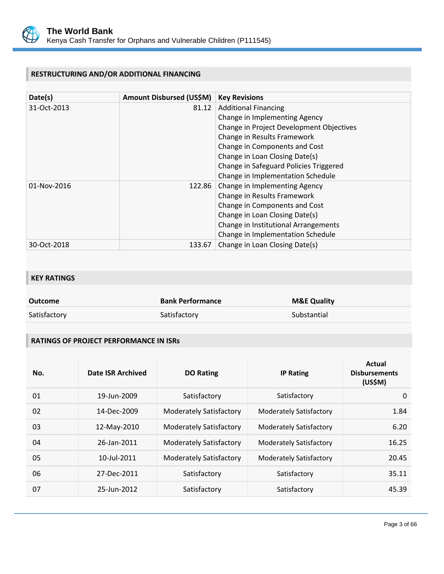

# **RESTRUCTURING AND/OR ADDITIONAL FINANCING**

| Date(s)     | Amount Disbursed (US\$M) | <b>Key Revisions</b>                     |
|-------------|--------------------------|------------------------------------------|
| 31-Oct-2013 | 81.12                    | <b>Additional Financing</b>              |
|             |                          | Change in Implementing Agency            |
|             |                          | Change in Project Development Objectives |
|             |                          | Change in Results Framework              |
|             |                          | Change in Components and Cost            |
|             |                          | Change in Loan Closing Date(s)           |
|             |                          | Change in Safeguard Policies Triggered   |
|             |                          | Change in Implementation Schedule        |
| 01-Nov-2016 | 122.86                   | Change in Implementing Agency            |
|             |                          | Change in Results Framework              |
|             |                          | Change in Components and Cost            |
|             |                          | Change in Loan Closing Date(s)           |
|             |                          | Change in Institutional Arrangements     |
|             |                          | Change in Implementation Schedule        |
| 30-Oct-2018 | 133.67                   | Change in Loan Closing Date(s)           |

# **KEY RATINGS**

| Outcome      | <b>Bank Performance</b> | <b>M&amp;E Quality</b> |
|--------------|-------------------------|------------------------|
| Satisfactory | Satisfactory            | Substantial            |

# **RATINGS OF PROJECT PERFORMANCE IN ISRs**

| No. | Date ISR Archived | <b>DO Rating</b>               | <b>IP Rating</b>               | Actual<br><b>Disbursements</b><br>(US\$M) |
|-----|-------------------|--------------------------------|--------------------------------|-------------------------------------------|
| 01  | 19-Jun-2009       | Satisfactory                   | Satisfactory                   | $\mathbf{0}$                              |
| 02  | 14-Dec-2009       | <b>Moderately Satisfactory</b> | <b>Moderately Satisfactory</b> | 1.84                                      |
| 03  | 12-May-2010       | Moderately Satisfactory        | <b>Moderately Satisfactory</b> | 6.20                                      |
| 04  | 26-Jan-2011       | <b>Moderately Satisfactory</b> | <b>Moderately Satisfactory</b> | 16.25                                     |
| 05  | 10-Jul-2011       | <b>Moderately Satisfactory</b> | <b>Moderately Satisfactory</b> | 20.45                                     |
| 06  | 27-Dec-2011       | Satisfactory                   | Satisfactory                   | 35.11                                     |
| 07  | 25-Jun-2012       | Satisfactory                   | Satisfactory                   | 45.39                                     |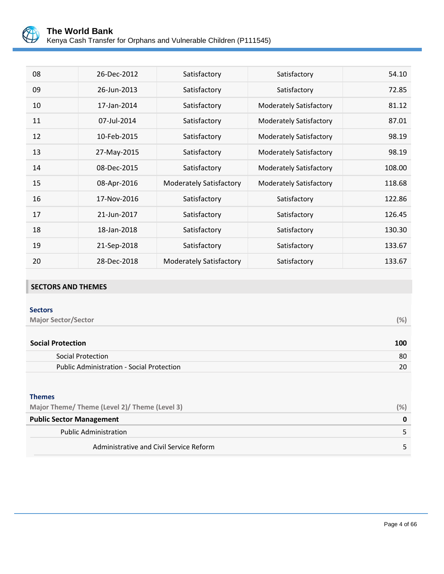

| 08 | 26-Dec-2012 | Satisfactory                   | Satisfactory                   | 54.10  |
|----|-------------|--------------------------------|--------------------------------|--------|
| 09 | 26-Jun-2013 | Satisfactory                   | Satisfactory                   | 72.85  |
| 10 | 17-Jan-2014 | Satisfactory                   | <b>Moderately Satisfactory</b> | 81.12  |
| 11 | 07-Jul-2014 | Satisfactory                   | <b>Moderately Satisfactory</b> | 87.01  |
| 12 | 10-Feb-2015 | Satisfactory                   | <b>Moderately Satisfactory</b> | 98.19  |
| 13 | 27-May-2015 | Satisfactory                   | <b>Moderately Satisfactory</b> | 98.19  |
| 14 | 08-Dec-2015 | Satisfactory                   | <b>Moderately Satisfactory</b> | 108.00 |
| 15 | 08-Apr-2016 | <b>Moderately Satisfactory</b> | Moderately Satisfactory        | 118.68 |
| 16 | 17-Nov-2016 | Satisfactory                   | Satisfactory                   | 122.86 |
| 17 | 21-Jun-2017 | Satisfactory                   | Satisfactory                   | 126.45 |
| 18 | 18-Jan-2018 | Satisfactory                   | Satisfactory                   | 130.30 |
| 19 | 21-Sep-2018 | Satisfactory                   | Satisfactory                   | 133.67 |
| 20 | 28-Dec-2018 | <b>Moderately Satisfactory</b> | Satisfactory                   | 133.67 |

# **SECTORS AND THEMES**

| (%) |
|-----|
|     |
| 100 |
| 80  |
| 20  |
|     |

### **Themes**

| Major Theme/ Theme (Level 2)/ Theme (Level 3) | $(%^{1})$ |
|-----------------------------------------------|-----------|
| <b>Public Sector Management</b>               |           |
| <b>Public Administration</b>                  |           |
| Administrative and Civil Service Reform       |           |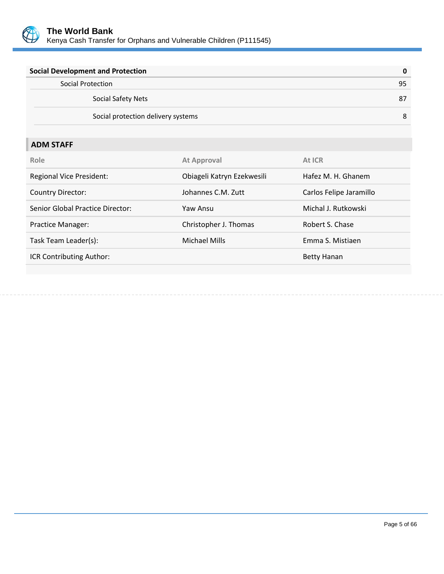

| <b>Social Development and Protection</b> | 0  |
|------------------------------------------|----|
| Social Protection                        | 95 |
| Social Safety Nets                       | 87 |
| Social protection delivery systems       | 8  |

# **ADM STAFF**

| Role                             | <b>At Approval</b>         | At ICR                  |
|----------------------------------|----------------------------|-------------------------|
| <b>Regional Vice President:</b>  | Obiageli Katryn Ezekwesili | Hafez M. H. Ghanem      |
| <b>Country Director:</b>         | Johannes C.M. Zutt         | Carlos Felipe Jaramillo |
| Senior Global Practice Director: | Yaw Ansu                   | Michal J. Rutkowski     |
| Practice Manager:                | Christopher J. Thomas      | Robert S. Chase         |
| Task Team Leader(s):             | <b>Michael Mills</b>       | Emma S. Mistiaen        |
| ICR Contributing Author:         |                            | Betty Hanan             |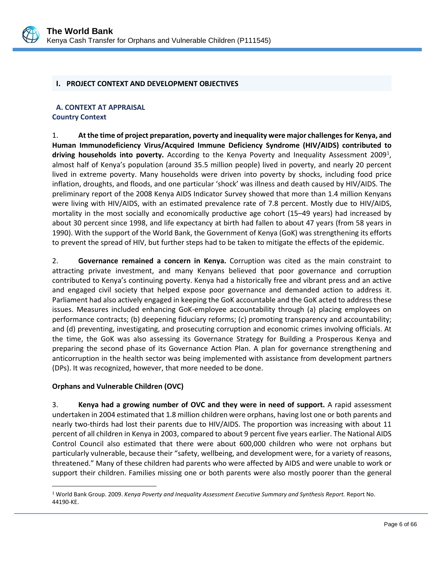

#### <span id="page-9-0"></span>**I. PROJECT CONTEXT AND DEVELOPMENT OBJECTIVES**

### <span id="page-9-1"></span>**A. CONTEXT AT APPRAISAL Country Context**

1. **At the time of project preparation, poverty and inequality were major challenges for Kenya, and Human Immunodeficiency Virus/Acquired Immune Deficiency Syndrome (HIV/AIDS) contributed to**  driving households into poverty. According to the Kenya Poverty and Inequality Assessment 2009<sup>[1](#page-9-2)</sup>, almost half of Kenya's population (around 35.5 million people) lived in poverty, and nearly 20 percent lived in extreme poverty. Many households were driven into poverty by shocks, including food price inflation, droughts, and floods, and one particular 'shock' was illness and death caused by HIV/AIDS. The preliminary report of the 2008 Kenya AIDS Indicator Survey showed that more than 1.4 million Kenyans were living with HIV/AIDS, with an estimated prevalence rate of 7.8 percent. Mostly due to HIV/AIDS, mortality in the most socially and economically productive age cohort (15–49 years) had increased by about 30 percent since 1998, and life expectancy at birth had fallen to about 47 years (from 58 years in 1990). With the support of the World Bank, the Government of Kenya (GoK) was strengthening its efforts to prevent the spread of HIV, but further steps had to be taken to mitigate the effects of the epidemic.

2. **Governance remained a concern in Kenya.** Corruption was cited as the main constraint to attracting private investment, and many Kenyans believed that poor governance and corruption contributed to Kenya's continuing poverty. Kenya had a historically free and vibrant press and an active and engaged civil society that helped expose poor governance and demanded action to address it. Parliament had also actively engaged in keeping the GoK accountable and the GoK acted to address these issues. Measures included enhancing GoK-employee accountability through (a) placing employees on performance contracts; (b) deepening fiduciary reforms; (c) promoting transparency and accountability; and (d) preventing, investigating, and prosecuting corruption and economic crimes involving officials. At the time, the GoK was also assessing its Governance Strategy for Building a Prosperous Kenya and preparing the second phase of its Governance Action Plan. A plan for governance strengthening and anticorruption in the health sector was being implemented with assistance from development partners (DPs). It was recognized, however, that more needed to be done.

### **Orphans and Vulnerable Children (OVC)**

 $\overline{a}$ 

3. **Kenya had a growing number of OVC and they were in need of support.** A rapid assessment undertaken in 2004 estimated that 1.8 million children were orphans, having lost one or both parents and nearly two-thirds had lost their parents due to HIV/AIDS. The proportion was increasing with about 11 percent of all children in Kenya in 2003, compared to about 9 percent five years earlier. The National AIDS Control Council also estimated that there were about 600,000 children who were not orphans but particularly vulnerable, because their "safety, wellbeing, and development were, for a variety of reasons, threatened." Many of these children had parents who were affected by AIDS and were unable to work or support their children. Families missing one or both parents were also mostly poorer than the general

<span id="page-9-2"></span><sup>1</sup> World Bank Group. 2009. *Kenya Poverty and Inequality Assessment Executive Summary and Synthesis Report.* Report No. 44190-KE.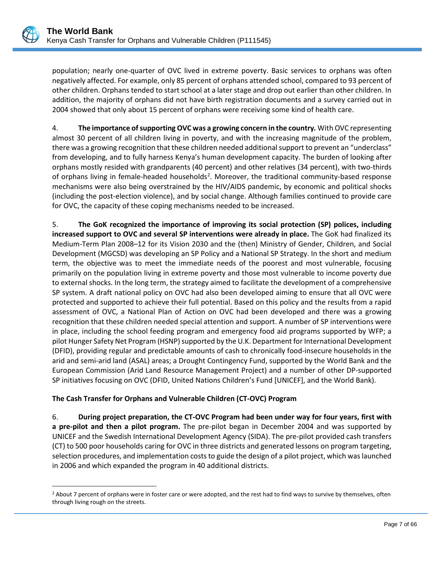population; nearly one-quarter of OVC lived in extreme poverty. Basic services to orphans was often negatively affected. For example, only 85 percent of orphans attended school, compared to 93 percent of other children. Orphans tended to start school at a later stage and drop out earlier than other children. In addition, the majority of orphans did not have birth registration documents and a survey carried out in 2004 showed that only about 15 percent of orphans were receiving some kind of health care.

4. **The importance of supporting OVC was a growing concern in the country***.* With OVC representing almost 30 percent of all children living in poverty, and with the increasing magnitude of the problem, there was a growing recognition that these children needed additional support to prevent an "underclass" from developing, and to fully harness Kenya's human development capacity. The burden of looking after orphans mostly resided with grandparents (40 percent) and other relatives (34 percent), with two-thirds of orphans living in female-headed households<sup>[2](#page-10-0)</sup>. Moreover, the traditional community-based response mechanisms were also being overstrained by the HIV/AIDS pandemic, by economic and political shocks (including the post-election violence), and by social change. Although families continued to provide care for OVC, the capacity of these coping mechanisms needed to be increased.

5. **The GoK recognized the importance of improving its social protection (SP) polices, including increased support to OVC and several SP interventions were already in place.** The GoK had finalized its Medium-Term Plan 2008–12 for its Vision 2030 and the (then) Ministry of Gender, Children, and Social Development (MGCSD) was developing an SP Policy and a National SP Strategy. In the short and medium term, the objective was to meet the immediate needs of the poorest and most vulnerable, focusing primarily on the population living in extreme poverty and those most vulnerable to income poverty due to external shocks. In the long term, the strategy aimed to facilitate the development of a comprehensive SP system. A draft national policy on OVC had also been developed aiming to ensure that all OVC were protected and supported to achieve their full potential. Based on this policy and the results from a rapid assessment of OVC, a National Plan of Action on OVC had been developed and there was a growing recognition that these children needed special attention and support. A number of SP interventions were in place, including the school feeding program and emergency food aid programs supported by WFP; a pilot Hunger Safety Net Program (HSNP) supported by the U.K. Department for International Development (DFID), providing regular and predictable amounts of cash to chronically food-insecure households in the arid and semi-arid land (ASAL) areas; a Drought Contingency Fund, supported by the World Bank and the European Commission (Arid Land Resource Management Project) and a number of other DP-supported SP initiatives focusing on OVC (DFID, United Nations Children's Fund [UNICEF], and the World Bank).

# **The Cash Transfer for Orphans and Vulnerable Children (CT-OVC) Program**

6. **During project preparation, the CT-OVC Program had been under way for four years, first with a pre-pilot and then a pilot program.** The pre-pilot began in December 2004 and was supported by UNICEF and the Swedish International Development Agency (SIDA). The pre-pilot provided cash transfers (CT) to 500 poor households caring for OVC in three districts and generated lessons on program targeting, selection procedures, and implementation costs to guide the design of a pilot project, which waslaunched in 2006 and which expanded the program in 40 additional districts.

<span id="page-10-0"></span> $\overline{a}$ <sup>2</sup> About 7 percent of orphans were in foster care or were adopted, and the rest had to find ways to survive by themselves, often through living rough on the streets.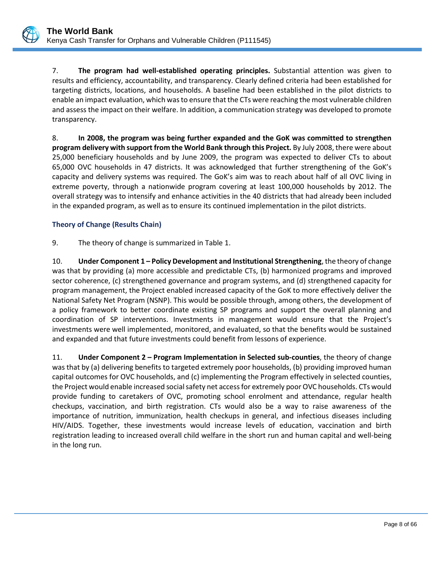7. **The program had well-established operating principles.** Substantial attention was given to results and efficiency, accountability, and transparency. Clearly defined criteria had been established for targeting districts, locations, and households. A baseline had been established in the pilot districts to enable an impact evaluation, which was to ensure thatthe CTs were reaching the most vulnerable children and assess the impact on their welfare. In addition, a communication strategy was developed to promote transparency.

8. **In 2008, the program was being further expanded and the GoK was committed to strengthen program delivery with support from the World Bank through this Project.** By July 2008, there were about 25,000 beneficiary households and by June 2009, the program was expected to deliver CTs to about 65,000 OVC households in 47 districts. It was acknowledged that further strengthening of the GoK's capacity and delivery systems was required. The GoK's aim was to reach about half of all OVC living in extreme poverty, through a nationwide program covering at least 100,000 households by 2012. The overall strategy was to intensify and enhance activities in the 40 districts that had already been included in the expanded program, as well as to ensure its continued implementation in the pilot districts.

### **Theory of Change (Results Chain)**

9. The theory of change is summarized in Table 1.

10. **Under Component 1 – Policy Development and Institutional Strengthening**, the theory of change was that by providing (a) more accessible and predictable CTs, (b) harmonized programs and improved sector coherence, (c) strengthened governance and program systems, and (d) strengthened capacity for program management, the Project enabled increased capacity of the GoK to more effectively deliver the National Safety Net Program (NSNP). This would be possible through, among others, the development of a policy framework to better coordinate existing SP programs and support the overall planning and coordination of SP interventions. Investments in management would ensure that the Project's investments were well implemented, monitored, and evaluated, so that the benefits would be sustained and expanded and that future investments could benefit from lessons of experience.

11. **Under Component 2 – Program Implementation in Selected sub-counties**, the theory of change was that by (a) delivering benefits to targeted extremely poor households, (b) providing improved human capital outcomes for OVC households, and (c) implementing the Program effectively in selected counties, the Project would enable increased social safety net access for extremely poor OVC households. CTs would provide funding to caretakers of OVC, promoting school enrolment and attendance, regular health checkups, vaccination, and birth registration. CTs would also be a way to raise awareness of the importance of nutrition, immunization, health checkups in general, and infectious diseases including HIV/AIDS. Together, these investments would increase levels of education, vaccination and birth registration leading to increased overall child welfare in the short run and human capital and well-being in the long run.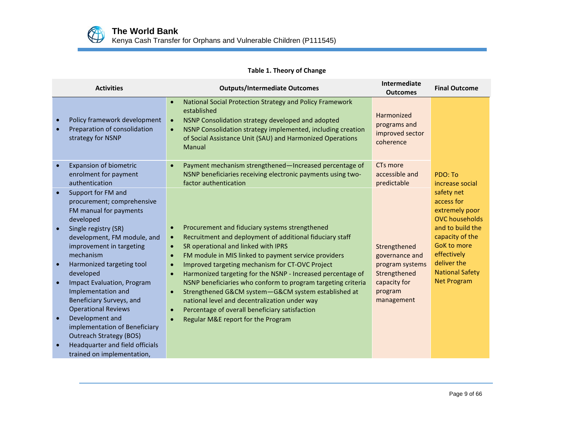

# **Table 1. Theory of Change**

| <b>Activities</b>                                                                                                                                                                                                                                                                                                                                                                                                                                                                                                      | <b>Outputs/Intermediate Outcomes</b>                                                                                                                                                                                                                                                                                                                                                                                                                                                                                                                                                                                                                                                                             | Intermediate<br><b>Outcomes</b>                                                                            | <b>Final Outcome</b>                                                                                                                                                                                           |
|------------------------------------------------------------------------------------------------------------------------------------------------------------------------------------------------------------------------------------------------------------------------------------------------------------------------------------------------------------------------------------------------------------------------------------------------------------------------------------------------------------------------|------------------------------------------------------------------------------------------------------------------------------------------------------------------------------------------------------------------------------------------------------------------------------------------------------------------------------------------------------------------------------------------------------------------------------------------------------------------------------------------------------------------------------------------------------------------------------------------------------------------------------------------------------------------------------------------------------------------|------------------------------------------------------------------------------------------------------------|----------------------------------------------------------------------------------------------------------------------------------------------------------------------------------------------------------------|
| Policy framework development<br>$\bullet$<br>Preparation of consolidation<br>strategy for NSNP                                                                                                                                                                                                                                                                                                                                                                                                                         | National Social Protection Strategy and Policy Framework<br>$\bullet$<br>established<br>NSNP Consolidation strategy developed and adopted<br>$\bullet$<br>NSNP Consolidation strategy implemented, including creation<br>$\bullet$<br>of Social Assistance Unit (SAU) and Harmonized Operations<br>Manual                                                                                                                                                                                                                                                                                                                                                                                                        | Harmonized<br>programs and<br>improved sector<br>coherence                                                 |                                                                                                                                                                                                                |
| <b>Expansion of biometric</b><br>enrolment for payment<br>authentication                                                                                                                                                                                                                                                                                                                                                                                                                                               | Payment mechanism strengthened-Increased percentage of<br>$\bullet$<br>NSNP beneficiaries receiving electronic payments using two-<br>factor authentication                                                                                                                                                                                                                                                                                                                                                                                                                                                                                                                                                      | CT <sub>s</sub> more<br>accessible and<br>predictable                                                      | PDO: To<br>increase social                                                                                                                                                                                     |
| Support for FM and<br>$\bullet$<br>procurement; comprehensive<br>FM manual for payments<br>developed<br>Single registry (SR)<br>development, FM module, and<br>improvement in targeting<br>mechanism<br>Harmonized targeting tool<br>$\bullet$<br>developed<br><b>Impact Evaluation, Program</b><br>Implementation and<br>Beneficiary Surveys, and<br><b>Operational Reviews</b><br>Development and<br>$\bullet$<br>implementation of Beneficiary<br><b>Outreach Strategy (BOS)</b><br>Headquarter and field officials | Procurement and fiduciary systems strengthened<br>$\bullet$<br>Recruitment and deployment of additional fiduciary staff<br>$\bullet$<br>SR operational and linked with IPRS<br>$\bullet$<br>FM module in MIS linked to payment service providers<br>$\bullet$<br>Improved targeting mechanism for CT-OVC Project<br>$\bullet$<br>Harmonized targeting for the NSNP - Increased percentage of<br>$\bullet$<br>NSNP beneficiaries who conform to program targeting criteria<br>Strengthened G&CM system-G&CM system established at<br>$\bullet$<br>national level and decentralization under way<br>Percentage of overall beneficiary satisfaction<br>$\bullet$<br>Regular M&E report for the Program<br>$\bullet$ | Strengthened<br>governance and<br>program systems<br>Strengthened<br>capacity for<br>program<br>management | safety net<br>access for<br>extremely poor<br><b>OVC</b> households<br>and to build the<br>capacity of the<br><b>GoK to more</b><br>effectively<br>deliver the<br><b>National Safety</b><br><b>Net Program</b> |
| trained on implementation,                                                                                                                                                                                                                                                                                                                                                                                                                                                                                             |                                                                                                                                                                                                                                                                                                                                                                                                                                                                                                                                                                                                                                                                                                                  |                                                                                                            |                                                                                                                                                                                                                |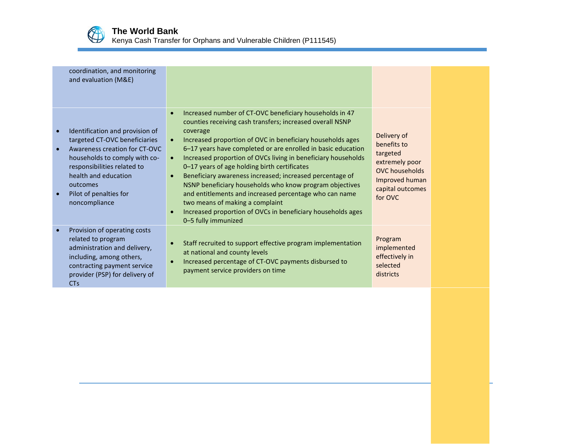

Kenya Cash Transfer for Orphans and Vulnerable Children (P111545)

| coordination, and monitoring<br>and evaluation (M&E)                                                                                                                                                                                             |                                                                                                                                                                                                                                                                                                                                                                                                                                                                                                                                                                                                                                                                                                                                  |                                                                                                                                    |  |
|--------------------------------------------------------------------------------------------------------------------------------------------------------------------------------------------------------------------------------------------------|----------------------------------------------------------------------------------------------------------------------------------------------------------------------------------------------------------------------------------------------------------------------------------------------------------------------------------------------------------------------------------------------------------------------------------------------------------------------------------------------------------------------------------------------------------------------------------------------------------------------------------------------------------------------------------------------------------------------------------|------------------------------------------------------------------------------------------------------------------------------------|--|
| Identification and provision of<br>targeted CT-OVC beneficiaries<br>Awareness creation for CT-OVC<br>households to comply with co-<br>responsibilities related to<br>health and education<br>outcomes<br>Pilot of penalties for<br>noncompliance | Increased number of CT-OVC beneficiary households in 47<br>$\bullet$<br>counties receiving cash transfers; increased overall NSNP<br>coverage<br>Increased proportion of OVC in beneficiary households ages<br>$\bullet$<br>6-17 years have completed or are enrolled in basic education<br>Increased proportion of OVCs living in beneficiary households<br>$\bullet$<br>0-17 years of age holding birth certificates<br>Beneficiary awareness increased; increased percentage of<br>NSNP beneficiary households who know program objectives<br>and entitlements and increased percentage who can name<br>two means of making a complaint<br>Increased proportion of OVCs in beneficiary households ages<br>0-5 fully immunized | Delivery of<br>benefits to<br>targeted<br>extremely poor<br><b>OVC</b> households<br>Improved human<br>capital outcomes<br>for OVC |  |
| Provision of operating costs<br>related to program<br>administration and delivery,<br>including, among others,<br>contracting payment service<br>provider (PSP) for delivery of<br><b>CTs</b>                                                    | Staff recruited to support effective program implementation<br>at national and county levels<br>Increased percentage of CT-OVC payments disbursed to<br>$\bullet$<br>payment service providers on time                                                                                                                                                                                                                                                                                                                                                                                                                                                                                                                           | Program<br>implemented<br>effectively in<br>selected<br>districts                                                                  |  |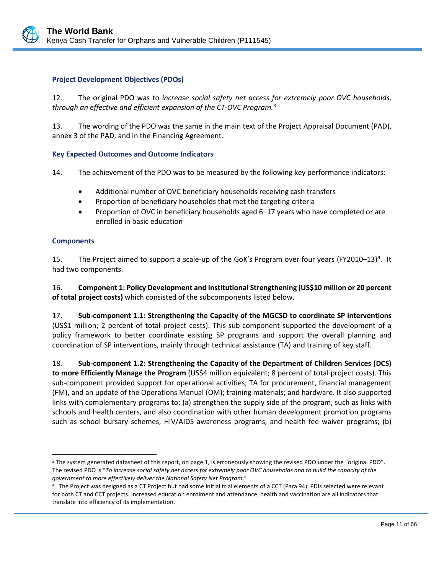### **Project Development Objectives (PDOs)**

12. The original PDO was to *increase social safety net access for extremely poor OVC households, through an effective and efficient expansion of the CT-OVC Program.* [3](#page-14-0)

13. The wording of the PDO was the same in the main text of the Project Appraisal Document (PAD), annex 3 of the PAD, and in the Financing Agreement.

### **Key Expected Outcomes and Outcome Indicators**

14. The achievement of the PDO was to be measured by the following key performance indicators:

- Additional number of OVC beneficiary households receiving cash transfers
- Proportion of beneficiary households that met the targeting criteria
- Proportion of OVC in beneficiary households aged 6–17 years who have completed or are enrolled in basic education

### **Components**

 $\overline{a}$ 

15. The Project aimed to support a scale-up of the GoK's Program over four years (FY2010–13)<sup>[4](#page-14-1)</sup>. It had two components.

16. **Component 1: Policy Development and Institutional Strengthening (US\$10 million or 20 percent of total project costs)** which consisted of the subcomponents listed below.

17. **Sub-component 1.1: Strengthening the Capacity of the MGCSD to coordinate SP interventions**  (US\$1 million; 2 percent of total project costs). This sub-component supported the development of a policy framework to better coordinate existing SP programs and support the overall planning and coordination of SP interventions, mainly through technical assistance (TA) and training of key staff.

18. **Sub-component 1.2: Strengthening the Capacity of the Department of Children Services (DCS) to more Efficiently Manage the Program** (US\$4 million equivalent; 8 percent of total project costs). This sub-component provided support for operational activities; TA for procurement, financial management (FM), and an update of the Operations Manual (OM); training materials; and hardware. It also supported links with complementary programs to: (a) strengthen the supply side of the program, such as links with schools and health centers, and also coordination with other human development promotion programs such as school bursary schemes, HIV/AIDS awareness programs, and health fee waiver programs; (b)

<span id="page-14-0"></span><sup>3</sup> The system generated datasheet of this report, on page 1, is erroneously showing the revised PDO under the "original PDO". The revised PDO is "*To increase social safety net access for extremely poor OVC households and to build the capacity of the government to more effectively deliver the National Safety Net Program*."

<span id="page-14-1"></span><sup>4</sup> The Project was designed as a CT Project but had some initial trial elements of a CCT (Para 94). PDIs selected were relevant for both CT and CCT projects. Increased education enrolment and attendance, health and vaccination are all indicators that translate into efficiency of its implementation.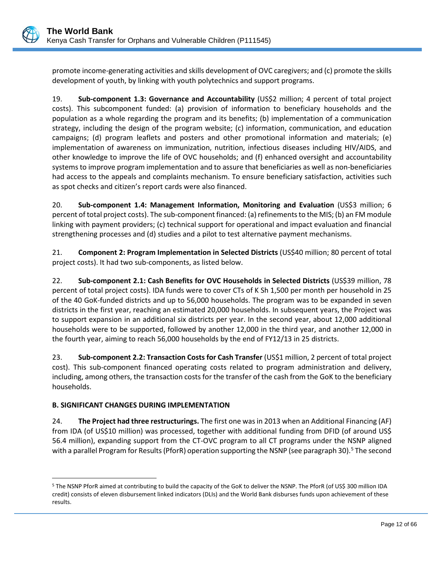

promote income-generating activities and skills development of OVC caregivers; and (c) promote the skills development of youth, by linking with youth polytechnics and support programs.

19. **Sub-component 1.3: Governance and Accountability** (US\$2 million; 4 percent of total project costs). This subcomponent funded: (a) provision of information to beneficiary households and the population as a whole regarding the program and its benefits; (b) implementation of a communication strategy, including the design of the program website; (c) information, communication, and education campaigns; (d) program leaflets and posters and other promotional information and materials; (e) implementation of awareness on immunization, nutrition, infectious diseases including HIV/AIDS, and other knowledge to improve the life of OVC households; and (f) enhanced oversight and accountability systems to improve program implementation and to assure that beneficiaries as well as non-beneficiaries had access to the appeals and complaints mechanism. To ensure beneficiary satisfaction, activities such as spot checks and citizen's report cards were also financed.

20. **Sub-component 1.4: Management Information, Monitoring and Evaluation** (US\$3 million; 6 percent of total project costs). The sub-component financed: (a) refinements to the MIS; (b) an FM module linking with payment providers; (c) technical support for operational and impact evaluation and financial strengthening processes and (d) studies and a pilot to test alternative payment mechanisms.

21. **Component 2: Program Implementation in Selected Districts** (US\$40 million; 80 percent of total project costs). It had two sub-components, as listed below.

22. **Sub-component 2.1: Cash Benefits for OVC Households in Selected Districts** (US\$39 million, 78 percent of total project costs). IDA funds were to cover CTs of K Sh 1,500 per month per household in 25 of the 40 GoK-funded districts and up to 56,000 households. The program was to be expanded in seven districts in the first year, reaching an estimated 20,000 households. In subsequent years, the Project was to support expansion in an additional six districts per year. In the second year, about 12,000 additional households were to be supported, followed by another 12,000 in the third year, and another 12,000 in the fourth year, aiming to reach 56,000 households by the end of FY12/13 in 25 districts.

23. **Sub-component 2.2: Transaction Costs for Cash Transfer** (US\$1 million, 2 percent of total project cost). This sub-component financed operating costs related to program administration and delivery, including, among others, the transaction costs for the transfer of the cash from the GoK to the beneficiary households.

# **B. SIGNIFICANT CHANGES DURING IMPLEMENTATION**

24. **The Project had three restructurings.** The first one was in 2013 when an Additional Financing (AF) from IDA (of US\$10 million) was processed, together with additional funding from DFID (of around US\$ 56.4 million), expanding support from the CT-OVC program to all CT programs under the NSNP aligned with a parallel Program for Results (PforR) operation supporting the NSNP (see paragraph 30).<sup>[5](#page-15-0)</sup> The second

<span id="page-15-0"></span> $\overline{a}$ <sup>5</sup> The NSNP PforR aimed at contributing to build the capacity of the GoK to deliver the NSNP. The PforR (of US\$ 300 million IDA credit) consists of eleven disbursement linked indicators (DLIs) and the World Bank disburses funds upon achievement of these results.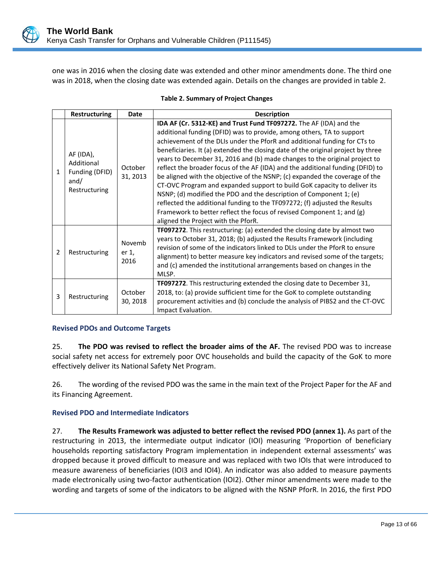one was in 2016 when the closing date was extended and other minor amendments done. The third one was in 2018, when the closing date was extended again. Details on the changes are provided in table 2.

|   | Restructuring                                                      | <b>Date</b>             | <b>Description</b>                                                                                                                                                                                                                                                                                                                                                                                                                                                                                                                                                                                                                                                                                                                                                                                                                                                                                             |
|---|--------------------------------------------------------------------|-------------------------|----------------------------------------------------------------------------------------------------------------------------------------------------------------------------------------------------------------------------------------------------------------------------------------------------------------------------------------------------------------------------------------------------------------------------------------------------------------------------------------------------------------------------------------------------------------------------------------------------------------------------------------------------------------------------------------------------------------------------------------------------------------------------------------------------------------------------------------------------------------------------------------------------------------|
| 1 | AF (IDA),<br>Additional<br>Funding (DFID)<br>and/<br>Restructuring | October<br>31, 2013     | IDA AF (Cr. 5312-KE) and Trust Fund TF097272. The AF (IDA) and the<br>additional funding (DFID) was to provide, among others, TA to support<br>achievement of the DLIs under the PforR and additional funding for CTs to<br>beneficiaries. It (a) extended the closing date of the original project by three<br>years to December 31, 2016 and (b) made changes to the original project to<br>reflect the broader focus of the AF (IDA) and the additional funding (DFID) to<br>be aligned with the objective of the NSNP; (c) expanded the coverage of the<br>CT-OVC Program and expanded support to build GoK capacity to deliver its<br>NSNP; (d) modified the PDO and the description of Component $1$ ; (e)<br>reflected the additional funding to the TF097272; (f) adjusted the Results<br>Framework to better reflect the focus of revised Component 1; and (g)<br>aligned the Project with the PforR. |
| 2 | Restructuring                                                      | Novemb<br>er 1,<br>2016 | TF097272. This restructuring: (a) extended the closing date by almost two<br>years to October 31, 2018; (b) adjusted the Results Framework (including<br>revision of some of the indicators linked to DLIs under the PforR to ensure<br>alignment) to better measure key indicators and revised some of the targets;<br>and (c) amended the institutional arrangements based on changes in the<br>MLSP.                                                                                                                                                                                                                                                                                                                                                                                                                                                                                                        |
| 3 | Restructuring                                                      | October<br>30, 2018     | TF097272. This restructuring extended the closing date to December 31,<br>2018, to: (a) provide sufficient time for the GoK to complete outstanding<br>procurement activities and (b) conclude the analysis of PIBS2 and the CT-OVC<br>Impact Evaluation.                                                                                                                                                                                                                                                                                                                                                                                                                                                                                                                                                                                                                                                      |

#### **Table 2. Summary of Project Changes**

#### **Revised PDOs and Outcome Targets**

25. **The PDO was revised to reflect the broader aims of the AF.** The revised PDO was to increase social safety net access for extremely poor OVC households and build the capacity of the GoK to more effectively deliver its National Safety Net Program.

26. The wording of the revised PDO was the same in the main text of the Project Paper for the AF and its Financing Agreement.

#### **Revised PDO and Intermediate Indicators**

27. **The Results Framework was adjusted to better reflect the revised PDO (annex 1).** As part of the restructuring in 2013, the intermediate output indicator (IOI) measuring 'Proportion of beneficiary households reporting satisfactory Program implementation in independent external assessments' was dropped because it proved difficult to measure and was replaced with two IOIs that were introduced to measure awareness of beneficiaries (IOI3 and IOI4). An indicator was also added to measure payments made electronically using two-factor authentication (IOI2). Other minor amendments were made to the wording and targets of some of the indicators to be aligned with the NSNP PforR. In 2016, the first PDO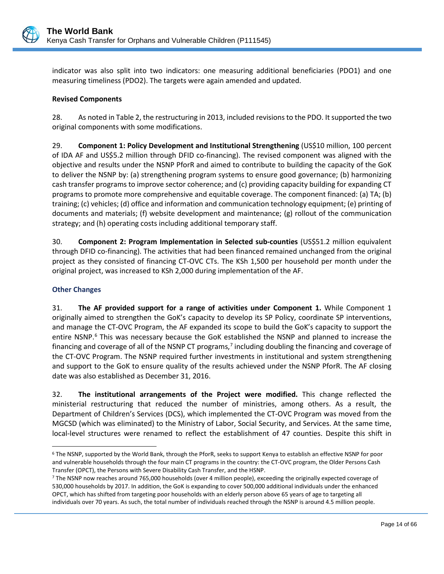

indicator was also split into two indicators: one measuring additional beneficiaries (PDO1) and one measuring timeliness (PDO2). The targets were again amended and updated.

### **Revised Components**

28. As noted in Table 2, the restructuring in 2013, included revisions to the PDO. It supported the two original components with some modifications.

29. **Component 1: Policy Development and Institutional Strengthening** (US\$10 million, 100 percent of IDA AF and US\$5.2 million through DFID co-financing). The revised component was aligned with the objective and results under the NSNP PforR and aimed to contribute to building the capacity of the GoK to deliver the NSNP by: (a) strengthening program systems to ensure good governance; (b) harmonizing cash transfer programs to improve sector coherence; and (c) providing capacity building for expanding CT programs to promote more comprehensive and equitable coverage. The component financed: (a) TA; (b) training; (c) vehicles; (d) office and information and communication technology equipment; (e) printing of documents and materials; (f) website development and maintenance; (g) rollout of the communication strategy; and (h) operating costs including additional temporary staff.

30. **Component 2: Program Implementation in Selected sub-counties** (US\$51.2 million equivalent through DFID co-financing). The activities that had been financed remained unchanged from the original project as they consisted of financing CT-OVC CTs. The KSh 1,500 per household per month under the original project, was increased to KSh 2,000 during implementation of the AF.

### **Other Changes**

31. **The AF provided support for a range of activities under Component 1.** While Component 1 originally aimed to strengthen the GoK's capacity to develop its SP Policy, coordinate SP interventions, and manage the CT-OVC Program, the AF expanded its scope to build the GoK's capacity to support the entire NSNP.<sup>[6](#page-17-0)</sup> This was necessary because the GoK established the NSNP and planned to increase the financing and coverage of all of the NSNP CT programs,<sup>[7](#page-17-1)</sup> including doubling the financing and coverage of the CT-OVC Program. The NSNP required further investments in institutional and system strengthening and support to the GoK to ensure quality of the results achieved under the NSNP PforR. The AF closing date was also established as December 31, 2016.

32. **The institutional arrangements of the Project were modified.** This change reflected the ministerial restructuring that reduced the number of ministries, among others. As a result, the Department of Children's Services (DCS), which implemented the CT-OVC Program was moved from the MGCSD (which was eliminated) to the Ministry of Labor, Social Security, and Services. At the same time, local-level structures were renamed to reflect the establishment of 47 counties. Despite this shift in

<span id="page-17-0"></span> $\overline{a}$ <sup>6</sup> The NSNP, supported by the World Bank, through the PforR, seeks to support Kenya to establish an effective NSNP for poor and vulnerable households through the four main CT programs in the country: the CT-OVC program, the Older Persons Cash Transfer (OPCT), the Persons with Severe Disability Cash Transfer, and the HSNP.<br>7 The NSNP now reaches around 765,000 households (over 4 million people), exceeding the originally expected coverage of

<span id="page-17-1"></span><sup>530,000</sup> households by 2017. In addition, the GoK is expanding to cover 500,000 additional individuals under the enhanced OPCT, which has shifted from targeting poor households with an elderly person above 65 years of age to targeting all individuals over 70 years. As such, the total number of individuals reached through the NSNP is around 4.5 million people.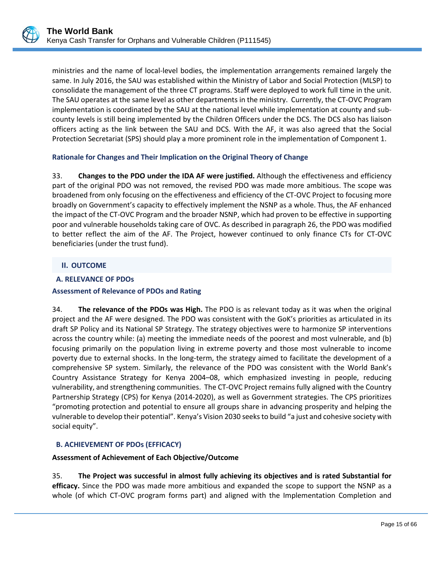ministries and the name of local-level bodies, the implementation arrangements remained largely the same. In July 2016, the SAU was established within the Ministry of Labor and Social Protection (MLSP) to consolidate the management of the three CT programs. Staff were deployed to work full time in the unit. The SAU operates at the same level as other departments in the ministry. Currently, the CT-OVC Program implementation is coordinated by the SAU at the national level while implementation at county and subcounty levels is still being implemented by the Children Officers under the DCS. The DCS also has liaison officers acting as the link between the SAU and DCS. With the AF, it was also agreed that the Social Protection Secretariat (SPS) should play a more prominent role in the implementation of Component 1.

### **Rationale for Changes and Their Implication on the Original Theory of Change**

33. **Changes to the PDO under the IDA AF were justified.** Although the effectiveness and efficiency part of the original PDO was not removed, the revised PDO was made more ambitious. The scope was broadened from only focusing on the effectiveness and efficiency of the CT-OVC Project to focusing more broadly on Government's capacity to effectively implement the NSNP as a whole. Thus, the AF enhanced the impact of the CT-OVC Program and the broader NSNP, which had proven to be effective in supporting poor and vulnerable households taking care of OVC. As described in paragraph 26, the PDO was modified to better reflect the aim of the AF. The Project, however continued to only finance CTs for CT-OVC beneficiaries (under the trust fund).

### <span id="page-18-0"></span>**II. OUTCOME**

### <span id="page-18-1"></span>**A. RELEVANCE OF PDOs**

#### **Assessment of Relevance of PDOs and Rating**

34. **The relevance of the PDOs was High.** The PDO is as relevant today as it was when the original project and the AF were designed. The PDO was consistent with the GoK's priorities as articulated in its draft SP Policy and its National SP Strategy. The strategy objectives were to harmonize SP interventions across the country while: (a) meeting the immediate needs of the poorest and most vulnerable, and (b) focusing primarily on the population living in extreme poverty and those most vulnerable to income poverty due to external shocks. In the long-term, the strategy aimed to facilitate the development of a comprehensive SP system. Similarly, the relevance of the PDO was consistent with the World Bank's Country Assistance Strategy for Kenya 2004–08, which emphasized investing in people, reducing vulnerability, and strengthening communities. The CT-OVC Project remains fully aligned with the Country Partnership Strategy (CPS) for Kenya (2014-2020), as well as Government strategies. The CPS prioritizes "promoting protection and potential to ensure all groups share in advancing prosperity and helping the vulnerable to develop their potential". Kenya's Vision 2030 seeks to build "a just and cohesive society with social equity".

### <span id="page-18-2"></span>**B. ACHIEVEMENT OF PDOs (EFFICACY)**

#### **Assessment of Achievement of Each Objective/Outcome**

35. **The Project was successful in almost fully achieving its objectives and is rated Substantial for efficacy.** Since the PDO was made more ambitious and expanded the scope to support the NSNP as a whole (of which CT-OVC program forms part) and aligned with the Implementation Completion and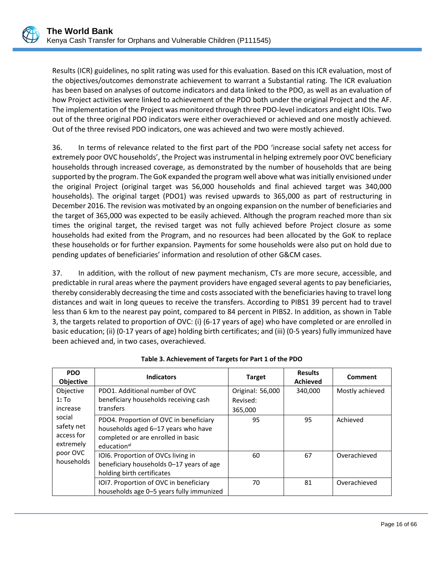Results (ICR) guidelines, no split rating was used for this evaluation. Based on this ICR evaluation, most of the objectives/outcomes demonstrate achievement to warrant a Substantial rating. The ICR evaluation has been based on analyses of outcome indicators and data linked to the PDO, as well as an evaluation of how Project activities were linked to achievement of the PDO both under the original Project and the AF. The implementation of the Project was monitored through three PDO-level indicators and eight IOIs. Two out of the three original PDO indicators were either overachieved or achieved and one mostly achieved. Out of the three revised PDO indicators, one was achieved and two were mostly achieved.

36. In terms of relevance related to the first part of the PDO 'increase social safety net access for extremely poor OVC households', the Project was instrumental in helping extremely poor OVC beneficiary households through increased coverage, as demonstrated by the number of households that are being supported by the program. The GoK expanded the program well above what was initially envisioned under the original Project (original target was 56,000 households and final achieved target was 340,000 households). The original target (PDO1) was revised upwards to 365,000 as part of restructuring in December 2016. The revision was motivated by an ongoing expansion on the number of beneficiaries and the target of 365,000 was expected to be easily achieved. Although the program reached more than six times the original target, the revised target was not fully achieved before Project closure as some households had exited from the Program, and no resources had been allocated by the GoK to replace these households or for further expansion. Payments for some households were also put on hold due to pending updates of beneficiaries' information and resolution of other G&CM cases.

37. In addition, with the rollout of new payment mechanism, CTs are more secure, accessible, and predictable in rural areas where the payment providers have engaged several agents to pay beneficiaries, thereby considerably decreasing the time and costs associated with the beneficiaries having to travel long distances and wait in long queues to receive the transfers. According to PIBS1 39 percent had to travel less than 6 km to the nearest pay point, compared to 84 percent in PIBS2. In addition, as shown in Table 3, the targets related to proportion of OVC: (i) (6-17 years of age) who have completed or are enrolled in basic education; (ii) (0-17 years of age) holding birth certificates; and (iii) (0-5 years) fully immunized have been achieved and, in two cases, overachieved.

| <b>PDO</b><br><b>Objective</b>                  | <b>Indicators</b>                                                                                                                              | <b>Target</b>    | <b>Results</b><br><b>Achieved</b> | Comment         |
|-------------------------------------------------|------------------------------------------------------------------------------------------------------------------------------------------------|------------------|-----------------------------------|-----------------|
| Objective                                       | PDO1. Additional number of OVC                                                                                                                 | Original: 56,000 | 340,000                           | Mostly achieved |
| $1:$ To                                         | beneficiary households receiving cash                                                                                                          | Revised:         |                                   |                 |
| increase                                        | transfers                                                                                                                                      | 365,000          |                                   |                 |
| social<br>safety net<br>access for<br>extremely | PDO4. Proportion of OVC in beneficiary<br>households aged 6-17 years who have<br>completed or are enrolled in basic<br>education <sup>al</sup> | 95               | 95                                | Achieved        |
| poor OVC<br>households                          | IOI6. Proportion of OVCs living in<br>beneficiary households 0-17 years of age<br>holding birth certificates                                   | 60               | 67                                | Overachieved    |
|                                                 | IOI7. Proportion of OVC in beneficiary<br>households age 0-5 years fully immunized                                                             | 70               | 81                                | Overachieved    |

**Table 3. Achievement of Targets for Part 1 of the PDO**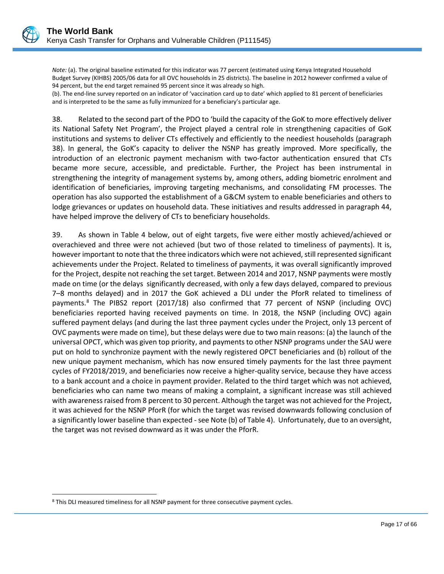*Note:* (a). The original baseline estimated for this indicator was 77 percent (estimated using Kenya Integrated Household Budget Survey (KIHBS) 2005/06 data for all OVC households in 25 districts). The baseline in 2012 however confirmed a value of 94 percent, but the end target remained 95 percent since it was already so high.

(b). The end-line survey reported on an indicator of 'vaccination card up to date' which applied to 81 percent of beneficiaries and is interpreted to be the same as fully immunized for a beneficiary's particular age.

38. Related to the second part of the PDO to 'build the capacity of the GoK to more effectively deliver its National Safety Net Program', the Project played a central role in strengthening capacities of GoK institutions and systems to deliver CTs effectively and efficiently to the neediest households (paragraph 38). In general, the GoK's capacity to deliver the NSNP has greatly improved. More specifically, the introduction of an electronic payment mechanism with two-factor authentication ensured that CTs became more secure, accessible, and predictable. Further, the Project has been instrumental in strengthening the integrity of management systems by, among others, adding biometric enrolment and identification of beneficiaries, improving targeting mechanisms, and consolidating FM processes. The operation has also supported the establishment of a G&CM system to enable beneficiaries and others to lodge grievances or updates on household data. These initiatives and results addressed in paragraph 44, have helped improve the delivery of CTs to beneficiary households.

39. As shown in Table 4 below, out of eight targets, five were either mostly achieved/achieved or overachieved and three were not achieved (but two of those related to timeliness of payments). It is, however important to note that the three indicators which were not achieved, still represented significant achievements under the Project. Related to timeliness of payments, it was overall significantly improved for the Project, despite not reaching the set target. Between 2014 and 2017, NSNP payments were mostly made on time (or the delays significantly decreased, with only a few days delayed, compared to previous 7–8 months delayed) and in 2017 the GoK achieved a DLI under the PforR related to timeliness of payments.<sup>[8](#page-20-0)</sup> The PIBS2 report (2017/18) also confirmed that 77 percent of NSNP (including OVC) beneficiaries reported having received payments on time. In 2018, the NSNP (including OVC) again suffered payment delays (and during the last three payment cycles under the Project, only 13 percent of OVC payments were made on time), but these delays were due to two main reasons: (a) the launch of the universal OPCT, which was given top priority, and payments to other NSNP programs under the SAU were put on hold to synchronize payment with the newly registered OPCT beneficiaries and (b) rollout of the new unique payment mechanism, which has now ensured timely payments for the last three payment cycles of FY2018/2019, and beneficiaries now receive a higher-quality service, because they have access to a bank account and a choice in payment provider. Related to the third target which was not achieved, beneficiaries who can name two means of making a complaint, a significant increase was still achieved with awareness raised from 8 percent to 30 percent. Although the target was not achieved for the Project, it was achieved for the NSNP PforR (for which the target was revised downwards following conclusion of a significantly lower baseline than expected - see Note (b) of Table 4). Unfortunately, due to an oversight, the target was not revised downward as it was under the PforR.

 $\overline{a}$ 

<span id="page-20-0"></span><sup>8</sup> This DLI measured timeliness for all NSNP payment for three consecutive payment cycles.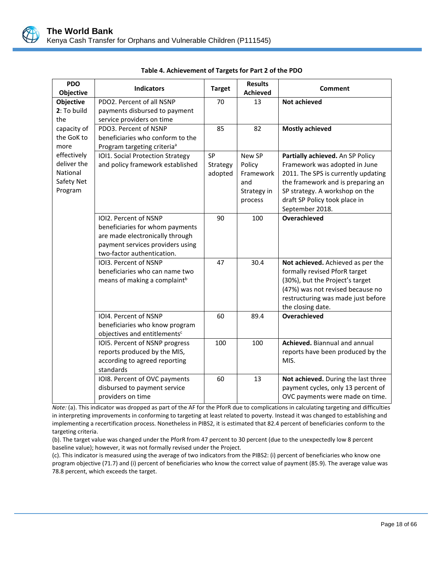

| <b>PDO</b><br>Objective    | <b>Indicators</b>                                              | <b>Target</b> | <b>Results</b><br><b>Achieved</b> | <b>Comment</b>                                                           |
|----------------------------|----------------------------------------------------------------|---------------|-----------------------------------|--------------------------------------------------------------------------|
| <b>Objective</b>           | PDO2. Percent of all NSNP                                      | 70            | 13                                | <b>Not achieved</b>                                                      |
| 2: To build                | payments disbursed to payment                                  |               |                                   |                                                                          |
| the                        | service providers on time                                      |               |                                   |                                                                          |
| capacity of                | PDO3. Percent of NSNP                                          | 85            | 82                                | <b>Mostly achieved</b>                                                   |
| the GoK to                 | beneficiaries who conform to the                               |               |                                   |                                                                          |
| more                       | Program targeting criteria <sup>a</sup>                        |               |                                   |                                                                          |
| effectively<br>deliver the | IOI1. Social Protection Strategy                               | SP            | New SP                            | Partially achieved. An SP Policy                                         |
| National                   | and policy framework established                               | Strategy      | Policy                            | Framework was adopted in June                                            |
| Safety Net                 |                                                                | adopted       | Framework<br>and                  | 2011. The SPS is currently updating<br>the framework and is preparing an |
| Program                    |                                                                |               | Strategy in                       | SP strategy. A workshop on the                                           |
|                            |                                                                |               | process                           | draft SP Policy took place in                                            |
|                            |                                                                |               |                                   | September 2018.                                                          |
|                            | IOI2. Percent of NSNP                                          | 90            | 100                               | Overachieved                                                             |
|                            | beneficiaries for whom payments                                |               |                                   |                                                                          |
|                            | are made electronically through                                |               |                                   |                                                                          |
|                            | payment services providers using                               |               |                                   |                                                                          |
|                            | two-factor authentication.                                     |               |                                   |                                                                          |
|                            | IOI3. Percent of NSNP                                          | 47            | 30.4                              | Not achieved. Achieved as per the                                        |
|                            | beneficiaries who can name two                                 |               |                                   | formally revised PforR target                                            |
|                            | means of making a complaint <sup>b</sup>                       |               |                                   | (30%), but the Project's target                                          |
|                            |                                                                |               |                                   | (47%) was not revised because no                                         |
|                            |                                                                |               |                                   | restructuring was made just before                                       |
|                            |                                                                |               |                                   | the closing date.                                                        |
|                            | IOI4. Percent of NSNP                                          | 60            | 89.4                              | Overachieved                                                             |
|                            | beneficiaries who know program                                 |               |                                   |                                                                          |
|                            | objectives and entitlements <sup>c</sup>                       |               | 100                               | Achieved. Biannual and annual                                            |
|                            | IOI5. Percent of NSNP progress<br>reports produced by the MIS, | 100           |                                   | reports have been produced by the                                        |
|                            | according to agreed reporting                                  |               |                                   | MIS.                                                                     |
|                            | standards                                                      |               |                                   |                                                                          |
|                            | IOI8. Percent of OVC payments                                  | 60            | 13                                | Not achieved. During the last three                                      |
|                            | disbursed to payment service                                   |               |                                   | payment cycles, only 13 percent of                                       |
|                            | providers on time                                              |               |                                   | OVC payments were made on time.                                          |

| Table 4. Achievement of Targets for Part 2 of the PDO |  |  |
|-------------------------------------------------------|--|--|
|                                                       |  |  |

*Note:* (a). This indicator was dropped as part of the AF for the PforR due to complications in calculating targeting and difficulties in interpreting improvements in conforming to targeting at least related to poverty. Instead it was changed to establishing and implementing a recertification process. Nonetheless in PIBS2, it is estimated that 82.4 percent of beneficiaries conform to the targeting criteria.

(b). The target value was changed under the PforR from 47 percent to 30 percent (due to the unexpectedly low 8 percent baseline value); however, it was not formally revised under the Project.

(c). This indicator is measured using the average of two indicators from the PIBS2: (i) percent of beneficiaries who know one program objective (71.7) and (i) percent of beneficiaries who know the correct value of payment (85.9). The average value was 78.8 percent, which exceeds the target.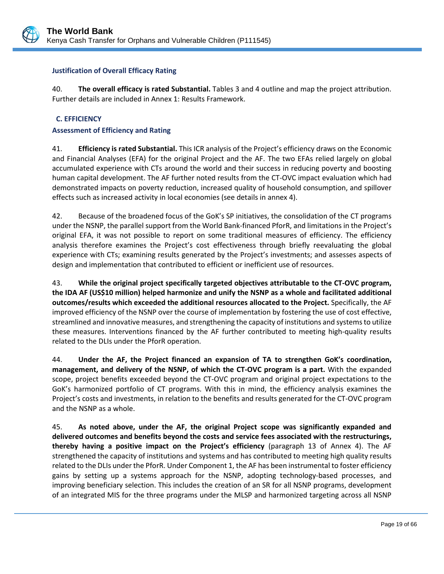

### **Justification of Overall Efficacy Rating**

40. **The overall efficacy is rated Substantial.** Tables 3 and 4 outline and map the project attribution. Further details are included in Annex 1: Results Framework.

### <span id="page-22-0"></span>**C. EFFICIENCY**

### **Assessment of Efficiency and Rating**

41. **Efficiency is rated Substantial.** This ICR analysis of the Project's efficiency draws on the Economic and Financial Analyses (EFA) for the original Project and the AF. The two EFAs relied largely on global accumulated experience with CTs around the world and their success in reducing poverty and boosting human capital development. The AF further noted results from the CT-OVC impact evaluation which had demonstrated impacts on poverty reduction, increased quality of household consumption, and spillover effects such as increased activity in local economies (see details in annex 4).

42. Because of the broadened focus of the GoK's SP initiatives, the consolidation of the CT programs under the NSNP, the parallel support from the World Bank-financed PforR, and limitations in the Project's original EFA, it was not possible to report on some traditional measures of efficiency. The efficiency analysis therefore examines the Project's cost effectiveness through briefly reevaluating the global experience with CTs; examining results generated by the Project's investments; and assesses aspects of design and implementation that contributed to efficient or inefficient use of resources.

43. **While the original project specifically targeted objectives attributable to the CT-OVC program, the IDA AF (US\$10 million) helped harmonize and unify the NSNP as a whole and facilitated additional outcomes/results which exceeded the additional resources allocated to the Project.** Specifically, the AF improved efficiency of the NSNP over the course of implementation by fostering the use of cost effective, streamlined and innovative measures, and strengthening the capacity of institutions and systems to utilize these measures. Interventions financed by the AF further contributed to meeting high-quality results related to the DLIs under the PforR operation.

44. **Under the AF, the Project financed an expansion of TA to strengthen GoK's coordination, management, and delivery of the NSNP, of which the CT-OVC program is a part.** With the expanded scope, project benefits exceeded beyond the CT-OVC program and original project expectations to the GoK's harmonized portfolio of CT programs. With this in mind, the efficiency analysis examines the Project's costs and investments, in relation to the benefits and results generated for the CT-OVC program and the NSNP as a whole.

45. **As noted above, under the AF, the original Project scope was significantly expanded and delivered outcomes and benefits beyond the costs and service fees associated with the restructurings, thereby having a positive impact on the Project's efficiency** (paragraph 13 of Annex 4). The AF strengthened the capacity of institutions and systems and has contributed to meeting high quality results related to the DLIs under the PforR. Under Component 1, the AF has been instrumental to foster efficiency gains by setting up a systems approach for the NSNP, adopting technology-based processes, and improving beneficiary selection. This includes the creation of an SR for all NSNP programs, development of an integrated MIS for the three programs under the MLSP and harmonized targeting across all NSNP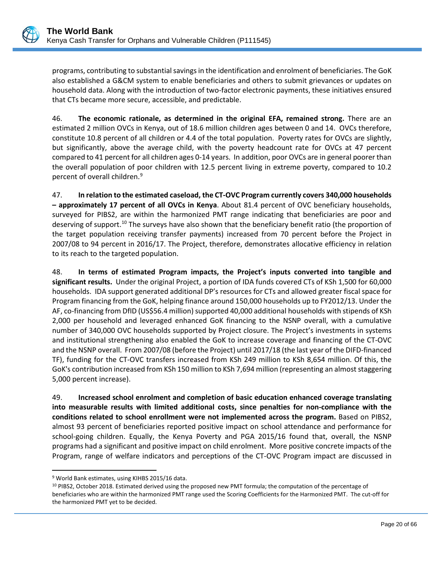programs, contributing to substantial savings in the identification and enrolment of beneficiaries. The GoK also established a G&CM system to enable beneficiaries and others to submit grievances or updates on household data. Along with the introduction of two-factor electronic payments, these initiatives ensured that CTs became more secure, accessible, and predictable.

46. **The economic rationale, as determined in the original EFA, remained strong.** There are an estimated 2 million OVCs in Kenya, out of 18.6 million children ages between 0 and 14. OVCs therefore, constitute 10.8 percent of all children or 4.4 of the total population. Poverty rates for OVCs are slightly, but significantly, above the average child, with the poverty headcount rate for OVCs at 47 percent compared to 41 percent for all children ages 0-14 years. In addition, poor OVCs are in general poorer than the overall population of poor children with 12.5 percent living in extreme poverty, compared to 10.2 percent of overall children.[9](#page-23-0)

47. **In relation to the estimated caseload, the CT-OVC Program currently covers 340,000 households – approximately 17 percent of all OVCs in Kenya**. About 81.4 percent of OVC beneficiary households, surveyed for PIBS2, are within the harmonized PMT range indicating that beneficiaries are poor and deserving of support.<sup>[10](#page-23-1)</sup> The surveys have also shown that the beneficiary benefit ratio (the proportion of the target population receiving transfer payments) increased from 70 percent before the Project in 2007/08 to 94 percent in 2016/17. The Project, therefore, demonstrates allocative efficiency in relation to its reach to the targeted population.

48. **In terms of estimated Program impacts, the Project's inputs converted into tangible and significant results.** Under the original Project, a portion of IDA funds covered CTs of KSh 1,500 for 60,000 households. IDA support generated additional DP's resources for CTs and allowed greater fiscal space for Program financing from the GoK, helping finance around 150,000 households up to FY2012/13. Under the AF, co-financing from DfID (US\$56.4 million) supported 40,000 additional households with stipends of KSh 2,000 per household and leveraged enhanced GoK financing to the NSNP overall, with a cumulative number of 340,000 OVC households supported by Project closure. The Project's investments in systems and institutional strengthening also enabled the GoK to increase coverage and financing of the CT-OVC and the NSNP overall. From 2007/08 (before the Project) until 2017/18 (the last year of the DIFD-financed TF), funding for the CT-OVC transfers increased from KSh 249 million to KSh 8,654 million. Of this, the GoK's contribution increased from KSh 150 million to KSh 7,694 million (representing an almost staggering 5,000 percent increase).

49. **Increased school enrolment and completion of basic education enhanced coverage translating into measurable results with limited additional costs, since penalties for non-compliance with the conditions related to school enrollment were not implemented across the program.** Based on PIBS2, almost 93 percent of beneficiaries reported positive impact on school attendance and performance for school-going children. Equally, the Kenya Poverty and PGA 2015/16 found that, overall, the NSNP programs had a significant and positive impact on child enrolment. More positive concrete impacts of the Program, range of welfare indicators and perceptions of the CT-OVC Program impact are discussed in

 $\overline{a}$ <sup>9</sup> World Bank estimates, using KIHBS 2015/16 data.

<span id="page-23-1"></span><span id="page-23-0"></span><sup>&</sup>lt;sup>10</sup> PIBS2, October 2018. Estimated derived using the proposed new PMT formula; the computation of the percentage of beneficiaries who are within the harmonized PMT range used the Scoring Coefficients for the Harmonized PMT. The cut-off for the harmonized PMT yet to be decided.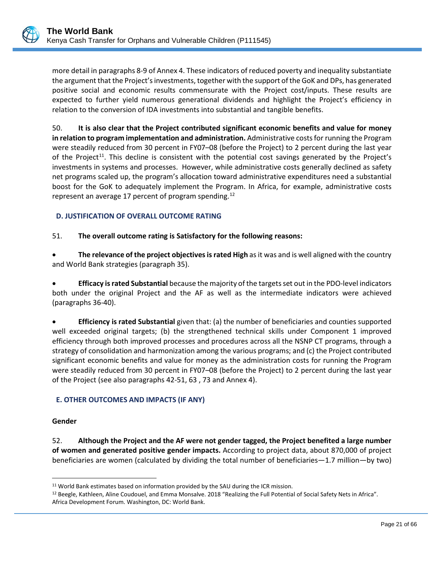more detail in paragraphs 8-9 of Annex 4. These indicators of reduced poverty and inequality substantiate the argument that the Project's investments, together with the support of the GoK and DPs, has generated positive social and economic results commensurate with the Project cost/inputs. These results are expected to further yield numerous generational dividends and highlight the Project's efficiency in relation to the conversion of IDA investments into substantial and tangible benefits.

50. **It is also clear that the Project contributed significant economic benefits and value for money in relation to program implementation and administration.** Administrative costs for running the Program were steadily reduced from 30 percent in FY07–08 (before the Project) to 2 percent during the last year of the Project<sup>11</sup>. This decline is consistent with the potential cost savings generated by the Project's investments in systems and processes. However, while administrative costs generally declined as safety net programs scaled up, the program's allocation toward administrative expenditures need a substantial boost for the GoK to adequately implement the Program. In Africa, for example, administrative costs represent an average 17 percent of program spending.<sup>[12](#page-24-3)</sup>

## <span id="page-24-0"></span>**D. JUSTIFICATION OF OVERALL OUTCOME RATING**

### 51. **The overall outcome rating is Satisfactory for the following reasons:**

• **The relevance of the project objectives is rated High** as it was and is well aligned with the country and World Bank strategies (paragraph 35).

• **Efficacy is rated Substantial** because the majority of the targets set out in the PDO-level indicators both under the original Project and the AF as well as the intermediate indicators were achieved (paragraphs 36-40).

• **Efficiency is rated Substantial** given that: (a) the number of beneficiaries and counties supported well exceeded original targets; (b) the strengthened technical skills under Component 1 improved efficiency through both improved processes and procedures across all the NSNP CT programs, through a strategy of consolidation and harmonization among the various programs; and (c) the Project contributed significant economic benefits and value for money as the administration costs for running the Program were steadily reduced from 30 percent in FY07–08 (before the Project) to 2 percent during the last year of the Project (see also paragraphs 42-51, 63 , 73 and Annex 4).

### <span id="page-24-1"></span>**E. OTHER OUTCOMES AND IMPACTS (IF ANY)**

#### **Gender**

 $\overline{a}$ 

52. **Although the Project and the AF were not gender tagged, the Project benefited a large number of women and generated positive gender impacts.** According to project data, about 870,000 of project beneficiaries are women (calculated by dividing the total number of beneficiaries—1.7 million—by two)

<span id="page-24-2"></span><sup>&</sup>lt;sup>11</sup> World Bank estimates based on information provided by the SAU during the ICR mission.

<span id="page-24-3"></span><sup>&</sup>lt;sup>12</sup> Beegle, Kathleen, Aline Coudouel, and Emma Monsalve. 2018 "Realizing the Full Potential of Social Safety Nets in Africa". Africa Development Forum. Washington, DC: World Bank.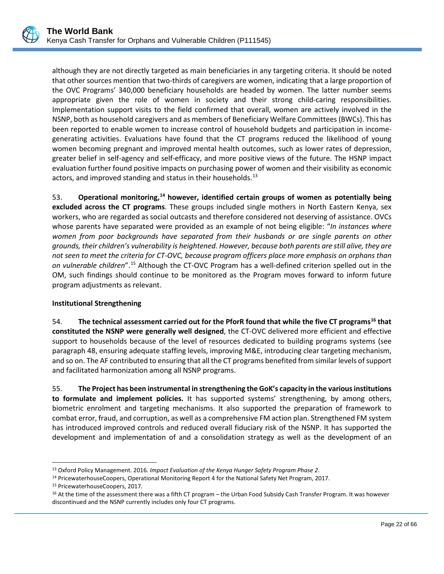although they are not directly targeted as main beneficiaries in any targeting criteria. It should be noted that other sources mention that two-thirds of caregivers are women, indicating that a large proportion of the OVC Programs' 340,000 beneficiary households are headed by women. The latter number seems appropriate given the role of women in society and their strong child-caring responsibilities. Implementation support visits to the field confirmed that overall, women are actively involved in the NSNP, both as household caregivers and as members of Beneficiary Welfare Committees (BWCs). This has been reported to enable women to increase control of household budgets and participation in incomegenerating activities. Evaluations have found that the CT programs reduced the likelihood of young women becoming pregnant and improved mental health outcomes, such as lower rates of depression, greater belief in self-agency and self-efficacy, and more positive views of the future. The HSNP impact evaluation further found positive impacts on purchasing power of women and their visibility as economic actors, and improved standing and status in their households.<sup>[13](#page-25-0)</sup>

53. **Operational monitoring, [14](#page-25-1) however, identified certain groups of women as potentially being excluded across the CT programs**. These groups included single mothers in North Eastern Kenya, sex workers, who are regarded as social outcasts and therefore considered not deserving of assistance. OVCs whose parents have separated were provided as an example of not being eligible: "*In instances where women from poor backgrounds have separated from their husbands or are single parents on other grounds, their children's vulnerability is heightened. However, because both parents are still alive, they are not seen to meet the criteria for CT-OVC, because program officers place more emphasis on orphans than on vulnerable children*".[15](#page-25-2) Although the CT-OVC Program has a well-defined criterion spelled out in the OM, such findings should continue to be monitored as the Program moves forward to inform future program adjustments as relevant.

# **Institutional Strengthening**

54. **The technical assessment carried out for the PforR found that while the five CT programs[16](#page-25-3) that constituted the NSNP were generally well designed**, the CT-OVC delivered more efficient and effective support to households because of the level of resources dedicated to building programs systems (see paragraph 48, ensuring adequate staffing levels, improving M&E, introducing clear targeting mechanism, and so on. The AF contributed to ensuring that all the CT programs benefited from similar levels of support and facilitated harmonization among all NSNP programs.

55. **The Project has been instrumental in strengthening the GoK's capacity in the various institutions to formulate and implement policies.** It has supported systems' strengthening, by among others, biometric enrolment and targeting mechanisms. It also supported the preparation of framework to combat error, fraud, and corruption, as well as a comprehensive FM action plan. Strengthened FM system has introduced improved controls and reduced overall fiduciary risk of the NSNP. It has supported the development and implementation of and a consolidation strategy as well as the development of an

 $\overline{a}$ 

<span id="page-25-1"></span><span id="page-25-0"></span><sup>13</sup> Oxford Policy Management. 2016. *Impact Evaluation of the Kenya Hunger Safety Program Phase 2*.

<sup>&</sup>lt;sup>14</sup> PricewaterhouseCoopers, Operational Monitoring Report 4 for the National Safety Net Program, 2017.

<span id="page-25-2"></span><sup>15</sup> PricewaterhouseCoopers, 2017.

<span id="page-25-3"></span><sup>16</sup> At the time of the assessment there was a fifth CT program – the Urban Food Subsidy Cash Transfer Program. It was however discontinued and the NSNP currently includes only four CT programs.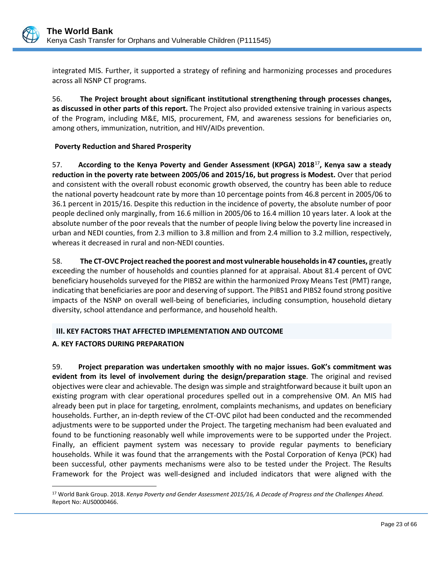

integrated MIS. Further, it supported a strategy of refining and harmonizing processes and procedures across all NSNP CT programs.

56. **The Project brought about significant institutional strengthening through processes changes, as discussed in other parts of this report.** The Project also provided extensive training in various aspects of the Program, including M&E, MIS, procurement, FM, and awareness sessions for beneficiaries on, among others, immunization, nutrition, and HIV/AIDs prevention.

## **Poverty Reduction and Shared Prosperity**

57. **According to the Kenya Poverty and Gender Assessment (KPGA) 2018**[17](#page-26-1)**, Kenya saw a steady reduction in the poverty rate between 2005/06 and 2015/16, but progress is Modest.** Over that period and consistent with the overall robust economic growth observed, the country has been able to reduce the national poverty headcount rate by more than 10 percentage points from 46.8 percent in 2005/06 to 36.1 percent in 2015/16. Despite this reduction in the incidence of poverty, the absolute number of poor people declined only marginally, from 16.6 million in 2005/06 to 16.4 million 10 years later. A look at the absolute number of the poor reveals that the number of people living below the poverty line increased in urban and NEDI counties, from 2.3 million to 3.8 million and from 2.4 million to 3.2 million, respectively, whereas it decreased in rural and non-NEDI counties.

58. **The CT-OVC Project reached the poorest and most vulnerable households in 47 counties,** greatly exceeding the number of households and counties planned for at appraisal. About 81.4 percent of OVC beneficiary households surveyed for the PIBS2 are within the harmonized Proxy Means Test (PMT) range, indicating that beneficiaries are poor and deserving of support. The PIBS1 and PIBS2 found strong positive impacts of the NSNP on overall well-being of beneficiaries, including consumption, household dietary diversity, school attendance and performance, and household health.

# <span id="page-26-0"></span>**III. KEY FACTORS THAT AFFECTED IMPLEMENTATION AND OUTCOME**

### **A. KEY FACTORS DURING PREPARATION**

 $\overline{a}$ 

59. **Project preparation was undertaken smoothly with no major issues. GoK's commitment was evident from its level of involvement during the design/preparation stage**. The original and revised objectives were clear and achievable. The design was simple and straightforward because it built upon an existing program with clear operational procedures spelled out in a comprehensive OM. An MIS had already been put in place for targeting, enrolment, complaints mechanisms, and updates on beneficiary households. Further, an in-depth review of the CT-OVC pilot had been conducted and the recommended adjustments were to be supported under the Project. The targeting mechanism had been evaluated and found to be functioning reasonably well while improvements were to be supported under the Project. Finally, an efficient payment system was necessary to provide regular payments to beneficiary households. While it was found that the arrangements with the Postal Corporation of Kenya (PCK) had been successful, other payments mechanisms were also to be tested under the Project. The Results Framework for the Project was well-designed and included indicators that were aligned with the

<span id="page-26-1"></span><sup>17</sup> World Bank Group. 2018. *Kenya Poverty and Gender Assessment 2015/16, A Decade of Progress and the Challenges Ahead.* Report No: AUS0000466.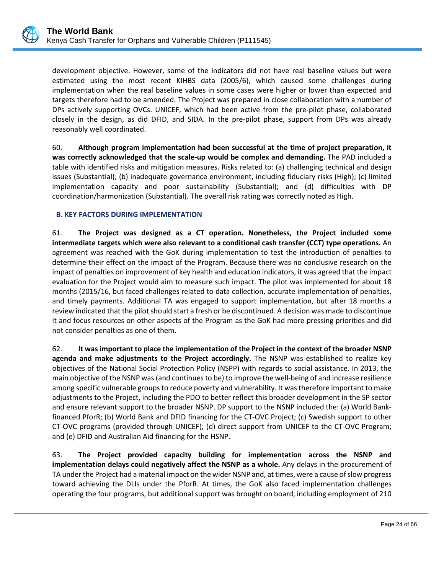development objective. However, some of the indicators did not have real baseline values but were estimated using the most recent KIHBS data (2005/6), which caused some challenges during implementation when the real baseline values in some cases were higher or lower than expected and targets therefore had to be amended. The Project was prepared in close collaboration with a number of DPs actively supporting OVCs. UNICEF, which had been active from the pre-pilot phase, collaborated closely in the design, as did DFID, and SIDA. In the pre-pilot phase, support from DPs was already reasonably well coordinated.

60. **Although program implementation had been successful at the time of project preparation, it was correctly acknowledged that the scale-up would be complex and demanding.** The PAD included a table with identified risks and mitigation measures. Risks related to: (a) challenging technical and design issues (Substantial); (b) inadequate governance environment, including fiduciary risks (High); (c) limited implementation capacity and poor sustainability (Substantial); and (d) difficulties with DP coordination/harmonization (Substantial). The overall risk rating was correctly noted as High.

# <span id="page-27-0"></span>**B. KEY FACTORS DURING IMPLEMENTATION**

61. **The Project was designed as a CT operation. Nonetheless, the Project included some intermediate targets which were also relevant to a conditional cash transfer (CCT) type operations.** An agreement was reached with the GoK during implementation to test the introduction of penalties to determine their effect on the impact of the Program. Because there was no conclusive research on the impact of penalties on improvement of key health and education indicators, it was agreed that the impact evaluation for the Project would aim to measure such impact. The pilot was implemented for about 18 months (2015/16, but faced challenges related to data collection, accurate implementation of penalties, and timely payments. Additional TA was engaged to support implementation, but after 18 months a review indicated that the pilot should start a fresh or be discontinued. A decision was made to discontinue it and focus resources on other aspects of the Program as the GoK had more pressing priorities and did not consider penalties as one of them.

62. **It wasimportant to place the implementation of the Project in the context of the broader NSNP agenda and make adjustments to the Project accordingly.** The NSNP was established to realize key objectives of the National Social Protection Policy (NSPP) with regards to social assistance. In 2013, the main objective of the NSNP was (and continues to be) to improve the well-being of and increase resilience among specific vulnerable groups to reduce poverty and vulnerability. It was therefore important to make adjustments to the Project, including the PDO to better reflect this broader development in the SP sector and ensure relevant support to the broader NSNP. DP support to the NSNP included the: (a) World Bankfinanced PforR; (b) World Bank and DFID financing for the CT-OVC Project; (c) Swedish support to other CT-OVC programs (provided through UNICEF); (d) direct support from UNICEF to the CT-OVC Program; and (e) DFID and Australian Aid financing for the HSNP.

63. **The Project provided capacity building for implementation across the NSNP and implementation delays could negatively affect the NSNP as a whole.** Any delays in the procurement of TA under the Project had a material impact on the wider NSNP and, at times, were a cause of slow progress toward achieving the DLIs under the PforR. At times, the GoK also faced implementation challenges operating the four programs, but additional support was brought on board, including employment of 210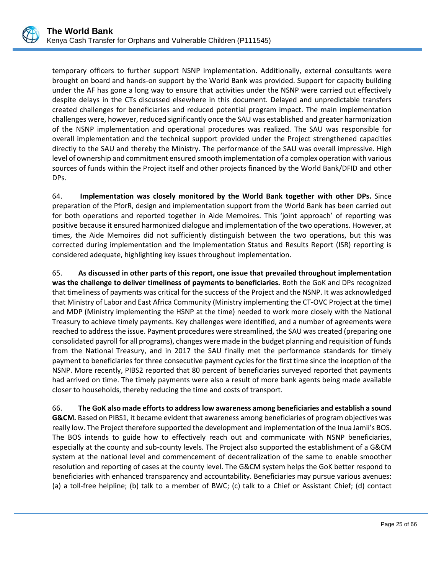temporary officers to further support NSNP implementation. Additionally, external consultants were brought on board and hands-on support by the World Bank was provided. Support for capacity building under the AF has gone a long way to ensure that activities under the NSNP were carried out effectively despite delays in the CTs discussed elsewhere in this document. Delayed and unpredictable transfers created challenges for beneficiaries and reduced potential program impact. The main implementation challenges were, however, reduced significantly once the SAU was established and greater harmonization of the NSNP implementation and operational procedures was realized. The SAU was responsible for overall implementation and the technical support provided under the Project strengthened capacities directly to the SAU and thereby the Ministry. The performance of the SAU was overall impressive. High level of ownership and commitment ensured smooth implementation of a complex operation with various sources of funds within the Project itself and other projects financed by the World Bank/DFID and other DPs.

64. **Implementation was closely monitored by the World Bank together with other DPs.** Since preparation of the PforR, design and implementation support from the World Bank has been carried out for both operations and reported together in Aide Memoires. This 'joint approach' of reporting was positive because it ensured harmonized dialogue and implementation of the two operations. However, at times, the Aide Memoires did not sufficiently distinguish between the two operations, but this was corrected during implementation and the Implementation Status and Results Report (ISR) reporting is considered adequate, highlighting key issues throughout implementation.

65. **As discussed in other parts of this report, one issue that prevailed throughout implementation was the challenge to deliver timeliness of payments to beneficiaries.** Both the GoK and DPs recognized that timeliness of payments was critical for the success of the Project and the NSNP. It was acknowledged that Ministry of Labor and East Africa Community (Ministry implementing the CT-OVC Project at the time) and MDP (Ministry implementing the HSNP at the time) needed to work more closely with the National Treasury to achieve timely payments. Key challenges were identified, and a number of agreements were reached to address the issue. Payment procedures were streamlined, the SAU was created (preparing one consolidated payroll for all programs), changes were made in the budget planning and requisition of funds from the National Treasury, and in 2017 the SAU finally met the performance standards for timely payment to beneficiaries for three consecutive payment cycles for the first time since the inception of the NSNP. More recently, PIBS2 reported that 80 percent of beneficiaries surveyed reported that payments had arrived on time. The timely payments were also a result of more bank agents being made available closer to households, thereby reducing the time and costs of transport.

66. **The GoK also made efforts to address low awareness among beneficiaries and establish a sound G&CM.** Based on PIBS1, it became evident that awareness among beneficiaries of program objectives was really low. The Project therefore supported the development and implementation of the Inua Jamii's BOS. The BOS intends to guide how to effectively reach out and communicate with NSNP beneficiaries, especially at the county and sub-county levels. The Project also supported the establishment of a G&CM system at the national level and commencement of decentralization of the same to enable smoother resolution and reporting of cases at the county level. The G&CM system helps the GoK better respond to beneficiaries with enhanced transparency and accountability. Beneficiaries may pursue various avenues: (a) a toll-free helpline; (b) talk to a member of BWC; (c) talk to a Chief or Assistant Chief; (d) contact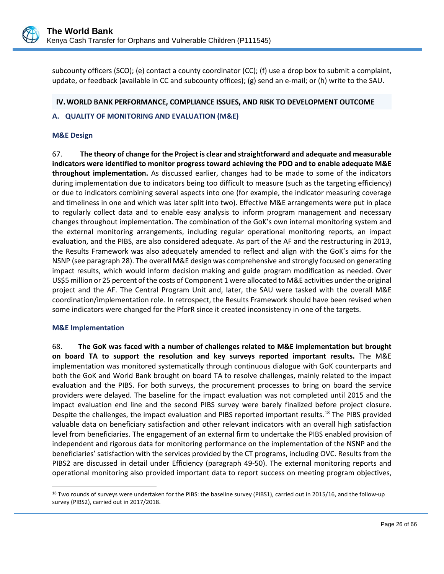

subcounty officers (SCO); (e) contact a county coordinator (CC); (f) use a drop box to submit a complaint, update, or feedback (available in CC and subcounty offices); (g) send an e-mail; or (h) write to the SAU.

### <span id="page-29-0"></span>**IV.WORLD BANK PERFORMANCE, COMPLIANCE ISSUES, AND RISK TO DEVELOPMENT OUTCOME**

## <span id="page-29-1"></span>**A. QUALITY OF MONITORING AND EVALUATION (M&E)**

### **M&E Design**

67. **The theory of change for the Project is clear and straightforward and adequate and measurable indicators were identified to monitor progress toward achieving the PDO and to enable adequate M&E throughout implementation.** As discussed earlier, changes had to be made to some of the indicators during implementation due to indicators being too difficult to measure (such as the targeting efficiency) or due to indicators combining several aspects into one (for example, the indicator measuring coverage and timeliness in one and which was later split into two). Effective M&E arrangements were put in place to regularly collect data and to enable easy analysis to inform program management and necessary changes throughout implementation. The combination of the GoK's own internal monitoring system and the external monitoring arrangements, including regular operational monitoring reports, an impact evaluation, and the PIBS, are also considered adequate. As part of the AF and the restructuring in 2013, the Results Framework was also adequately amended to reflect and align with the GoK's aims for the NSNP (see paragraph 28). The overall M&E design was comprehensive and strongly focused on generating impact results, which would inform decision making and guide program modification as needed. Over US\$5 million or 25 percent of the costs of Component 1 were allocated to M&E activities under the original project and the AF. The Central Program Unit and, later, the SAU were tasked with the overall M&E coordination/implementation role. In retrospect, the Results Framework should have been revised when some indicators were changed for the PforR since it created inconsistency in one of the targets.

#### **M&E Implementation**

68. **The GoK was faced with a number of challenges related to M&E implementation but brought on board TA to support the resolution and key surveys reported important results.** The M&E implementation was monitored systematically through continuous dialogue with GoK counterparts and both the GoK and World Bank brought on board TA to resolve challenges, mainly related to the impact evaluation and the PIBS. For both surveys, the procurement processes to bring on board the service providers were delayed. The baseline for the impact evaluation was not completed until 2015 and the impact evaluation end line and the second PIBS survey were barely finalized before project closure. Despite the challenges, the impact evaluation and PIBS reported important results.<sup>[18](#page-29-2)</sup> The PIBS provided valuable data on beneficiary satisfaction and other relevant indicators with an overall high satisfaction level from beneficiaries. The engagement of an external firm to undertake the PIBS enabled provision of independent and rigorous data for monitoring performance on the implementation of the NSNP and the beneficiaries' satisfaction with the services provided by the CT programs, including OVC. Results from the PIBS2 are discussed in detail under Efficiency (paragraph 49-50). The external monitoring reports and operational monitoring also provided important data to report success on meeting program objectives,

<span id="page-29-2"></span> $\overline{a}$ 18 Two rounds of surveys were undertaken for the PIBS: the baseline survey (PIBS1), carried out in 2015/16, and the follow-up survey (PIBS2), carried out in 2017/2018.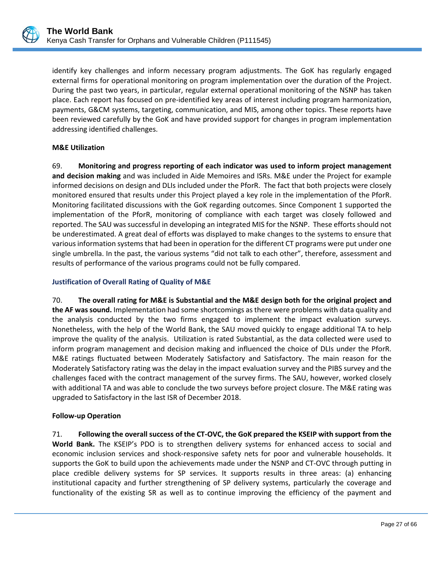identify key challenges and inform necessary program adjustments. The GoK has regularly engaged external firms for operational monitoring on program implementation over the duration of the Project. During the past two years, in particular, regular external operational monitoring of the NSNP has taken place. Each report has focused on pre-identified key areas of interest including program harmonization, payments, G&CM systems, targeting, communication, and MIS, among other topics. These reports have been reviewed carefully by the GoK and have provided support for changes in program implementation addressing identified challenges.

# **M&E Utilization**

69. **Monitoring and progress reporting of each indicator was used to inform project management and decision making** and was included in Aide Memoires and ISRs. M&E under the Project for example informed decisions on design and DLIs included under the PforR. The fact that both projects were closely monitored ensured that results under this Project played a key role in the implementation of the PforR. Monitoring facilitated discussions with the GoK regarding outcomes. Since Component 1 supported the implementation of the PforR, monitoring of compliance with each target was closely followed and reported. The SAU was successful in developing an integrated MIS for the NSNP. These efforts should not be underestimated. A great deal of efforts was displayed to make changes to the systems to ensure that various information systems that had been in operation for the different CT programs were put under one single umbrella. In the past, the various systems "did not talk to each other", therefore, assessment and results of performance of the various programs could not be fully compared.

## **Justification of Overall Rating of Quality of M&E**

70. **The overall rating for M&E is Substantial and the M&E design both for the original project and the AF was sound.** Implementation had some shortcomings as there were problems with data quality and the analysis conducted by the two firms engaged to implement the impact evaluation surveys. Nonetheless, with the help of the World Bank, the SAU moved quickly to engage additional TA to help improve the quality of the analysis. Utilization is rated Substantial, as the data collected were used to inform program management and decision making and influenced the choice of DLIs under the PforR. M&E ratings fluctuated between Moderately Satisfactory and Satisfactory. The main reason for the Moderately Satisfactory rating was the delay in the impact evaluation survey and the PIBS survey and the challenges faced with the contract management of the survey firms. The SAU, however, worked closely with additional TA and was able to conclude the two surveys before project closure. The M&E rating was upgraded to Satisfactory in the last ISR of December 2018.

### **Follow-up Operation**

71. **Following the overall success of the CT-OVC, the GoK prepared the KSEIP with support from the World Bank.** The KSEIP's PDO is to strengthen delivery systems for enhanced access to social and economic inclusion services and shock-responsive safety nets for poor and vulnerable households. It supports the GoK to build upon the achievements made under the NSNP and CT-OVC through putting in place credible delivery systems for SP services. It supports results in three areas: (a) enhancing institutional capacity and further strengthening of SP delivery systems, particularly the coverage and functionality of the existing SR as well as to continue improving the efficiency of the payment and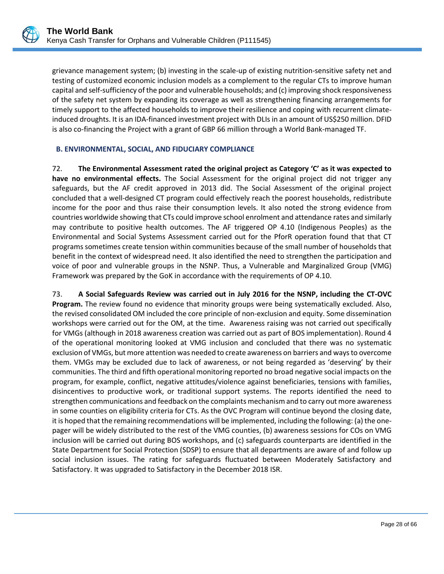grievance management system; (b) investing in the scale-up of existing nutrition-sensitive safety net and testing of customized economic inclusion models as a complement to the regular CTs to improve human capital and self-sufficiency of the poor and vulnerable households; and (c) improving shock responsiveness of the safety net system by expanding its coverage as well as strengthening financing arrangements for timely support to the affected households to improve their resilience and coping with recurrent climateinduced droughts. It is an IDA-financed investment project with DLIs in an amount of US\$250 million. DFID is also co-financing the Project with a grant of GBP 66 million through a World Bank-managed TF.

## <span id="page-31-0"></span>**B. ENVIRONMENTAL, SOCIAL, AND FIDUCIARY COMPLIANCE**

72. **The Environmental Assessment rated the original project as Category 'C' as it was expected to have no environmental effects.** The Social Assessment for the original project did not trigger any safeguards, but the AF credit approved in 2013 did. The Social Assessment of the original project concluded that a well-designed CT program could effectively reach the poorest households, redistribute income for the poor and thus raise their consumption levels. It also noted the strong evidence from countries worldwide showing that CTs could improve school enrolment and attendance rates and similarly may contribute to positive health outcomes. The AF triggered OP 4.10 (Indigenous Peoples) as the Environmental and Social Systems Assessment carried out for the PforR operation found that that CT programs sometimes create tension within communities because of the small number of households that benefit in the context of widespread need. It also identified the need to strengthen the participation and voice of poor and vulnerable groups in the NSNP. Thus, a Vulnerable and Marginalized Group (VMG) Framework was prepared by the GoK in accordance with the requirements of OP 4.10.

73. **A Social Safeguards Review was carried out in July 2016 for the NSNP, including the CT-OVC Program.** The review found no evidence that minority groups were being systematically excluded. Also, the revised consolidated OM included the core principle of non-exclusion and equity. Some dissemination workshops were carried out for the OM, at the time. Awareness raising was not carried out specifically for VMGs (although in 2018 awareness creation was carried out as part of BOS implementation). Round 4 of the operational monitoring looked at VMG inclusion and concluded that there was no systematic exclusion of VMGs, but more attention was needed to create awareness on barriers and ways to overcome them. VMGs may be excluded due to lack of awareness, or not being regarded as 'deserving' by their communities. The third and fifth operational monitoring reported no broad negative social impacts on the program, for example, conflict, negative attitudes/violence against beneficiaries, tensions with families, disincentives to productive work, or traditional support systems. The reports identified the need to strengthen communications and feedback on the complaints mechanism and to carry out more awareness in some counties on eligibility criteria for CTs. As the OVC Program will continue beyond the closing date, it is hoped that the remaining recommendations will be implemented, including the following: (a) the onepager will be widely distributed to the rest of the VMG counties, (b) awareness sessions for COs on VMG inclusion will be carried out during BOS workshops, and (c) safeguards counterparts are identified in the State Department for Social Protection (SDSP) to ensure that all departments are aware of and follow up social inclusion issues. The rating for safeguards fluctuated between Moderately Satisfactory and Satisfactory. It was upgraded to Satisfactory in the December 2018 ISR.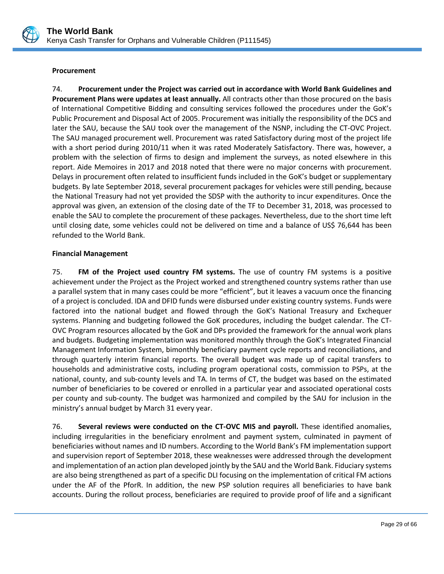

### **Procurement**

74. **Procurement under the Project was carried out in accordance with World Bank Guidelines and Procurement Plans were updates at least annually.** All contracts other than those procured on the basis of International Competitive Bidding and consulting services followed the procedures under the GoK's Public Procurement and Disposal Act of 2005. Procurement was initially the responsibility of the DCS and later the SAU, because the SAU took over the management of the NSNP, including the CT-OVC Project. The SAU managed procurement well. Procurement was rated Satisfactory during most of the project life with a short period during 2010/11 when it was rated Moderately Satisfactory. There was, however, a problem with the selection of firms to design and implement the surveys, as noted elsewhere in this report. Aide Memoires in 2017 and 2018 noted that there were no major concerns with procurement. Delays in procurement often related to insufficient funds included in the GoK's budget or supplementary budgets. By late September 2018, several procurement packages for vehicles were still pending, because the National Treasury had not yet provided the SDSP with the authority to incur expenditures. Once the approval was given, an extension of the closing date of the TF to December 31, 2018, was processed to enable the SAU to complete the procurement of these packages. Nevertheless, due to the short time left until closing date, some vehicles could not be delivered on time and a balance of US\$ 76,644 has been refunded to the World Bank.

### **Financial Management**

75. **FM of the Project used country FM systems.** The use of country FM systems is a positive achievement under the Project as the Project worked and strengthened country systems rather than use a parallel system that in many cases could be more "efficient", but it leaves a vacuum once the financing of a project is concluded. IDA and DFID funds were disbursed under existing country systems. Funds were factored into the national budget and flowed through the GoK's National Treasury and Exchequer systems. Planning and budgeting followed the GoK procedures, including the budget calendar. The CT-OVC Program resources allocated by the GoK and DPs provided the framework for the annual work plans and budgets. Budgeting implementation was monitored monthly through the GoK's Integrated Financial Management Information System, bimonthly beneficiary payment cycle reports and reconciliations, and through quarterly interim financial reports. The overall budget was made up of capital transfers to households and administrative costs, including program operational costs, commission to PSPs, at the national, county, and sub-county levels and TA. In terms of CT, the budget was based on the estimated number of beneficiaries to be covered or enrolled in a particular year and associated operational costs per county and sub-county. The budget was harmonized and compiled by the SAU for inclusion in the ministry's annual budget by March 31 every year.

76. **Several reviews were conducted on the CT-OVC MIS and payroll.** These identified anomalies, including irregularities in the beneficiary enrolment and payment system, culminated in payment of beneficiaries without names and ID numbers. According to the World Bank's FM implementation support and supervision report of September 2018, these weaknesses were addressed through the development and implementation of an action plan developed jointly by the SAU and the World Bank. Fiduciary systems are also being strengthened as part of a specific DLI focusing on the implementation of critical FM actions under the AF of the PforR. In addition, the new PSP solution requires all beneficiaries to have bank accounts. During the rollout process, beneficiaries are required to provide proof of life and a significant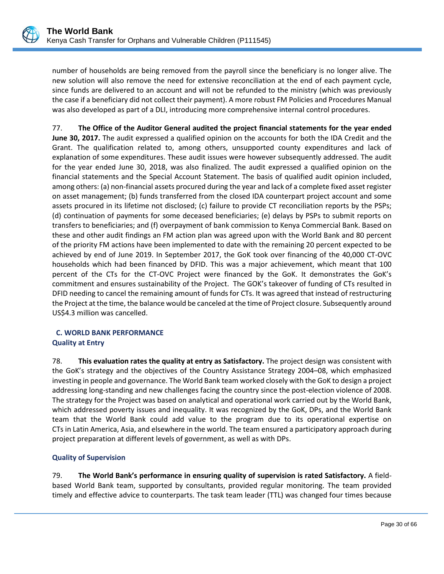number of households are being removed from the payroll since the beneficiary is no longer alive. The new solution will also remove the need for extensive reconciliation at the end of each payment cycle, since funds are delivered to an account and will not be refunded to the ministry (which was previously the case if a beneficiary did not collect their payment). A more robust FM Policies and Procedures Manual was also developed as part of a DLI, introducing more comprehensive internal control procedures.

77. **The Office of the Auditor General audited the project financial statements for the year ended June 30, 2017.** The audit expressed a qualified opinion on the accounts for both the IDA Credit and the Grant. The qualification related to, among others, unsupported county expenditures and lack of explanation of some expenditures. These audit issues were however subsequently addressed. The audit for the year ended June 30, 2018, was also finalized. The audit expressed a qualified opinion on the financial statements and the Special Account Statement. The basis of qualified audit opinion included, among others: (a) non-financial assets procured during the year and lack of a complete fixed asset register on asset management; (b) funds transferred from the closed IDA counterpart project account and some assets procured in its lifetime not disclosed; (c) failure to provide CT reconciliation reports by the PSPs; (d) continuation of payments for some deceased beneficiaries; (e) delays by PSPs to submit reports on transfers to beneficiaries; and (f) overpayment of bank commission to Kenya Commercial Bank. Based on these and other audit findings an FM action plan was agreed upon with the World Bank and 80 percent of the priority FM actions have been implemented to date with the remaining 20 percent expected to be achieved by end of June 2019. In September 2017, the GoK took over financing of the 40,000 CT-OVC households which had been financed by DFID. This was a major achievement, which meant that 100 percent of the CTs for the CT-OVC Project were financed by the GoK. It demonstrates the GoK's commitment and ensures sustainability of the Project. The GOK's takeover of funding of CTs resulted in DFID needing to cancel the remaining amount of funds for CTs. It was agreed that instead of restructuring the Project at the time, the balance would be canceled at the time of Project closure. Subsequently around US\$4.3 million was cancelled.

# <span id="page-33-0"></span>**C. WORLD BANK PERFORMANCE Quality at Entry**

78. **This evaluation rates the quality at entry as Satisfactory.** The project design was consistent with the GoK's strategy and the objectives of the Country Assistance Strategy 2004–08, which emphasized investing in people and governance. The World Bank team worked closely with the GoK to design a project addressing long-standing and new challenges facing the country since the post-election violence of 2008. The strategy for the Project was based on analytical and operational work carried out by the World Bank, which addressed poverty issues and inequality. It was recognized by the GoK, DPs, and the World Bank team that the World Bank could add value to the program due to its operational expertise on CTs in Latin America, Asia, and elsewhere in the world. The team ensured a participatory approach during project preparation at different levels of government, as well as with DPs.

# **Quality of Supervision**

79. **The World Bank's performance in ensuring quality of supervision is rated Satisfactory.** A fieldbased World Bank team, supported by consultants, provided regular monitoring. The team provided timely and effective advice to counterparts. The task team leader (TTL) was changed four times because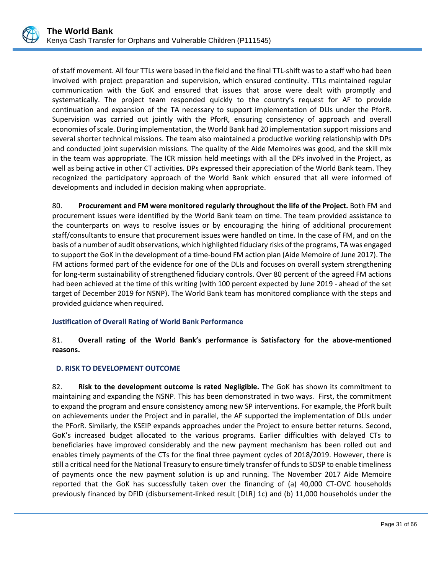

of staff movement. All four TTLs were based in the field and the final TTL-shift was to a staff who had been involved with project preparation and supervision, which ensured continuity. TTLs maintained regular communication with the GoK and ensured that issues that arose were dealt with promptly and systematically. The project team responded quickly to the country's request for AF to provide continuation and expansion of the TA necessary to support implementation of DLIs under the PforR. Supervision was carried out jointly with the PforR, ensuring consistency of approach and overall economies of scale. During implementation, the World Bank had 20 implementation support missions and several shorter technical missions. The team also maintained a productive working relationship with DPs and conducted joint supervision missions. The quality of the Aide Memoires was good, and the skill mix in the team was appropriate. The ICR mission held meetings with all the DPs involved in the Project, as well as being active in other CT activities. DPs expressed their appreciation of the World Bank team. They recognized the participatory approach of the World Bank which ensured that all were informed of developments and included in decision making when appropriate.

80. **Procurement and FM were monitored regularly throughout the life of the Project.** Both FM and procurement issues were identified by the World Bank team on time. The team provided assistance to the counterparts on ways to resolve issues or by encouraging the hiring of additional procurement staff/consultants to ensure that procurement issues were handled on time. In the case of FM, and on the basis of a number of audit observations, which highlighted fiduciary risks of the programs, TA was engaged to support the GoK in the development of a time-bound FM action plan (Aide Memoire of June 2017). The FM actions formed part of the evidence for one of the DLIs and focuses on overall system strengthening for long-term sustainability of strengthened fiduciary controls. Over 80 percent of the agreed FM actions had been achieved at the time of this writing (with 100 percent expected by June 2019 - ahead of the set target of December 2019 for NSNP). The World Bank team has monitored compliance with the steps and provided guidance when required.

# **Justification of Overall Rating of World Bank Performance**

# 81. **Overall rating of the World Bank's performance is Satisfactory for the above-mentioned reasons.**

# <span id="page-34-0"></span>**D. RISK TO DEVELOPMENT OUTCOME**

82. **Risk to the development outcome is rated Negligible.** The GoK has shown its commitment to maintaining and expanding the NSNP. This has been demonstrated in two ways. First, the commitment to expand the program and ensure consistency among new SP interventions. For example, the PforR built on achievements under the Project and in parallel, the AF supported the implementation of DLIs under the PForR. Similarly, the KSEIP expands approaches under the Project to ensure better returns. Second, GoK's increased budget allocated to the various programs. Earlier difficulties with delayed CTs to beneficiaries have improved considerably and the new payment mechanism has been rolled out and enables timely payments of the CTs for the final three payment cycles of 2018/2019. However, there is still a critical need for the National Treasury to ensure timely transfer of funds to SDSP to enable timeliness of payments once the new payment solution is up and running. The November 2017 Aide Memoire reported that the GoK has successfully taken over the financing of (a) 40,000 CT-OVC households previously financed by DFID (disbursement-linked result [DLR] 1c) and (b) 11,000 households under the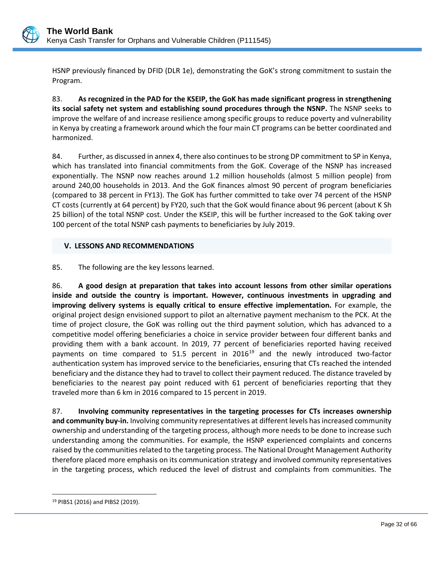

HSNP previously financed by DFID (DLR 1e), demonstrating the GoK's strong commitment to sustain the Program.

83. **As recognized in the PAD for the KSEIP, the GoK has made significant progress in strengthening its social safety net system and establishing sound procedures through the NSNP.** The NSNP seeks to improve the welfare of and increase resilience among specific groups to reduce poverty and vulnerability in Kenya by creating a framework around which the four main CT programs can be better coordinated and harmonized.

84. Further, as discussed in annex 4, there also continues to be strong DP commitment to SP in Kenya, which has translated into financial commitments from the GoK. Coverage of the NSNP has increased exponentially. The NSNP now reaches around 1.2 million households (almost 5 million people) from around 240,00 households in 2013. And the GoK finances almost 90 percent of program beneficiaries (compared to 38 percent in FY13). The GoK has further committed to take over 74 percent of the HSNP CT costs (currently at 64 percent) by FY20, such that the GoK would finance about 96 percent (about K Sh 25 billion) of the total NSNP cost. Under the KSEIP, this will be further increased to the GoK taking over 100 percent of the total NSNP cash payments to beneficiaries by July 2019.

## <span id="page-35-0"></span>**V. LESSONS AND RECOMMENDATIONS**

85. The following are the key lessons learned.

86. **A good design at preparation that takes into account lessons from other similar operations inside and outside the country is important. However, continuous investments in upgrading and improving delivery systems is equally critical to ensure effective implementation.** For example, the original project design envisioned support to pilot an alternative payment mechanism to the PCK. At the time of project closure, the GoK was rolling out the third payment solution, which has advanced to a competitive model offering beneficiaries a choice in service provider between four different banks and providing them with a bank account. In 2019, 77 percent of beneficiaries reported having received payments on time compared to 51.5 percent in  $2016^{19}$  $2016^{19}$  $2016^{19}$  and the newly introduced two-factor authentication system has improved service to the beneficiaries, ensuring that CTs reached the intended beneficiary and the distance they had to travel to collect their payment reduced. The distance traveled by beneficiaries to the nearest pay point reduced with 61 percent of beneficiaries reporting that they traveled more than 6 km in 2016 compared to 15 percent in 2019.

87. **Involving community representatives in the targeting processes for CTs increases ownership and community buy-in.** Involving community representatives at different levels has increased community ownership and understanding of the targeting process, although more needs to be done to increase such understanding among the communities. For example, the HSNP experienced complaints and concerns raised by the communities related to the targeting process. The National Drought Management Authority therefore placed more emphasis on its communication strategy and involved community representatives in the targeting process, which reduced the level of distrust and complaints from communities. The

 $\overline{a}$ 

<span id="page-35-1"></span><sup>19</sup> PIBS1 (2016) and PIBS2 (2019).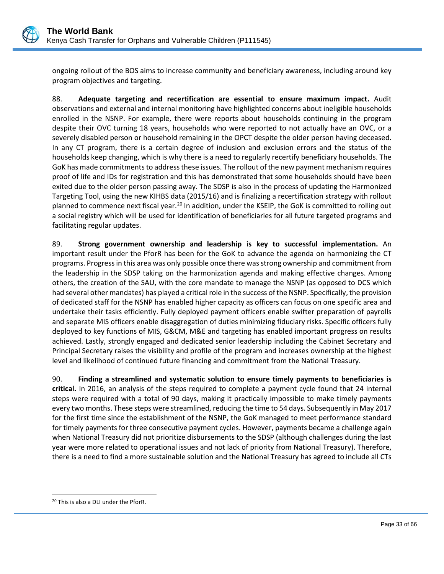

ongoing rollout of the BOS aims to increase community and beneficiary awareness, including around key program objectives and targeting.

88. **Adequate targeting and recertification are essential to ensure maximum impact.** Audit observations and external and internal monitoring have highlighted concerns about ineligible households enrolled in the NSNP. For example, there were reports about households continuing in the program despite their OVC turning 18 years, households who were reported to not actually have an OVC, or a severely disabled person or household remaining in the OPCT despite the older person having deceased. In any CT program, there is a certain degree of inclusion and exclusion errors and the status of the households keep changing, which is why there is a need to regularly recertify beneficiary households. The GoK has made commitments to address these issues. The rollout of the new payment mechanism requires proof of life and IDs for registration and this has demonstrated that some households should have been exited due to the older person passing away. The SDSP is also in the process of updating the Harmonized Targeting Tool, using the new KIHBS data (2015/16) and is finalizing a recertification strategy with rollout planned to commence next fiscal year.<sup>[20](#page-36-0)</sup> In addition, under the KSEIP, the GoK is committed to rolling out a social registry which will be used for identification of beneficiaries for all future targeted programs and facilitating regular updates.

89. **Strong government ownership and leadership is key to successful implementation.** An important result under the PforR has been for the GoK to advance the agenda on harmonizing the CT programs. Progress in this area was only possible once there was strong ownership and commitment from the leadership in the SDSP taking on the harmonization agenda and making effective changes. Among others, the creation of the SAU, with the core mandate to manage the NSNP (as opposed to DCS which had several other mandates) has played a critical role in the success of the NSNP. Specifically, the provision of dedicated staff for the NSNP has enabled higher capacity as officers can focus on one specific area and undertake their tasks efficiently. Fully deployed payment officers enable swifter preparation of payrolls and separate MIS officers enable disaggregation of duties minimizing fiduciary risks. Specific officers fully deployed to key functions of MIS, G&CM, M&E and targeting has enabled important progress on results achieved. Lastly, strongly engaged and dedicated senior leadership including the Cabinet Secretary and Principal Secretary raises the visibility and profile of the program and increases ownership at the highest level and likelihood of continued future financing and commitment from the National Treasury.

90. **Finding a streamlined and systematic solution to ensure timely payments to beneficiaries is critical.** In 2016, an analysis of the steps required to complete a payment cycle found that 24 internal steps were required with a total of 90 days, making it practically impossible to make timely payments every two months. These steps were streamlined, reducing the time to 54 days. Subsequently in May 2017 for the first time since the establishment of the NSNP, the GoK managed to meet performance standard for timely payments for three consecutive payment cycles. However, payments became a challenge again when National Treasury did not prioritize disbursements to the SDSP (although challenges during the last year were more related to operational issues and not lack of priority from National Treasury). Therefore, there is a need to find a more sustainable solution and the National Treasury has agreed to include all CTs

 $\overline{a}$ 

<span id="page-36-0"></span><sup>20</sup> This is also a DLI under the PforR.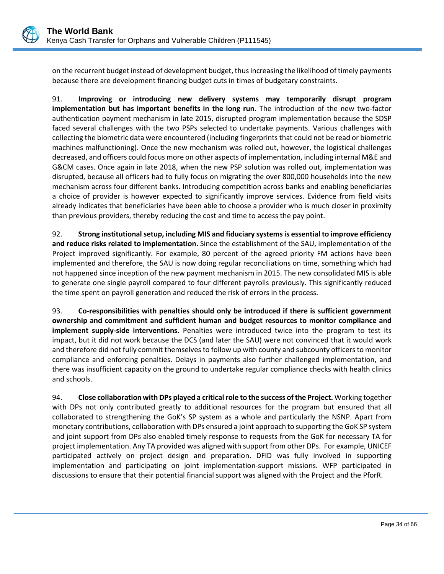

on the recurrent budget instead of development budget, thus increasing the likelihood of timely payments because there are development financing budget cuts in times of budgetary constraints.

91. **Improving or introducing new delivery systems may temporarily disrupt program implementation but has important benefits in the long run.** The introduction of the new two-factor authentication payment mechanism in late 2015, disrupted program implementation because the SDSP faced several challenges with the two PSPs selected to undertake payments. Various challenges with collecting the biometric data were encountered (including fingerprints that could not be read or biometric machines malfunctioning). Once the new mechanism was rolled out, however, the logistical challenges decreased, and officers could focus more on other aspects of implementation, including internal M&E and G&CM cases. Once again in late 2018, when the new PSP solution was rolled out, implementation was disrupted, because all officers had to fully focus on migrating the over 800,000 households into the new mechanism across four different banks. Introducing competition across banks and enabling beneficiaries a choice of provider is however expected to significantly improve services. Evidence from field visits already indicates that beneficiaries have been able to choose a provider who is much closer in proximity than previous providers, thereby reducing the cost and time to access the pay point.

92. **Strong institutional setup, including MIS and fiduciary systemsis essential to improve efficiency and reduce risks related to implementation.** Since the establishment of the SAU, implementation of the Project improved significantly. For example, 80 percent of the agreed priority FM actions have been implemented and therefore, the SAU is now doing regular reconciliations on time, something which had not happened since inception of the new payment mechanism in 2015. The new consolidated MIS is able to generate one single payroll compared to four different payrolls previously. This significantly reduced the time spent on payroll generation and reduced the risk of errors in the process.

93. **Co-responsibilities with penalties should only be introduced if there is sufficient government ownership and commitment and sufficient human and budget resources to monitor compliance and implement supply-side interventions.** Penalties were introduced twice into the program to test its impact, but it did not work because the DCS (and later the SAU) were not convinced that it would work and therefore did not fully commit themselves to follow up with county and subcounty officers to monitor compliance and enforcing penalties. Delays in payments also further challenged implementation, and there was insufficient capacity on the ground to undertake regular compliance checks with health clinics and schools.

94. **Close collaboration with DPs played a critical role to the success of the Project.** Working together with DPs not only contributed greatly to additional resources for the program but ensured that all collaborated to strengthening the GoK's SP system as a whole and particularly the NSNP. Apart from monetary contributions, collaboration with DPs ensured a joint approach to supporting the GoK SP system and joint support from DPs also enabled timely response to requests from the GoK for necessary TA for project implementation. Any TA provided was aligned with support from other DPs. For example, UNICEF participated actively on project design and preparation. DFID was fully involved in supporting implementation and participating on joint implementation-support missions. WFP participated in discussions to ensure that their potential financial support was aligned with the Project and the PforR.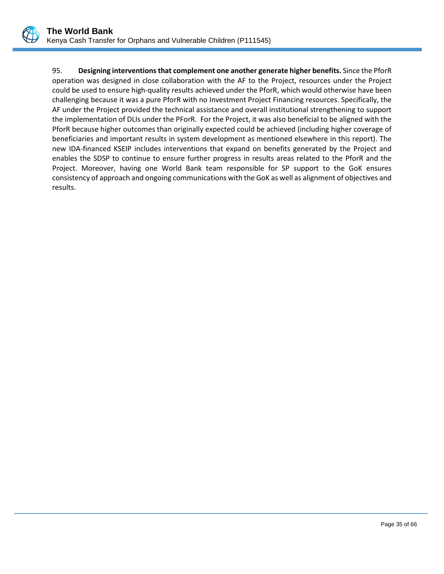

95. **Designing interventions that complement one another generate higher benefits.** Since the PforR operation was designed in close collaboration with the AF to the Project, resources under the Project could be used to ensure high-quality results achieved under the PforR, which would otherwise have been challenging because it was a pure PforR with no Investment Project Financing resources. Specifically, the AF under the Project provided the technical assistance and overall institutional strengthening to support the implementation of DLIs under the PForR. For the Project, it was also beneficial to be aligned with the PforR because higher outcomes than originally expected could be achieved (including higher coverage of beneficiaries and important results in system development as mentioned elsewhere in this report). The new IDA-financed KSEIP includes interventions that expand on benefits generated by the Project and enables the SDSP to continue to ensure further progress in results areas related to the PforR and the Project. Moreover, having one World Bank team responsible for SP support to the GoK ensures consistency of approach and ongoing communications with the GoK as well as alignment of objectives and results**.**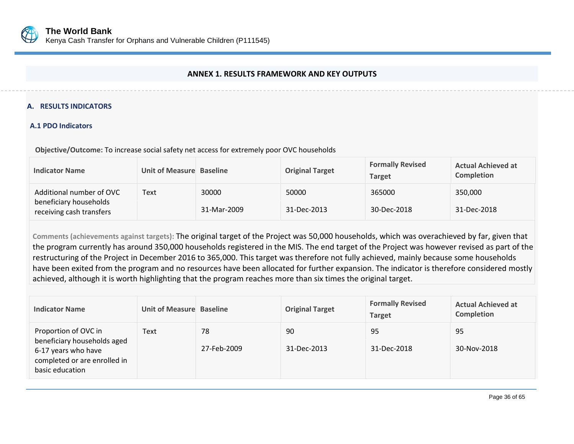

### **ANNEX 1. RESULTS FRAMEWORK AND KEY OUTPUTS**

### **A. RESULTS INDICATORS**

### **A.1 PDO Indicators**

**Objective/Outcome:** To increase social safety net access for extremely poor OVC households

| <b>Indicator Name</b>                                                          | Unit of Measure Baseline |                      | <b>Original Target</b> | <b>Formally Revised</b><br><b>Target</b> | <b>Actual Achieved at</b><br><b>Completion</b> |
|--------------------------------------------------------------------------------|--------------------------|----------------------|------------------------|------------------------------------------|------------------------------------------------|
| Additional number of OVC<br>beneficiary households<br>receiving cash transfers | Text                     | 30000<br>31-Mar-2009 | 50000<br>31-Dec-2013   | 365000<br>30-Dec-2018                    | 350,000<br>31-Dec-2018                         |

<span id="page-39-0"></span>**Comments (achievements against targets):** The original target of the Project was 50,000 households, which was overachieved by far, given that the program currently has around 350,000 households registered in the MIS. The end target of the Project was however revised as part of the restructuring of the Project in December 2016 to 365,000. This target was therefore not fully achieved, mainly because some households have been exited from the program and no resources have been allocated for further expansion. The indicator is therefore considered mostly achieved, although it is worth highlighting that the program reaches more than six times the original target.

| <b>Indicator Name</b>                                                                                                         | Unit of Measure Baseline |                   | <b>Original Target</b> | <b>Formally Revised</b><br><b>Target</b> | <b>Actual Achieved at</b><br>Completion |
|-------------------------------------------------------------------------------------------------------------------------------|--------------------------|-------------------|------------------------|------------------------------------------|-----------------------------------------|
| Proportion of OVC in<br>beneficiary households aged<br>6-17 years who have<br>completed or are enrolled in<br>basic education | Text                     | 78<br>27-Feb-2009 | 90<br>31-Dec-2013      | 95<br>31-Dec-2018                        | 95<br>30-Nov-2018                       |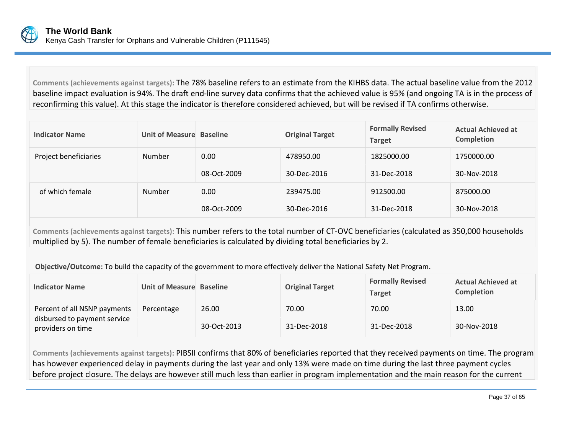

**Comments (achievements against targets):** The 78% baseline refers to an estimate from the KIHBS data. The actual baseline value from the 2012 baseline impact evaluation is 94%. The draft end-line survey data confirms that the achieved value is 95% (and ongoing TA is in the process of reconfirming this value). At this stage the indicator is therefore considered achieved, but will be revised if TA confirms otherwise.

| <b>Indicator Name</b> | Unit of Measure Baseline |             | <b>Original Target</b> | <b>Formally Revised</b><br><b>Target</b> | <b>Actual Achieved at</b><br>Completion |
|-----------------------|--------------------------|-------------|------------------------|------------------------------------------|-----------------------------------------|
| Project beneficiaries | <b>Number</b>            | 0.00        | 478950.00              | 1825000.00                               | 1750000.00                              |
|                       |                          | 08-Oct-2009 | 30-Dec-2016            | 31-Dec-2018                              | 30-Nov-2018                             |
| of which female       | Number                   | 0.00        | 239475.00              | 912500.00                                | 875000.00                               |
|                       |                          | 08-Oct-2009 | 30-Dec-2016            | 31-Dec-2018                              | 30-Nov-2018                             |

**Comments (achievements against targets):** This number refers to the total number of CT-OVC beneficiaries (calculated as 350,000 households multiplied by 5). The number of female beneficiaries is calculated by dividing total beneficiaries by 2.

**Objective/Outcome:** To build the capacity of the government to more effectively deliver the National Safety Net Program.

| <b>Indicator Name</b>                                                             | Unit of Measure Baseline |                      | <b>Original Target</b> | <b>Formally Revised</b><br><b>Target</b> | <b>Actual Achieved at</b><br><b>Completion</b> |
|-----------------------------------------------------------------------------------|--------------------------|----------------------|------------------------|------------------------------------------|------------------------------------------------|
| Percent of all NSNP payments<br>disbursed to payment service<br>providers on time | Percentage               | 26.00<br>30-Oct-2013 | 70.00<br>31-Dec-2018   | 70.00<br>31-Dec-2018                     | 13.00<br>30-Nov-2018                           |

**Comments (achievements against targets):** PIBSII confirms that 80% of beneficiaries reported that they received payments on time. The program has however experienced delay in payments during the last year and only 13% were made on time during the last three payment cycles before project closure. The delays are however still much less than earlier in program implementation and the main reason for the current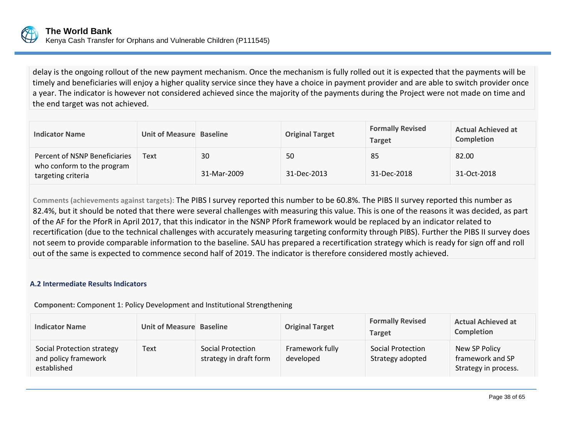

delay is the ongoing rollout of the new payment mechanism. Once the mechanism is fully rolled out it is expected that the payments will be timely and beneficiaries will enjoy a higher quality service since they have a choice in payment provider and are able to switch provider once a year. The indicator is however not considered achieved since the majority of the payments during the Project were not made on time and the end target was not achieved.

| <b>Indicator Name</b>                                                             | Unit of Measure Baseline |                   | <b>Original Target</b> | <b>Formally Revised</b><br><b>Target</b> | <b>Actual Achieved at</b><br><b>Completion</b> |
|-----------------------------------------------------------------------------------|--------------------------|-------------------|------------------------|------------------------------------------|------------------------------------------------|
| Percent of NSNP Beneficiaries<br>who conform to the program<br>targeting criteria | Text                     | 30<br>31-Mar-2009 | 50<br>31-Dec-2013      | 85<br>31-Dec-2018                        | 82.00<br>31-Oct-2018                           |

**Comments (achievements against targets):** The PIBS I survey reported this number to be 60.8%. The PIBS II survey reported this number as 82.4%, but it should be noted that there were several challenges with measuring this value. This is one of the reasons it was decided, as part of the AF for the PforR in April 2017, that this indicator in the NSNP PforR framework would be replaced by an indicator related to recertification (due to the technical challenges with accurately measuring targeting conformity through PIBS). Further the PIBS II survey does not seem to provide comparable information to the baseline. SAU has prepared a recertification strategy which is ready for sign off and roll out of the same is expected to commence second half of 2019. The indicator is therefore considered mostly achieved.

### **A.2 Intermediate Results Indicators**

**Component:** Component 1: Policy Development and Institutional Strengthening

| <b>Indicator Name</b>                                             | Unit of Measure Baseline |                                             | <b>Original Target</b>       | <b>Formally Revised</b><br><b>Target</b> | <b>Actual Achieved at</b><br><b>Completion</b>            |
|-------------------------------------------------------------------|--------------------------|---------------------------------------------|------------------------------|------------------------------------------|-----------------------------------------------------------|
| Social Protection strategy<br>and policy framework<br>established | Text                     | Social Protection<br>strategy in draft form | Framework fully<br>developed | Social Protection<br>Strategy adopted    | New SP Policy<br>framework and SP<br>Strategy in process. |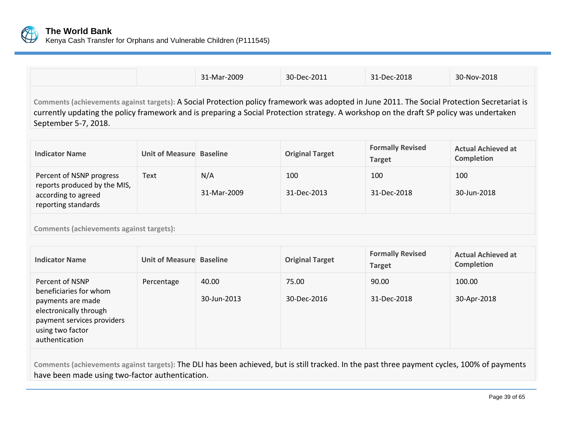

|                                                                                                                                                                                                                                                                                                                 |                          | 31-Mar-2009        | 30-Dec-2011            | 31-Dec-2018                              | 30-Nov-2018                                    |  |  |
|-----------------------------------------------------------------------------------------------------------------------------------------------------------------------------------------------------------------------------------------------------------------------------------------------------------------|--------------------------|--------------------|------------------------|------------------------------------------|------------------------------------------------|--|--|
| Comments (achievements against targets): A Social Protection policy framework was adopted in June 2011. The Social Protection Secretariat is<br>currently updating the policy framework and is preparing a Social Protection strategy. A workshop on the draft SP policy was undertaken<br>September 5-7, 2018. |                          |                    |                        |                                          |                                                |  |  |
| <b>Indicator Name</b>                                                                                                                                                                                                                                                                                           | Unit of Measure Baseline |                    | <b>Original Target</b> | <b>Formally Revised</b><br><b>Target</b> | <b>Actual Achieved at</b><br><b>Completion</b> |  |  |
| Percent of NSNP progress<br>reports produced by the MIS,<br>according to agreed<br>reporting standards                                                                                                                                                                                                          | Text                     | N/A<br>31-Mar-2009 | 100<br>31-Dec-2013     | 100<br>31-Dec-2018                       | 100<br>30-Jun-2018                             |  |  |
| <b>Comments (achievements against targets):</b>                                                                                                                                                                                                                                                                 |                          |                    |                        |                                          |                                                |  |  |

| <b>Indicator Name</b>                                                                                                                                        | Unit of Measure Baseline |                      | <b>Original Target</b> | <b>Formally Revised</b><br><b>Target</b> | <b>Actual Achieved at</b><br><b>Completion</b> |
|--------------------------------------------------------------------------------------------------------------------------------------------------------------|--------------------------|----------------------|------------------------|------------------------------------------|------------------------------------------------|
| Percent of NSNP<br>beneficiaries for whom<br>payments are made<br>electronically through<br>payment services providers<br>using two factor<br>authentication | Percentage               | 40.00<br>30-Jun-2013 | 75.00<br>30-Dec-2016   | 90.00<br>31-Dec-2018                     | 100.00<br>30-Apr-2018                          |

**Comments (achievements against targets):** The DLI has been achieved, but is still tracked. In the past three payment cycles, 100% of payments have been made using two-factor authentication.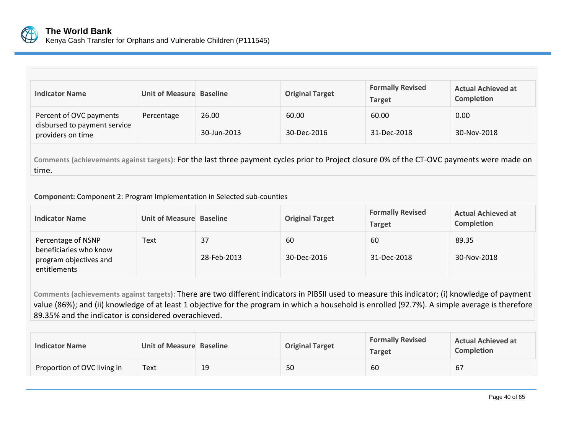

| <b>Indicator Name</b>                                                        | Unit of Measure Baseline |                      | <b>Original Target</b> | <b>Formally Revised</b><br><b>Target</b> | <b>Actual Achieved at</b><br><b>Completion</b> |
|------------------------------------------------------------------------------|--------------------------|----------------------|------------------------|------------------------------------------|------------------------------------------------|
| Percent of OVC payments<br>disbursed to payment service<br>providers on time | Percentage               | 26.00<br>30-Jun-2013 | 60.00<br>30-Dec-2016   | 60.00<br>31-Dec-2018                     | 0.00<br>30-Nov-2018                            |

**Comments (achievements against targets):** For the last three payment cycles prior to Project closure 0% of the CT-OVC payments were made on time.

**Component:** Component 2: Program Implementation in Selected sub-counties

| <b>Indicator Name</b>                                                                  | Unit of Measure Baseline |                   | <b>Original Target</b> | <b>Formally Revised</b><br>Target | <b>Actual Achieved at</b><br><b>Completion</b> |
|----------------------------------------------------------------------------------------|--------------------------|-------------------|------------------------|-----------------------------------|------------------------------------------------|
| Percentage of NSNP<br>beneficiaries who know<br>program objectives and<br>entitlements | Text                     | 37<br>28-Feb-2013 | 60<br>30-Dec-2016      | 60<br>31-Dec-2018                 | 89.35<br>30-Nov-2018                           |

**Comments (achievements against targets):** There are two different indicators in PIBSII used to measure this indicator; (i) knowledge of payment value (86%); and (ii) knowledge of at least 1 objective for the program in which a household is enrolled (92.7%). A simple average is therefore 89.35% and the indicator is considered overachieved.

| <b>Indicator Name</b>       | Unit of Measure Baseline |    | <b>Original Target</b> | <b>Formally Revised</b><br>Target | <b>Actual Achieved at</b><br><b>Completion</b> |
|-----------------------------|--------------------------|----|------------------------|-----------------------------------|------------------------------------------------|
| Proportion of OVC living in | Text                     | 19 | 50                     | 60                                | 67                                             |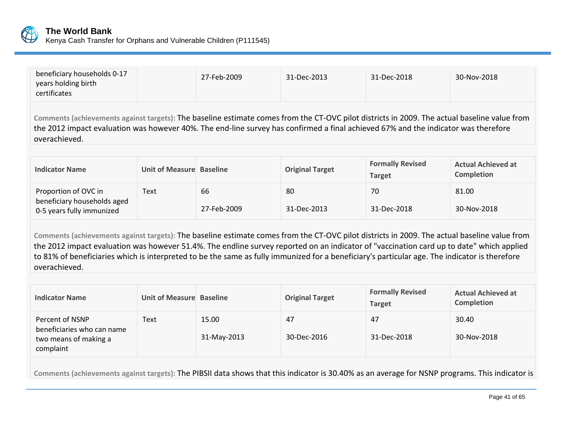

| beneficiary households 0-17<br>years holding birth<br>certificates | 27-Feb-2009 | 31-Dec-2013 | 31-Dec-2018 | 30-Nov-2018 |
|--------------------------------------------------------------------|-------------|-------------|-------------|-------------|
|--------------------------------------------------------------------|-------------|-------------|-------------|-------------|

**Comments (achievements against targets):** The baseline estimate comes from the CT-OVC pilot districts in 2009. The actual baseline value from the 2012 impact evaluation was however 40%. The end-line survey has confirmed a final achieved 67% and the indicator was therefore overachieved.

| <b>Indicator Name</b>                                                            | Unit of Measure Baseline |                   | <b>Original Target</b> | <b>Formally Revised</b><br><b>Target</b> | <b>Actual Achieved at</b><br><b>Completion</b> |
|----------------------------------------------------------------------------------|--------------------------|-------------------|------------------------|------------------------------------------|------------------------------------------------|
| Proportion of OVC in<br>beneficiary households aged<br>0-5 years fully immunized | Text                     | 66<br>27-Feb-2009 | 80<br>31-Dec-2013      | 70<br>31-Dec-2018                        | 81.00<br>30-Nov-2018                           |

**Comments (achievements against targets):** The baseline estimate comes from the CT-OVC pilot districts in 2009. The actual baseline value from the 2012 impact evaluation was however 51.4%. The endline survey reported on an indicator of "vaccination card up to date" which applied to 81% of beneficiaries which is interpreted to be the same as fully immunized for a beneficiary's particular age. The indicator is therefore overachieved.

| <b>Indicator Name</b>                                                               | Unit of Measure Baseline |                      | <b>Original Target</b> | <b>Formally Revised</b><br><b>Target</b> | <b>Actual Achieved at</b><br>Completion |
|-------------------------------------------------------------------------------------|--------------------------|----------------------|------------------------|------------------------------------------|-----------------------------------------|
| Percent of NSNP<br>beneficiaries who can name<br>two means of making a<br>complaint | Text                     | 15.00<br>31-May-2013 | 47<br>30-Dec-2016      | 47<br>31-Dec-2018                        | 30.40<br>30-Nov-2018                    |

**Comments (achievements against targets):** The PIBSII data shows that this indicator is 30.40% as an average for NSNP programs. This indicator is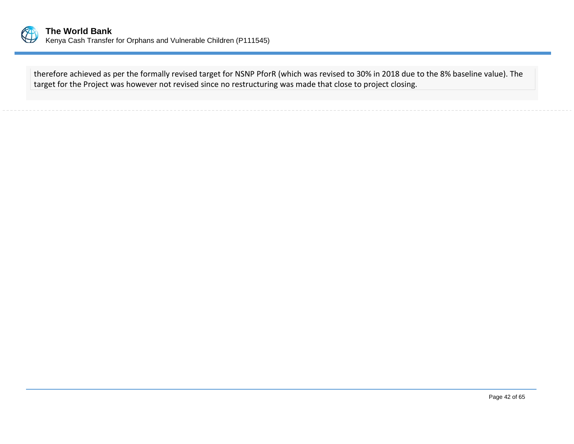

therefore achieved as per the formally revised target for NSNP PforR (which was revised to 30% in 2018 due to the 8% baseline value). The target for the Project was however not revised since no restructuring was made that close to project closing.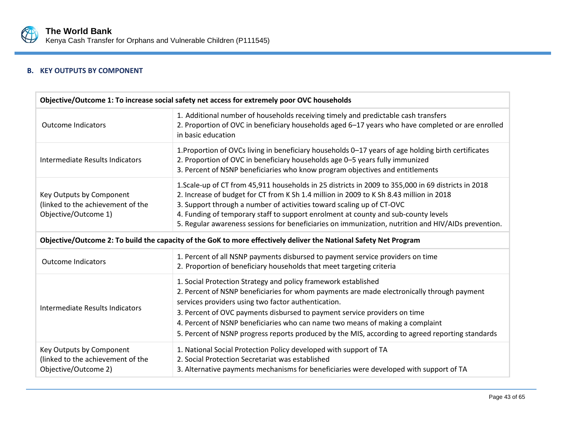

# **B. KEY OUTPUTS BY COMPONENT**

| Objective/Outcome 1: To increase social safety net access for extremely poor OVC households                       |                                                                                                                                                                                                                                                                                                                                                                                                                                                                                       |  |  |
|-------------------------------------------------------------------------------------------------------------------|---------------------------------------------------------------------------------------------------------------------------------------------------------------------------------------------------------------------------------------------------------------------------------------------------------------------------------------------------------------------------------------------------------------------------------------------------------------------------------------|--|--|
| <b>Outcome Indicators</b>                                                                                         | 1. Additional number of households receiving timely and predictable cash transfers<br>2. Proportion of OVC in beneficiary households aged 6-17 years who have completed or are enrolled<br>in basic education                                                                                                                                                                                                                                                                         |  |  |
| Intermediate Results Indicators                                                                                   | 1. Proportion of OVCs living in beneficiary households 0–17 years of age holding birth certificates<br>2. Proportion of OVC in beneficiary households age 0-5 years fully immunized<br>3. Percent of NSNP beneficiaries who know program objectives and entitlements                                                                                                                                                                                                                  |  |  |
| Key Outputs by Component<br>(linked to the achievement of the<br>Objective/Outcome 1)                             | 1. Scale-up of CT from 45,911 households in 25 districts in 2009 to 355,000 in 69 districts in 2018<br>2. Increase of budget for CT from K Sh 1.4 million in 2009 to K Sh 8.43 million in 2018<br>3. Support through a number of activities toward scaling up of CT-OVC<br>4. Funding of temporary staff to support enrolment at county and sub-county levels<br>5. Regular awareness sessions for beneficiaries on immunization, nutrition and HIV/AIDs prevention.                  |  |  |
| Objective/Outcome 2: To build the capacity of the GoK to more effectively deliver the National Safety Net Program |                                                                                                                                                                                                                                                                                                                                                                                                                                                                                       |  |  |
| <b>Outcome Indicators</b>                                                                                         | 1. Percent of all NSNP payments disbursed to payment service providers on time<br>2. Proportion of beneficiary households that meet targeting criteria                                                                                                                                                                                                                                                                                                                                |  |  |
| Intermediate Results Indicators                                                                                   | 1. Social Protection Strategy and policy framework established<br>2. Percent of NSNP beneficiaries for whom payments are made electronically through payment<br>services providers using two factor authentication.<br>3. Percent of OVC payments disbursed to payment service providers on time<br>4. Percent of NSNP beneficiaries who can name two means of making a complaint<br>5. Percent of NSNP progress reports produced by the MIS, according to agreed reporting standards |  |  |
| Key Outputs by Component<br>(linked to the achievement of the<br>Objective/Outcome 2)                             | 1. National Social Protection Policy developed with support of TA<br>2. Social Protection Secretariat was established<br>3. Alternative payments mechanisms for beneficiaries were developed with support of TA                                                                                                                                                                                                                                                                       |  |  |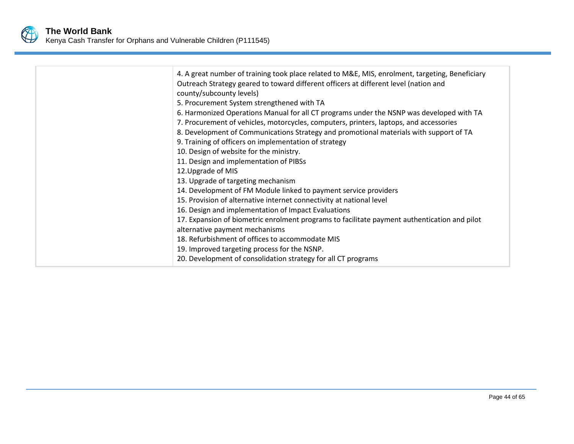

| 4. A great number of training took place related to M&E, MIS, enrolment, targeting, Beneficiary<br>Outreach Strategy geared to toward different officers at different level (nation and<br>county/subcounty levels)<br>5. Procurement System strengthened with TA<br>6. Harmonized Operations Manual for all CT programs under the NSNP was developed with TA<br>7. Procurement of vehicles, motorcycles, computers, printers, laptops, and accessories<br>8. Development of Communications Strategy and promotional materials with support of TA<br>9. Training of officers on implementation of strategy<br>10. Design of website for the ministry.<br>11. Design and implementation of PIBSs<br>12. Upgrade of MIS<br>13. Upgrade of targeting mechanism<br>14. Development of FM Module linked to payment service providers<br>15. Provision of alternative internet connectivity at national level<br>16. Design and implementation of Impact Evaluations<br>17. Expansion of biometric enrolment programs to facilitate payment authentication and pilot<br>alternative payment mechanisms<br>18. Refurbishment of offices to accommodate MIS<br>19. Improved targeting process for the NSNP. |
|-----------------------------------------------------------------------------------------------------------------------------------------------------------------------------------------------------------------------------------------------------------------------------------------------------------------------------------------------------------------------------------------------------------------------------------------------------------------------------------------------------------------------------------------------------------------------------------------------------------------------------------------------------------------------------------------------------------------------------------------------------------------------------------------------------------------------------------------------------------------------------------------------------------------------------------------------------------------------------------------------------------------------------------------------------------------------------------------------------------------------------------------------------------------------------------------------------|
| 20. Development of consolidation strategy for all CT programs                                                                                                                                                                                                                                                                                                                                                                                                                                                                                                                                                                                                                                                                                                                                                                                                                                                                                                                                                                                                                                                                                                                                       |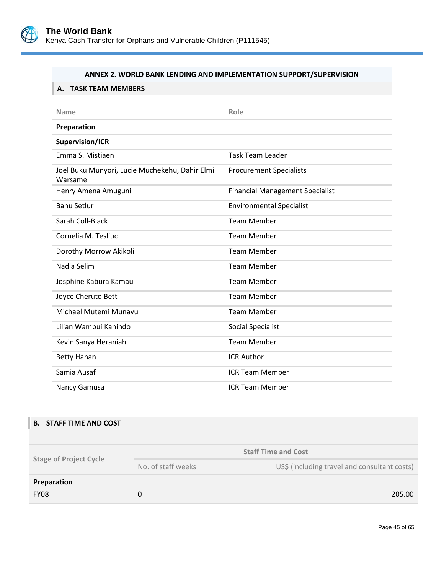

### **ANNEX 2. WORLD BANK LENDING AND IMPLEMENTATION SUPPORT/SUPERVISION**

# <span id="page-48-0"></span>**A. TASK TEAM MEMBERS**

| <b>Name</b>                                               | Role                                   |
|-----------------------------------------------------------|----------------------------------------|
| Preparation                                               |                                        |
| Supervision/ICR                                           |                                        |
| Emma S. Mistiaen                                          | <b>Task Team Leader</b>                |
| Joel Buku Munyori, Lucie Muchekehu, Dahir Elmi<br>Warsame | <b>Procurement Specialists</b>         |
| Henry Amena Amuguni                                       | <b>Financial Management Specialist</b> |
| <b>Banu Setlur</b>                                        | <b>Environmental Specialist</b>        |
| Sarah Coll-Black                                          | <b>Team Member</b>                     |
| Cornelia M. Tesliuc                                       | <b>Team Member</b>                     |
| Dorothy Morrow Akikoli                                    | <b>Team Member</b>                     |
| Nadia Selim                                               | <b>Team Member</b>                     |
| Josphine Kabura Kamau                                     | <b>Team Member</b>                     |
| Joyce Cheruto Bett                                        | <b>Team Member</b>                     |
| Michael Mutemi Munavu                                     | <b>Team Member</b>                     |
| Lilian Wambui Kahindo                                     | <b>Social Specialist</b>               |
| Kevin Sanya Heraniah                                      | <b>Team Member</b>                     |
| <b>Betty Hanan</b>                                        | <b>ICR Author</b>                      |
| Samia Ausaf                                               | <b>ICR Team Member</b>                 |
| Nancy Gamusa                                              | <b>ICR Team Member</b>                 |

## **B. STAFF TIME AND COST**

| <b>Stage of Project Cycle</b> | <b>Staff Time and Cost</b> |                                              |  |  |
|-------------------------------|----------------------------|----------------------------------------------|--|--|
|                               | No. of staff weeks         | US\$ (including travel and consultant costs) |  |  |
| Preparation                   |                            |                                              |  |  |
| <b>FY08</b>                   |                            | 205.00                                       |  |  |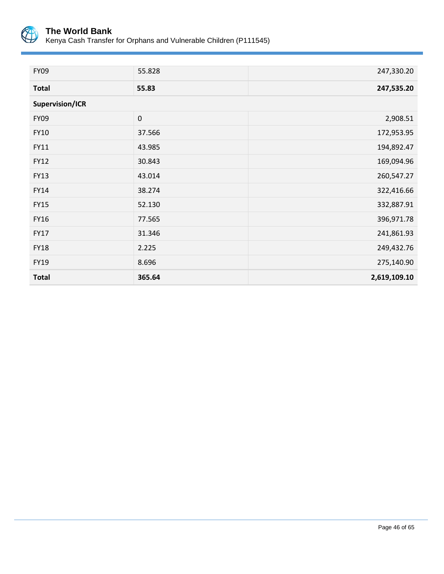

| <b>FY09</b>     | 55.828    | 247,330.20   |
|-----------------|-----------|--------------|
| <b>Total</b>    | 55.83     | 247,535.20   |
| Supervision/ICR |           |              |
| <b>FY09</b>     | $\pmb{0}$ | 2,908.51     |
| <b>FY10</b>     | 37.566    | 172,953.95   |
| FY11            | 43.985    | 194,892.47   |
| <b>FY12</b>     | 30.843    | 169,094.96   |
| <b>FY13</b>     | 43.014    | 260,547.27   |
| FY14            | 38.274    | 322,416.66   |
| <b>FY15</b>     | 52.130    | 332,887.91   |
| FY16            | 77.565    | 396,971.78   |
| <b>FY17</b>     | 31.346    | 241,861.93   |
| <b>FY18</b>     | 2.225     | 249,432.76   |
| FY19            | 8.696     | 275,140.90   |
| <b>Total</b>    | 365.64    | 2,619,109.10 |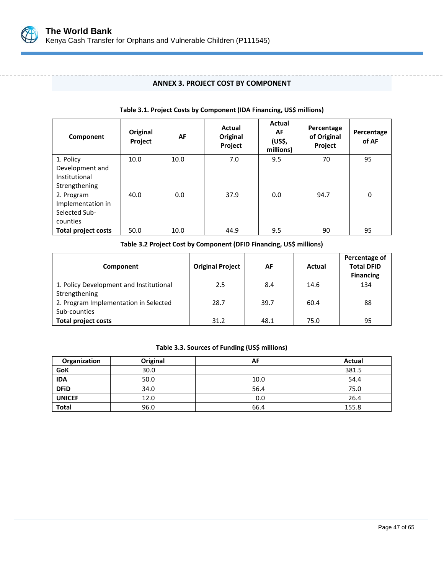

### **ANNEX 3. PROJECT COST BY COMPONENT**

<span id="page-50-0"></span>

| Component                                                      | Original<br>Project | AF   | Actual<br>Original<br>Project | Actual<br>AF<br>(US\$,<br>millions) | Percentage<br>of Original<br>Project | Percentage<br>of AF |
|----------------------------------------------------------------|---------------------|------|-------------------------------|-------------------------------------|--------------------------------------|---------------------|
| 1. Policy<br>Development and<br>Institutional<br>Strengthening | 10.0                | 10.0 | 7.0                           | 9.5                                 | 70                                   | 95                  |
| 2. Program<br>Implementation in<br>Selected Sub-<br>counties   | 40.0                | 0.0  | 37.9                          | 0.0                                 | 94.7                                 | 0                   |
| <b>Total project costs</b>                                     | 50.0                | 10.0 | 44.9                          | 9.5                                 | 90                                   | 95                  |

#### **Table 3.1. Project Costs by Component (IDA Financing, US\$ millions)**

**Table 3.2 Project Cost by Component (DFID Financing, US\$ millions)**

| Component                                                | <b>Original Project</b> | AF   | Actual | Percentage of<br><b>Total DFID</b><br><b>Financing</b> |
|----------------------------------------------------------|-------------------------|------|--------|--------------------------------------------------------|
| 1. Policy Development and Institutional<br>Strengthening | 2.5                     | 8.4  | 14.6   | 134                                                    |
| 2. Program Implementation in Selected<br>Sub-counties    | 28.7                    | 39.7 | 60.4   | 88                                                     |
| <b>Total project costs</b>                               | 31.2                    | 48.1 | 75.0   | 95                                                     |

### **Table 3.3. Sources of Funding (US\$ millions)**

| Organization  | Original | AF   | Actual |
|---------------|----------|------|--------|
| GoK           | 30.0     |      | 381.5  |
| <b>IDA</b>    | 50.0     | 10.0 | 54.4   |
| <b>DFID</b>   | 34.0     | 56.4 | 75.0   |
| <b>UNICEF</b> | 12.0     | 0.0  | 26.4   |
| <b>Total</b>  | 96.0     | 66.4 | 155.8  |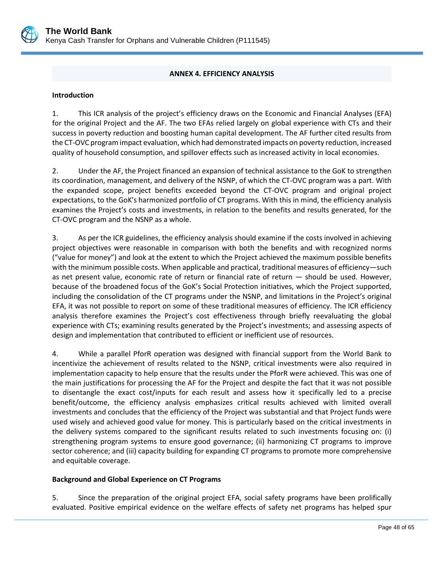

### **ANNEX 4. EFFICIENCY ANALYSIS**

#### <span id="page-51-0"></span>**Introduction**

1. This ICR analysis of the project's efficiency draws on the Economic and Financial Analyses (EFA) for the original Project and the AF. The two EFAs relied largely on global experience with CTs and their success in poverty reduction and boosting human capital development. The AF further cited results from the CT-OVC program impact evaluation, which had demonstrated impacts on poverty reduction, increased quality of household consumption, and spillover effects such as increased activity in local economies.

2. Under the AF, the Project financed an expansion of technical assistance to the GoK to strengthen its coordination, management, and delivery of the NSNP, of which the CT-OVC program was a part. With the expanded scope, project benefits exceeded beyond the CT-OVC program and original project expectations, to the GoK's harmonized portfolio of CT programs. With this in mind, the efficiency analysis examines the Project's costs and investments, in relation to the benefits and results generated, for the CT-OVC program and the NSNP as a whole.

3. As per the ICR guidelines, the efficiency analysis should examine if the costs involved in achieving project objectives were reasonable in comparison with both the benefits and with recognized norms ("value for money") and look at the extent to which the Project achieved the maximum possible benefits with the minimum possible costs. When applicable and practical, traditional measures of efficiency—such as net present value, economic rate of return or financial rate of return — should be used. However, because of the broadened focus of the GoK's Social Protection initiatives, which the Project supported, including the consolidation of the CT programs under the NSNP, and limitations in the Project's original EFA, it was not possible to report on some of these traditional measures of efficiency. The ICR efficiency analysis therefore examines the Project's cost effectiveness through briefly reevaluating the global experience with CTs; examining results generated by the Project's investments; and assessing aspects of design and implementation that contributed to efficient or inefficient use of resources.

4. While a parallel PforR operation was designed with financial support from the World Bank to incentivize the achievement of results related to the NSNP, critical investments were also required in implementation capacity to help ensure that the results under the PforR were achieved. This was one of the main justifications for processing the AF for the Project and despite the fact that it was not possible to disentangle the exact cost/inputs for each result and assess how it specifically led to a precise benefit/outcome, the efficiency analysis emphasizes critical results achieved with limited overall investments and concludes that the efficiency of the Project was substantial and that Project funds were used wisely and achieved good value for money. This is particularly based on the critical investments in the delivery systems compared to the significant results related to such investments focusing on: (i) strengthening program systems to ensure good governance; (ii) harmonizing CT programs to improve sector coherence; and (iii) capacity building for expanding CT programs to promote more comprehensive and equitable coverage.

#### **Background and Global Experience on CT Programs**

5. Since the preparation of the original project EFA, social safety programs have been prolifically evaluated. Positive empirical evidence on the welfare effects of safety net programs has helped spur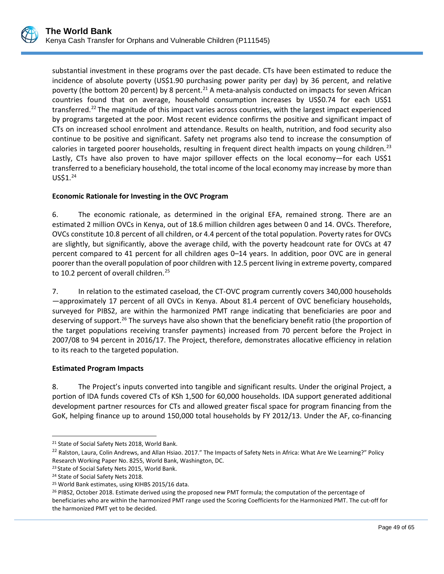substantial investment in these programs over the past decade. CTs have been estimated to reduce the incidence of absolute poverty (US\$1.90 purchasing power parity per day) by 36 percent, and relative poverty (the bottom 20 percent) by 8 percent.<sup>[21](#page-52-0)</sup> A meta-analysis conducted on impacts for seven African countries found that on average, household consumption increases by US\$0.74 for each US\$1 transferred.<sup>[22](#page-52-1)</sup> The magnitude of this impact varies across countries, with the largest impact experienced by programs targeted at the poor. Most recent evidence confirms the positive and significant impact of CTs on increased school enrolment and attendance. Results on health, nutrition, and food security also continue to be positive and significant. Safety net programs also tend to increase the consumption of calories in targeted poorer households, resulting in frequent direct health impacts on young children.<sup>[23](#page-52-2)</sup> Lastly, CTs have also proven to have major spillover effects on the local economy—for each US\$1 transferred to a beneficiary household, the total income of the local economy may increase by more than  $USS1.<sup>24</sup>$  $USS1.<sup>24</sup>$  $USS1.<sup>24</sup>$ 

### **Economic Rationale for Investing in the OVC Program**

6. The economic rationale, as determined in the original EFA, remained strong. There are an estimated 2 million OVCs in Kenya, out of 18.6 million children ages between 0 and 14. OVCs. Therefore, OVCs constitute 10.8 percent of all children, or 4.4 percent of the total population. Poverty rates for OVCs are slightly, but significantly, above the average child, with the poverty headcount rate for OVCs at 47 percent compared to 41 percent for all children ages 0–14 years. In addition, poor OVC are in general poorer than the overall population of poor children with 12.5 percent living in extreme poverty, compared to 10.2 percent of overall children.<sup>[25](#page-52-4)</sup>

7. In relation to the estimated caseload, the CT-OVC program currently covers 340,000 households —approximately 17 percent of all OVCs in Kenya. About 81.4 percent of OVC beneficiary households, surveyed for PIBS2, are within the harmonized PMT range indicating that beneficiaries are poor and deserving of support.<sup>[26](#page-52-5)</sup> The surveys have also shown that the beneficiary benefit ratio (the proportion of the target populations receiving transfer payments) increased from 70 percent before the Project in 2007/08 to 94 percent in 2016/17. The Project, therefore, demonstrates allocative efficiency in relation to its reach to the targeted population.

#### **Estimated Program Impacts**

8. The Project's inputs converted into tangible and significant results. Under the original Project, a portion of IDA funds covered CTs of KSh 1,500 for 60,000 households. IDA support generated additional development partner resources for CTs and allowed greater fiscal space for program financing from the GoK, helping finance up to around 150,000 total households by FY 2012/13. Under the AF, co-financing

<span id="page-52-0"></span> $\overline{a}$ <sup>21</sup> State of Social Safety Nets 2018, World Bank.

<span id="page-52-1"></span><sup>&</sup>lt;sup>22</sup> Ralston, Laura, Colin Andrews, and Allan Hsiao. 2017." The Impacts of Safety Nets in Africa: What Are We Learning?" Policy Research Working Paper No. 8255, World Bank, Washington, DC. <sup>23</sup> State of Social Safety Nets 2015, World Bank.

<span id="page-52-2"></span>

<span id="page-52-3"></span><sup>&</sup>lt;sup>24</sup> State of Social Safety Nets 2018.

<span id="page-52-4"></span><sup>25</sup> World Bank estimates, using KIHBS 2015/16 data.

<span id="page-52-5"></span><sup>&</sup>lt;sup>26</sup> PIBS2, October 2018. Estimate derived using the proposed new PMT formula; the computation of the percentage of beneficiaries who are within the harmonized PMT range used the Scoring Coefficients for the Harmonized PMT. The cut-off for the harmonized PMT yet to be decided.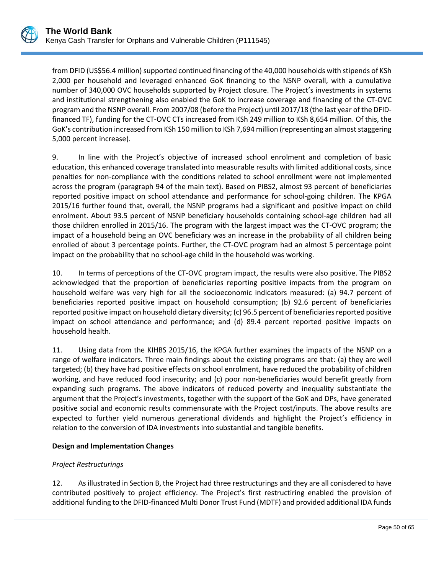from DFID (US\$56.4 million) supported continued financing of the 40,000 households with stipends of KSh 2,000 per household and leveraged enhanced GoK financing to the NSNP overall, with a cumulative number of 340,000 OVC households supported by Project closure. The Project's investments in systems and institutional strengthening also enabled the GoK to increase coverage and financing of the CT-OVC program and the NSNP overall. From 2007/08 (before the Project) until 2017/18 (the last year of the DFIDfinanced TF), funding for the CT-OVC CTs increased from KSh 249 million to KSh 8,654 million. Of this, the GoK's contribution increased from KSh 150 million to KSh 7,694 million (representing an almost staggering 5,000 percent increase).

9. In line with the Project's objective of increased school enrolment and completion of basic education, this enhanced coverage translated into measurable results with limited additional costs, since penalties for non-compliance with the conditions related to school enrollment were not implemented across the program (paragraph 94 of the main text). Based on PIBS2, almost 93 percent of beneficiaries reported positive impact on school attendance and performance for school-going children. The KPGA 2015/16 further found that, overall, the NSNP programs had a significant and positive impact on child enrolment. About 93.5 percent of NSNP beneficiary households containing school-age children had all those children enrolled in 2015/16. The program with the largest impact was the CT-OVC program; the impact of a household being an OVC beneficiary was an increase in the probability of all children being enrolled of about 3 percentage points. Further, the CT-OVC program had an almost 5 percentage point impact on the probability that no school-age child in the household was working.

10. In terms of perceptions of the CT-OVC program impact, the results were also positive. The PIBS2 acknowledged that the proportion of beneficiaries reporting positive impacts from the program on household welfare was very high for all the socioeconomic indicators measured: (a) 94.7 percent of beneficiaries reported positive impact on household consumption; (b) 92.6 percent of beneficiaries reported positive impact on household dietary diversity; (c) 96.5 percent of beneficiaries reported positive impact on school attendance and performance; and (d) 89.4 percent reported positive impacts on household health.

11. Using data from the KIHBS 2015/16, the KPGA further examines the impacts of the NSNP on a range of welfare indicators. Three main findings about the existing programs are that: (a) they are well targeted; (b) they have had positive effects on school enrolment, have reduced the probability of children working, and have reduced food insecurity; and (c) poor non-beneficiaries would benefit greatly from expanding such programs. The above indicators of reduced poverty and inequality substantiate the argument that the Project's investments, together with the support of the GoK and DPs, have generated positive social and economic results commensurate with the Project cost/inputs. The above results are expected to further yield numerous generational dividends and highlight the Project's efficiency in relation to the conversion of IDA investments into substantial and tangible benefits.

### **Design and Implementation Changes**

# *Project Restructurings*

12. As illustrated in Section B, the Project had three restructurings and they are all conisdered to have contributed positively to project efficiency. The Project's first restructiring enabled the provision of additional funding to the DFID-financed Multi Donor Trust Fund (MDTF) and provided additional IDA funds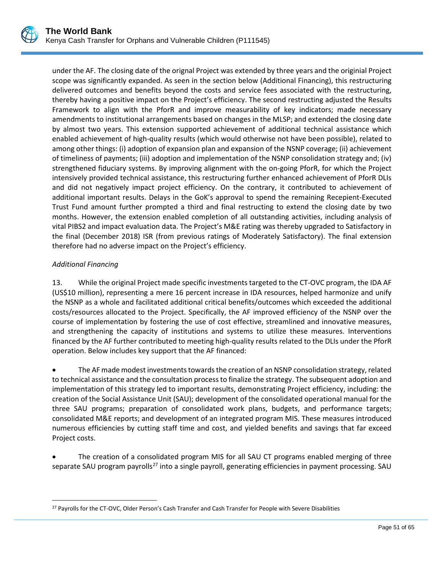

under the AF. The closing date of the orignal Project was extended by three years and the originial Project scope was significantly expanded. As seen in the section below (Additional Financing), this restructuring delivered outcomes and benefits beyond the costs and service fees associated with the restructuring, thereby having a positive impact on the Project's efficiency. The second restructing adjusted the Results Framework to align with the PforR and improve measurability of key indicators; made necessary amendments to institutional arrangements based on changes in the MLSP**;** and extended the closing date by almost two years. This extension supported achievement of additional technical assistance which enabled achievement of high-quality results (which would otherwise not have been possible), related to among other things: (i) adoption of expansion plan and expansion of the NSNP coverage; (ii) achievement of timeliness of payments; (iii) adoption and implementation of the NSNP consolidation strategy and; (iv) strengthened fiduciary systems. By improving alignment with the on-going PforR, for which the Project intensively provided technical assistance, this restructuring further enhanced achievement of PforR DLIs and did not negatively impact project efficiency. On the contrary, it contributed to achievement of additional important results. Delays in the GoK's approval to spend the remaining Recepient-Executed Trust Fund amount further prompted a third and final restructing to extend the closing date by two months. However, the extension enabled completion of all outstanding activities, including analysis of vital PIBS2 and impact evaluation data. The Project's M&E rating was thereby upgraded to Satisfactory in the final (December 2018) ISR (from previous ratings of Moderately Satisfactory). The final extension therefore had no adverse impact on the Project's efficiency.

# *Additional Financing*

13. While the original Project made specific investments targeted to the CT-OVC program, the IDA AF (US\$10 million), representing a mere 16 percent increase in IDA resources, helped harmonize and unify the NSNP as a whole and facilitated additional critical benefits/outcomes which exceeded the additional costs/resources allocated to the Project. Specifically, the AF improved efficiency of the NSNP over the course of implementation by fostering the use of cost effective, streamlined and innovative measures, and strengthening the capacity of institutions and systems to utilize these measures. Interventions financed by the AF further contributed to meeting high-quality results related to the DLIs under the PforR operation. Below includes key support that the AF financed:

• The AF made modest investments towards the creation of an NSNP consolidation strategy, related to technical assistance and the consultation process to finalize the strategy. The subsequent adoption and implementation of this strategy led to important results, demonstrating Project efficiency, including: the creation of the Social Assistance Unit (SAU); development of the consolidated operational manual for the three SAU programs; preparation of consolidated work plans, budgets, and performance targets; consolidated M&E reports; and development of an integrated program MIS. These measures introduced numerous efficiencies by cutting staff time and cost, and yielded benefits and savings that far exceed Project costs.

• The creation of a consolidated program MIS for all SAU CT programs enabled merging of three separate SAU program payrolls<sup>[27](#page-54-0)</sup> into a single payroll, generating efficiencies in payment processing. SAU

<span id="page-54-0"></span> $\overline{a}$ <sup>27</sup> Payrolls for the CT-OVC, Older Person's Cash Transfer and Cash Transfer for People with Severe Disabilities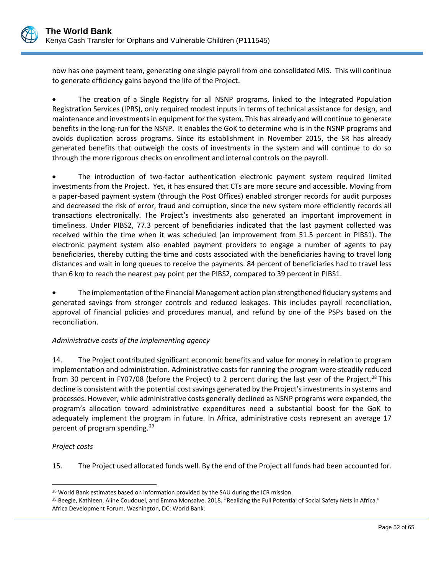now has one payment team, generating one single payroll from one consolidated MIS. This will continue to generate efficiency gains beyond the life of the Project.

• The creation of a Single Registry for all NSNP programs, linked to the Integrated Population Registration Services (IPRS), only required modest inputs in terms of technical assistance for design, and maintenance and investments in equipment for the system. This has already and will continue to generate benefits in the long-run for the NSNP. It enables the GoK to determine who is in the NSNP programs and avoids duplication across programs. Since its establishment in November 2015, the SR has already generated benefits that outweigh the costs of investments in the system and will continue to do so through the more rigorous checks on enrollment and internal controls on the payroll.

The introduction of two-factor authentication electronic payment system required limited investments from the Project. Yet, it has ensured that CTs are more secure and accessible. Moving from a paper-based payment system (through the Post Offices) enabled stronger records for audit purposes and decreased the risk of error, fraud and corruption, since the new system more efficiently records all transactions electronically. The Project's investments also generated an important improvement in timeliness. Under PIBS2, 77.3 percent of beneficiaries indicated that the last payment collected was received within the time when it was scheduled (an improvement from 51.5 percent in PIBS1). The electronic payment system also enabled payment providers to engage a number of agents to pay beneficiaries, thereby cutting the time and costs associated with the beneficiaries having to travel long distances and wait in long queues to receive the payments. 84 percent of beneficiaries had to travel less than 6 km to reach the nearest pay point per the PIBS2, compared to 39 percent in PIBS1.

• The implementation of the Financial Management action plan strengthened fiduciary systems and generated savings from stronger controls and reduced leakages. This includes payroll reconciliation, approval of financial policies and procedures manual, and refund by one of the PSPs based on the reconciliation.

### *Administrative costs of the implementing agency*

14. The Project contributed significant economic benefits and value for money in relation to program implementation and administration. Administrative costs for running the program were steadily reduced from 30 percent in FY07/08 (before the Project) to 2 percent during the last year of the Project.<sup>[28](#page-55-0)</sup> This decline is consistent with the potential cost savings generated by the Project's investments in systems and processes. However, while administrative costs generally declined as NSNP programs were expanded, the program's allocation toward administrative expenditures need a substantial boost for the GoK to adequately implement the program in future. In Africa, administrative costs represent an average 17 percent of program spending. [29](#page-55-1)

### *Project costs*

 $\overline{a}$ 

15. The Project used allocated funds well. By the end of the Project all funds had been accounted for.

<span id="page-55-0"></span><sup>&</sup>lt;sup>28</sup> World Bank estimates based on information provided by the SAU during the ICR mission.

<span id="page-55-1"></span><sup>&</sup>lt;sup>29</sup> Beegle, Kathleen, Aline Coudouel, and Emma Monsalve. 2018. "Realizing the Full Potential of Social Safety Nets in Africa." Africa Development Forum. Washington, DC: World Bank.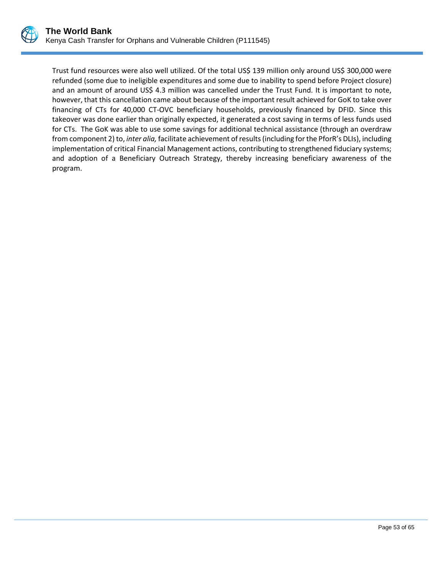

Trust fund resources were also well utilized. Of the total US\$ 139 million only around US\$ 300,000 were refunded (some due to ineligible expenditures and some due to inability to spend before Project closure) and an amount of around US\$ 4.3 million was cancelled under the Trust Fund. It is important to note, however, that this cancellation came about because of the important result achieved for GoK to take over financing of CTs for 40,000 CT-OVC beneficiary households, previously financed by DFID. Since this takeover was done earlier than originally expected, it generated a cost saving in terms of less funds used for CTs. The GoK was able to use some savings for additional technical assistance (through an overdraw from component 2) to, *inter alia,* facilitate achievement of results (including for the PforR's DLIs), including implementation of critical Financial Management actions, contributing to strengthened fiduciary systems; and adoption of a Beneficiary Outreach Strategy, thereby increasing beneficiary awareness of the program.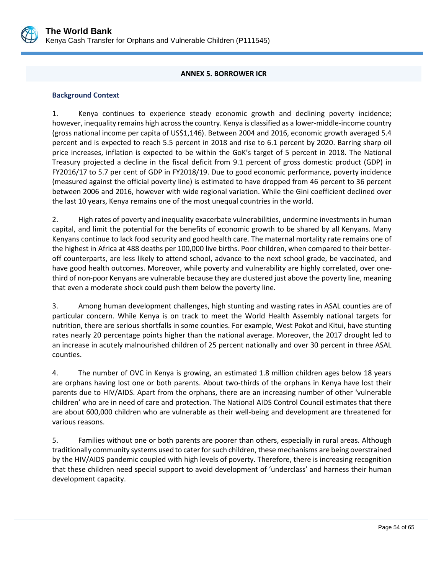

### **ANNEX 5. BORROWER ICR**

### <span id="page-57-0"></span>**Background Context**

1. Kenya continues to experience steady economic growth and declining poverty incidence; however, inequality remains high across the country. Kenya is classified as a lower-middle-income country (gross national income per capita of US\$1,146). Between 2004 and 2016, economic growth averaged 5.4 percent and is expected to reach 5.5 percent in 2018 and rise to 6.1 percent by 2020. Barring sharp oil price increases, inflation is expected to be within the GoK's target of 5 percent in 2018. The National Treasury projected a decline in the fiscal deficit from 9.1 percent of gross domestic product (GDP) in FY2016/17 to 5.7 per cent of GDP in FY2018/19. Due to good economic performance, poverty incidence (measured against the official poverty line) is estimated to have dropped from 46 percent to 36 percent between 2006 and 2016, however with wide regional variation. While the Gini coefficient declined over the last 10 years, Kenya remains one of the most unequal countries in the world.

2. High rates of poverty and inequality exacerbate vulnerabilities, undermine investments in human capital, and limit the potential for the benefits of economic growth to be shared by all Kenyans. Many Kenyans continue to lack food security and good health care. The maternal mortality rate remains one of the highest in Africa at 488 deaths per 100,000 live births. Poor children, when compared to their betteroff counterparts, are less likely to attend school, advance to the next school grade, be vaccinated, and have good health outcomes. Moreover, while poverty and vulnerability are highly correlated, over onethird of non-poor Kenyans are vulnerable because they are clustered just above the poverty line, meaning that even a moderate shock could push them below the poverty line.

3. Among human development challenges, high stunting and wasting rates in ASAL counties are of particular concern. While Kenya is on track to meet the World Health Assembly national targets for nutrition, there are serious shortfalls in some counties. For example, West Pokot and Kitui, have stunting rates nearly 20 percentage points higher than the national average. Moreover, the 2017 drought led to an increase in acutely malnourished children of 25 percent nationally and over 30 percent in three ASAL counties.

4. The number of OVC in Kenya is growing, an estimated 1.8 million children ages below 18 years are orphans having lost one or both parents. About two-thirds of the orphans in Kenya have lost their parents due to HIV/AIDS. Apart from the orphans, there are an increasing number of other 'vulnerable children' who are in need of care and protection. The National AIDS Control Council estimates that there are about 600,000 children who are vulnerable as their well-being and development are threatened for various reasons.

5. Families without one or both parents are poorer than others, especially in rural areas. Although traditionally community systems used to cater for such children, these mechanisms are being overstrained by the HIV/AIDS pandemic coupled with high levels of poverty. Therefore, there is increasing recognition that these children need special support to avoid development of 'underclass' and harness their human development capacity.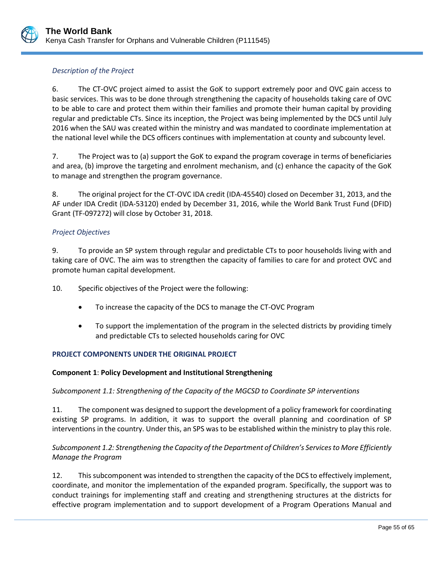

### *Description of the Project*

6. The CT-OVC project aimed to assist the GoK to support extremely poor and OVC gain access to basic services. This was to be done through strengthening the capacity of households taking care of OVC to be able to care and protect them within their families and promote their human capital by providing regular and predictable CTs. Since its inception, the Project was being implemented by the DCS until July 2016 when the SAU was created within the ministry and was mandated to coordinate implementation at the national level while the DCS officers continues with implementation at county and subcounty level.

7. The Project was to (a) support the GoK to expand the program coverage in terms of beneficiaries and area, (b) improve the targeting and enrolment mechanism, and (c) enhance the capacity of the GoK to manage and strengthen the program governance.

8. The original project for the CT-OVC IDA credit (IDA-45540) closed on December 31, 2013, and the AF under IDA Credit (IDA-53120) ended by December 31, 2016, while the World Bank Trust Fund (DFID) Grant (TF-097272) will close by October 31, 2018.

### *Project Objectives*

9. To provide an SP system through regular and predictable CTs to poor households living with and taking care of OVC. The aim was to strengthen the capacity of families to care for and protect OVC and promote human capital development.

- 10. Specific objectives of the Project were the following:
	- To increase the capacity of the DCS to manage the CT-OVC Program
	- To support the implementation of the program in the selected districts by providing timely and predictable CTs to selected households caring for OVC

### **PROJECT COMPONENTS UNDER THE ORIGINAL PROJECT**

### **Component 1**: **Policy Development and Institutional Strengthening**

### *Subcomponent 1.1: Strengthening of the Capacity of the MGCSD to Coordinate SP interventions*

11. The component was designed to support the development of a policy framework for coordinating existing SP programs. In addition, it was to support the overall planning and coordination of SP interventions in the country. Under this, an SPS was to be established within the ministry to play this role.

## *Subcomponent 1.2: Strengthening the Capacity of the Department of Children's Services to More Efficiently Manage the Program*

12. This subcomponent was intended to strengthen the capacity of the DCS to effectively implement, coordinate, and monitor the implementation of the expanded program. Specifically, the support was to conduct trainings for implementing staff and creating and strengthening structures at the districts for effective program implementation and to support development of a Program Operations Manual and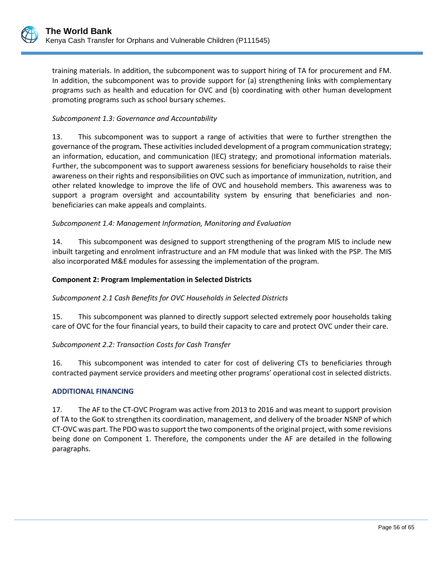training materials. In addition, the subcomponent was to support hiring of TA for procurement and FM. In addition, the subcomponent was to provide support for (a) strengthening links with complementary programs such as health and education for OVC and (b) coordinating with other human development promoting programs such as school bursary schemes.

### *Subcomponent 1.3: Governance and Accountability*

13. This subcomponent was to support a range of activities that were to further strengthen the governance of the program*.* These activitiesincluded development of a program communication strategy; an information, education, and communication (IEC) strategy; and promotional information materials. Further, the subcomponent was to support awareness sessions for beneficiary households to raise their awareness on their rights and responsibilities on OVC such as importance of immunization, nutrition, and other related knowledge to improve the life of OVC and household members. This awareness was to support a program oversight and accountability system by ensuring that beneficiaries and nonbeneficiaries can make appeals and complaints.

### *Subcomponent 1.4: Management Information, Monitoring and Evaluation*

14. This subcomponent was designed to support strengthening of the program MIS to include new inbuilt targeting and enrolment infrastructure and an FM module that was linked with the PSP. The MIS also incorporated M&E modules for assessing the implementation of the program.

### **Component 2: Program Implementation in Selected Districts**

#### *Subcomponent 2.1 Cash Benefits for OVC Households in Selected Districts*

15. This subcomponent was planned to directly support selected extremely poor households taking care of OVC for the four financial years, to build their capacity to care and protect OVC under their care.

#### *Subcomponent 2.2: Transaction Costs for Cash Transfer*

16. This subcomponent was intended to cater for cost of delivering CTs to beneficiaries through contracted payment service providers and meeting other programs' operational cost in selected districts.

#### **ADDITIONAL FINANCING**

17. The AF to the CT-OVC Program was active from 2013 to 2016 and was meant to support provision of TA to the GoK to strengthen its coordination, management, and delivery of the broader NSNP of which CT-OVC was part. The PDO was to support the two components of the original project, with some revisions being done on Component 1. Therefore, the components under the AF are detailed in the following paragraphs.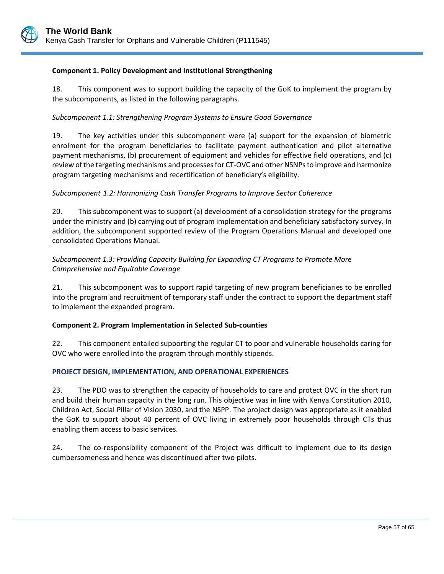### **Component 1. Policy Development and Institutional Strengthening**

18. This component was to support building the capacity of the GoK to implement the program by the subcomponents, as listed in the following paragraphs.

## *Subcomponent 1.1: Strengthening Program Systems to Ensure Good Governance*

19. The key activities under this subcomponent were (a) support for the expansion of biometric enrolment for the program beneficiaries to facilitate payment authentication and pilot alternative payment mechanisms, (b) procurement of equipment and vehicles for effective field operations, and (c) review ofthe targeting mechanisms and processes for CT-OVC and other NSNPsto improve and harmonize program targeting mechanisms and recertification of beneficiary's eligibility.

### *Subcomponent 1.2: Harmonizing Cash Transfer Programs to Improve Sector Coherence*

20. This subcomponent was to support (a) development of a consolidation strategy for the programs under the ministry and (b) carrying out of program implementation and beneficiary satisfactory survey. In addition, the subcomponent supported review of the Program Operations Manual and developed one consolidated Operations Manual.

## *Subcomponent 1.3: Providing Capacity Building for Expanding CT Programs to Promote More Comprehensive and Equitable Coverage*

21. This subcomponent was to support rapid targeting of new program beneficiaries to be enrolled into the program and recruitment of temporary staff under the contract to support the department staff to implement the expanded program.

### **Component 2. Program Implementation in Selected Sub-counties**

22. This component entailed supporting the regular CT to poor and vulnerable households caring for OVC who were enrolled into the program through monthly stipends.

### **PROJECT DESIGN, IMPLEMENTATION, AND OPERATIONAL EXPERIENCES**

23. The PDO was to strengthen the capacity of households to care and protect OVC in the short run and build their human capacity in the long run. This objective was in line with Kenya Constitution 2010, Children Act, Social Pillar of Vision 2030, and the NSPP. The project design was appropriate as it enabled the GoK to support about 40 percent of OVC living in extremely poor households through CTs thus enabling them access to basic services.

24. The co-responsibility component of the Project was difficult to implement due to its design cumbersomeness and hence was discontinued after two pilots.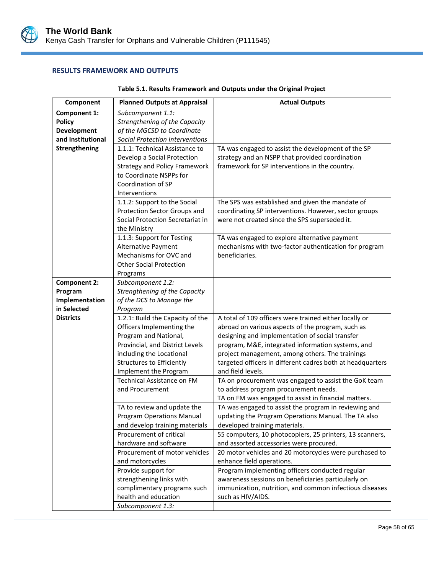

#### **RESULTS FRAMEWORK AND OUTPUTS**

| Component           | <b>Planned Outputs at Appraisal</b>                    | <b>Actual Outputs</b>                                                                                  |
|---------------------|--------------------------------------------------------|--------------------------------------------------------------------------------------------------------|
| <b>Component 1:</b> | Subcomponent 1.1:                                      |                                                                                                        |
| <b>Policy</b>       | Strengthening of the Capacity                          |                                                                                                        |
| Development         | of the MGCSD to Coordinate                             |                                                                                                        |
| and Institutional   | <b>Social Protection Interventions</b>                 |                                                                                                        |
| Strengthening       | 1.1.1: Technical Assistance to                         | TA was engaged to assist the development of the SP                                                     |
|                     | Develop a Social Protection                            | strategy and an NSPP that provided coordination                                                        |
|                     | <b>Strategy and Policy Framework</b>                   | framework for SP interventions in the country.                                                         |
|                     | to Coordinate NSPPs for                                |                                                                                                        |
|                     | Coordination of SP                                     |                                                                                                        |
|                     | Interventions                                          |                                                                                                        |
|                     | 1.1.2: Support to the Social                           | The SPS was established and given the mandate of                                                       |
|                     | Protection Sector Groups and                           | coordinating SP interventions. However, sector groups                                                  |
|                     | Social Protection Secretariat in                       | were not created since the SPS superseded it.                                                          |
|                     | the Ministry<br>1.1.3: Support for Testing             |                                                                                                        |
|                     | Alternative Payment                                    | TA was engaged to explore alternative payment<br>mechanisms with two-factor authentication for program |
|                     | Mechanisms for OVC and                                 | beneficiaries.                                                                                         |
|                     | <b>Other Social Protection</b>                         |                                                                                                        |
|                     | Programs                                               |                                                                                                        |
| <b>Component 2:</b> | Subcomponent 1.2:                                      |                                                                                                        |
| Program             | Strengthening of the Capacity                          |                                                                                                        |
| Implementation      | of the DCS to Manage the                               |                                                                                                        |
| in Selected         | Program                                                |                                                                                                        |
| <b>Districts</b>    | 1.2.1: Build the Capacity of the                       | A total of 109 officers were trained either locally or                                                 |
|                     | Officers Implementing the                              | abroad on various aspects of the program, such as                                                      |
|                     | Program and National,                                  | designing and implementation of social transfer                                                        |
|                     | Provincial, and District Levels                        | program, M&E, integrated information systems, and                                                      |
|                     | including the Locational                               | project management, among others. The trainings                                                        |
|                     | <b>Structures to Efficiently</b>                       | targeted officers in different cadres both at headquarters                                             |
|                     | Implement the Program                                  | and field levels.                                                                                      |
|                     | <b>Technical Assistance on FM</b>                      | TA on procurement was engaged to assist the GoK team                                                   |
|                     | and Procurement                                        | to address program procurement needs.                                                                  |
|                     |                                                        | TA on FM was engaged to assist in financial matters.                                                   |
|                     | TA to review and update the                            | TA was engaged to assist the program in reviewing and                                                  |
|                     | <b>Program Operations Manual</b>                       | updating the Program Operations Manual. The TA also                                                    |
|                     | and develop training materials                         | developed training materials.                                                                          |
|                     | Procurement of critical                                | 55 computers, 10 photocopiers, 25 printers, 13 scanners,                                               |
|                     | hardware and software<br>Procurement of motor vehicles | and assorted accessories were procured.<br>20 motor vehicles and 20 motorcycles were purchased to      |
|                     | and motorcycles                                        | enhance field operations.                                                                              |
|                     | Provide support for                                    | Program implementing officers conducted regular                                                        |
|                     | strengthening links with                               | awareness sessions on beneficiaries particularly on                                                    |
|                     | complimentary programs such                            | immunization, nutrition, and common infectious diseases                                                |
|                     | health and education                                   | such as HIV/AIDS.                                                                                      |
|                     | Subcomponent 1.3:                                      |                                                                                                        |

### **Table 5.1. Results Framework and Outputs under the Original Project**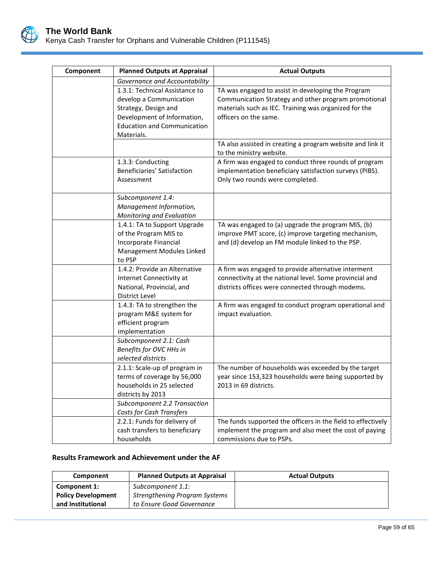

| Component | <b>Planned Outputs at Appraisal</b>                                                                                                                                  | <b>Actual Outputs</b>                                                                                                                                                                        |
|-----------|----------------------------------------------------------------------------------------------------------------------------------------------------------------------|----------------------------------------------------------------------------------------------------------------------------------------------------------------------------------------------|
|           | Governance and Accountability                                                                                                                                        |                                                                                                                                                                                              |
|           | 1.3.1: Technical Assistance to<br>develop a Communication<br>Strategy, Design and<br>Development of Information,<br><b>Education and Communication</b><br>Materials. | TA was engaged to assist in developing the Program<br>Communication Strategy and other program promotional<br>materials such as IEC. Training was organized for the<br>officers on the same. |
|           |                                                                                                                                                                      | TA also assisted in creating a program website and link it<br>to the ministry website.                                                                                                       |
|           | 1.3.3: Conducting<br>Beneficiaries' Satisfaction<br>Assessment                                                                                                       | A firm was engaged to conduct three rounds of program<br>implementation beneficiary satisfaction surveys (PIBS).<br>Only two rounds were completed.                                          |
|           | Subcomponent 1.4:<br>Management Information,<br>Monitoring and Evaluation                                                                                            |                                                                                                                                                                                              |
|           | 1.4.1: TA to Support Upgrade<br>of the Program MIS to<br>Incorporate Financial<br>Management Modules Linked<br>to PSP                                                | TA was engaged to (a) upgrade the program MIS, (b)<br>improve PMT score, (c) improve targeting mechanism,<br>and (d) develop an FM module linked to the PSP.                                 |
|           | 1.4.2: Provide an Alternative<br>Internet Connectivity at<br>National, Provincial, and<br>District Level                                                             | A firm was engaged to provide alternative interment<br>connectivity at the national level. Some provincial and<br>districts offices were connected through modems.                           |
|           | 1.4.3: TA to strengthen the<br>program M&E system for<br>efficient program<br>implementation                                                                         | A firm was engaged to conduct program operational and<br>impact evaluation.                                                                                                                  |
|           | Subcomponent 2.1: Cash<br>Benefits for OVC HHs in<br>selected districts                                                                                              |                                                                                                                                                                                              |
|           | 2.1.1: Scale-up of program in<br>terms of coverage by 56,000<br>households in 25 selected<br>districts by 2013                                                       | The number of households was exceeded by the target<br>year since 153,323 households were being supported by<br>2013 in 69 districts.                                                        |
|           | Subcomponent 2.2 Transaction<br>Costs for Cash Transfers                                                                                                             |                                                                                                                                                                                              |
|           | 2.2.1: Funds for delivery of<br>cash transfers to beneficiary<br>households                                                                                          | The funds supported the officers in the field to effectively<br>implement the program and also meet the cost of paying<br>commissions due to PSPs.                                           |

### **Results Framework and Achievement under the AF**

| Component                 | <b>Planned Outputs at Appraisal</b>  | <b>Actual Outputs</b> |
|---------------------------|--------------------------------------|-----------------------|
| Component 1:              | Subcomponent 1.1:                    |                       |
| <b>Policy Development</b> | <b>Strengthening Program Systems</b> |                       |
| and Institutional         | to Ensure Good Governance            |                       |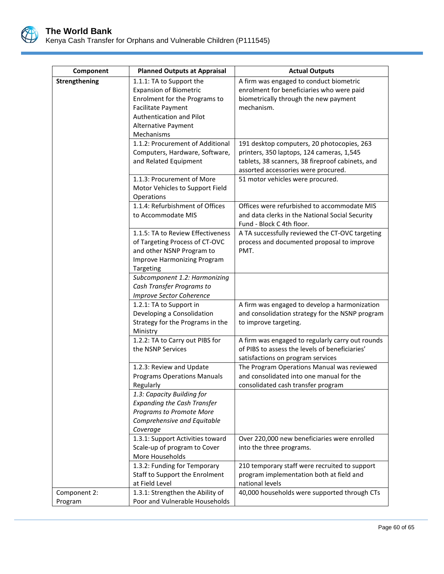

| Component     | <b>Planned Outputs at Appraisal</b>                            | <b>Actual Outputs</b>                                                                     |
|---------------|----------------------------------------------------------------|-------------------------------------------------------------------------------------------|
| Strengthening | 1.1.1: TA to Support the                                       | A firm was engaged to conduct biometric                                                   |
|               | <b>Expansion of Biometric</b>                                  | enrolment for beneficiaries who were paid                                                 |
|               | Enrolment for the Programs to                                  | biometrically through the new payment                                                     |
|               | <b>Facilitate Payment</b>                                      | mechanism.                                                                                |
|               | Authentication and Pilot                                       |                                                                                           |
|               | Alternative Payment                                            |                                                                                           |
|               | Mechanisms                                                     |                                                                                           |
|               | 1.1.2: Procurement of Additional                               | 191 desktop computers, 20 photocopies, 263                                                |
|               | Computers, Hardware, Software,                                 | printers, 350 laptops, 124 cameras, 1,545                                                 |
|               | and Related Equipment                                          | tablets, 38 scanners, 38 fireproof cabinets, and                                          |
|               |                                                                | assorted accessories were procured.                                                       |
|               | 1.1.3: Procurement of More                                     | 51 motor vehicles were procured.                                                          |
|               | Motor Vehicles to Support Field<br>Operations                  |                                                                                           |
|               | 1.1.4: Refurbishment of Offices                                | Offices were refurbished to accommodate MIS                                               |
|               | to Accommodate MIS                                             | and data clerks in the National Social Security                                           |
|               |                                                                | Fund - Block C 4th floor.                                                                 |
|               | 1.1.5: TA to Review Effectiveness                              | A TA successfully reviewed the CT-OVC targeting                                           |
|               | of Targeting Process of CT-OVC                                 | process and documented proposal to improve                                                |
|               | and other NSNP Program to                                      | PMT.                                                                                      |
|               | Improve Harmonizing Program                                    |                                                                                           |
|               | Targeting                                                      |                                                                                           |
|               | Subcomponent 1.2: Harmonizing                                  |                                                                                           |
|               | Cash Transfer Programs to                                      |                                                                                           |
|               | <b>Improve Sector Coherence</b>                                |                                                                                           |
|               | 1.2.1: TA to Support in                                        | A firm was engaged to develop a harmonization                                             |
|               | Developing a Consolidation<br>Strategy for the Programs in the | and consolidation strategy for the NSNP program<br>to improve targeting.                  |
|               | Ministry                                                       |                                                                                           |
|               | 1.2.2: TA to Carry out PIBS for                                | A firm was engaged to regularly carry out rounds                                          |
|               | the NSNP Services                                              | of PIBS to assess the levels of beneficiaries'                                            |
|               |                                                                | satisfactions on program services                                                         |
|               | 1.2.3: Review and Update                                       | The Program Operations Manual was reviewed                                                |
|               | <b>Programs Operations Manuals</b>                             | and consolidated into one manual for the                                                  |
|               | Regularly                                                      | consolidated cash transfer program                                                        |
|               | 1.3: Capacity Building for                                     |                                                                                           |
|               | <b>Expanding the Cash Transfer</b>                             |                                                                                           |
|               | Programs to Promote More                                       |                                                                                           |
|               | Comprehensive and Equitable                                    |                                                                                           |
|               | Coverage                                                       |                                                                                           |
|               | 1.3.1: Support Activities toward                               | Over 220,000 new beneficiaries were enrolled                                              |
|               | Scale-up of program to Cover<br>More Households                | into the three programs.                                                                  |
|               | 1.3.2: Funding for Temporary                                   |                                                                                           |
|               | Staff to Support the Enrolment                                 | 210 temporary staff were recruited to support<br>program implementation both at field and |
|               | at Field Level                                                 | national levels                                                                           |
| Component 2:  | 1.3.1: Strengthen the Ability of                               | 40,000 households were supported through CTs                                              |
| Program       | Poor and Vulnerable Households                                 |                                                                                           |
|               |                                                                |                                                                                           |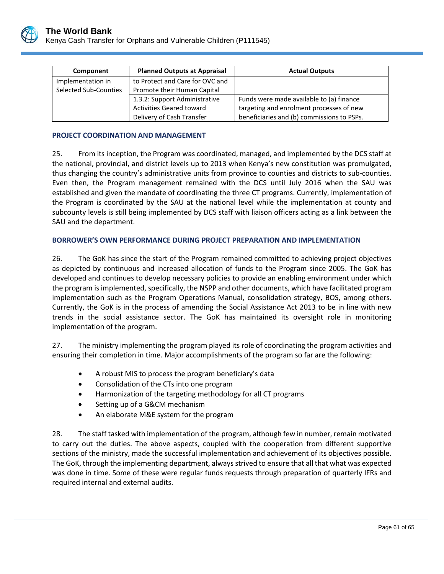

| Component             | <b>Planned Outputs at Appraisal</b> | <b>Actual Outputs</b>                      |
|-----------------------|-------------------------------------|--------------------------------------------|
| Implementation in     | to Protect and Care for OVC and     |                                            |
| Selected Sub-Counties | Promote their Human Capital         |                                            |
|                       | 1.3.2: Support Administrative       | Funds were made available to (a) finance   |
|                       | <b>Activities Geared toward</b>     | targeting and enrolment processes of new   |
|                       | Delivery of Cash Transfer           | beneficiaries and (b) commissions to PSPs. |

### **PROJECT COORDINATION AND MANAGEMENT**

25. From its inception, the Program was coordinated, managed, and implemented by the DCS staff at the national, provincial, and district levels up to 2013 when Kenya's new constitution was promulgated, thus changing the country's administrative units from province to counties and districts to sub-counties. Even then, the Program management remained with the DCS until July 2016 when the SAU was established and given the mandate of coordinating the three CT programs. Currently, implementation of the Program is coordinated by the SAU at the national level while the implementation at county and subcounty levels is still being implemented by DCS staff with liaison officers acting as a link between the SAU and the department.

### **BORROWER'S OWN PERFORMANCE DURING PROJECT PREPARATION AND IMPLEMENTATION**

26. The GoK has since the start of the Program remained committed to achieving project objectives as depicted by continuous and increased allocation of funds to the Program since 2005. The GoK has developed and continues to develop necessary policies to provide an enabling environment under which the program is implemented, specifically, the NSPP and other documents, which have facilitated program implementation such as the Program Operations Manual, consolidation strategy, BOS, among others. Currently, the GoK is in the process of amending the Social Assistance Act 2013 to be in line with new trends in the social assistance sector. The GoK has maintained its oversight role in monitoring implementation of the program.

27. The ministry implementing the program played its role of coordinating the program activities and ensuring their completion in time. Major accomplishments of the program so far are the following:

- A robust MIS to process the program beneficiary's data
- Consolidation of the CTs into one program
- Harmonization of the targeting methodology for all CT programs
- Setting up of a G&CM mechanism
- An elaborate M&E system for the program

28. The staff tasked with implementation of the program, although few in number, remain motivated to carry out the duties. The above aspects, coupled with the cooperation from different supportive sections of the ministry, made the successful implementation and achievement of its objectives possible. The GoK, through the implementing department, always strived to ensure that all that what was expected was done in time. Some of these were regular funds requests through preparation of quarterly IFRs and required internal and external audits.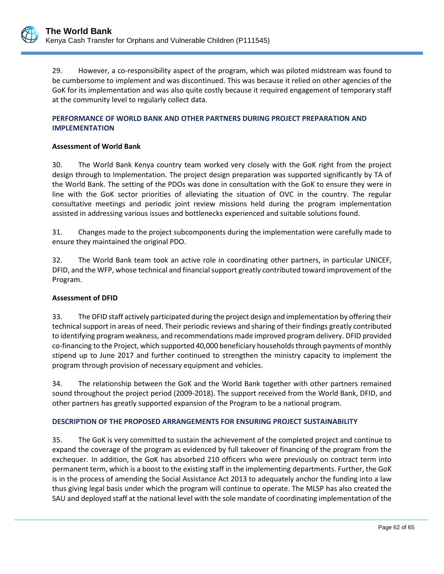

29. However, a co-responsibility aspect of the program, which was piloted midstream was found to be cumbersome to implement and was discontinued. This was because it relied on other agencies of the GoK for its implementation and was also quite costly because it required engagement of temporary staff at the community level to regularly collect data.

### **PERFORMANCE OF WORLD BANK AND OTHER PARTNERS DURING PROJECT PREPARATION AND IMPLEMENTATION**

### **Assessment of World Bank**

30. The World Bank Kenya country team worked very closely with the GoK right from the project design through to Implementation. The project design preparation was supported significantly by TA of the World Bank. The setting of the PDOs was done in consultation with the GoK to ensure they were in line with the GoK sector priorities of alleviating the situation of OVC in the country. The regular consultative meetings and periodic joint review missions held during the program implementation assisted in addressing various issues and bottlenecks experienced and suitable solutions found.

31. Changes made to the project subcomponents during the implementation were carefully made to ensure they maintained the original PDO.

32. The World Bank team took an active role in coordinating other partners, in particular UNICEF, DFID, and the WFP, whose technical and financial support greatly contributed toward improvement of the Program.

### **Assessment of DFID**

33. The DFID staff actively participated during the project design and implementation by offering their technical support in areas of need. Their periodic reviews and sharing of their findings greatly contributed to identifying program weakness, and recommendations made improved program delivery. DFID provided co-financing to the Project, which supported 40,000 beneficiary households through payments of monthly stipend up to June 2017 and further continued to strengthen the ministry capacity to implement the program through provision of necessary equipment and vehicles.

34. The relationship between the GoK and the World Bank together with other partners remained sound throughout the project period (2009-2018). The support received from the World Bank, DFID, and other partners has greatly supported expansion of the Program to be a national program.

### **DESCRIPTION OF THE PROPOSED ARRANGEMENTS FOR ENSURING PROJECT SUSTAINABILITY**

35. The GoK is very committed to sustain the achievement of the completed project and continue to expand the coverage of the program as evidenced by full takeover of financing of the program from the exchequer. In addition, the GoK has absorbed 210 officers who were previously on contract term into permanent term, which is a boost to the existing staff in the implementing departments. Further, the GoK is in the process of amending the Social Assistance Act 2013 to adequately anchor the funding into a law thus giving legal basis under which the program will continue to operate. The MLSP has also created the SAU and deployed staff at the national level with the sole mandate of coordinating implementation of the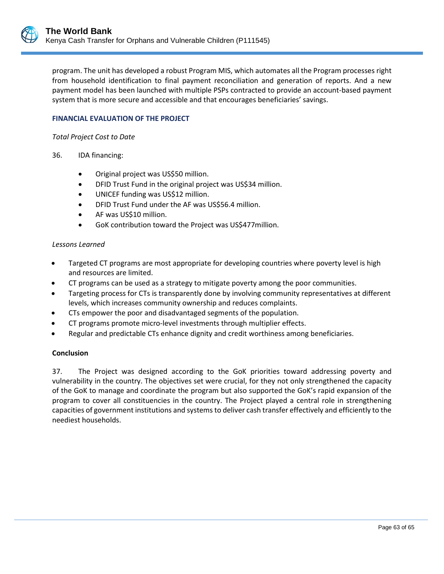program. The unit has developed a robust Program MIS, which automates all the Program processes right from household identification to final payment reconciliation and generation of reports. And a new payment model has been launched with multiple PSPs contracted to provide an account-based payment system that is more secure and accessible and that encourages beneficiaries' savings.

### **FINANCIAL EVALUATION OF THE PROJECT**

*Total Project Cost to Date*

- 36. IDA financing:
	- Original project was US\$50 million.
	- DFID Trust Fund in the original project was US\$34 million.
	- UNICEF funding was US\$12 million.
	- DFID Trust Fund under the AF was US\$56.4 million.
	- AF was US\$10 million.
	- GoK contribution toward the Project was US\$477million.

#### *Lessons Learned*

- Targeted CT programs are most appropriate for developing countries where poverty level is high and resources are limited.
- CT programs can be used as a strategy to mitigate poverty among the poor communities.
- Targeting process for CTs is transparently done by involving community representatives at different levels, which increases community ownership and reduces complaints.
- CTs empower the poor and disadvantaged segments of the population.
- CT programs promote micro-level investments through multiplier effects.
- Regular and predictable CTs enhance dignity and credit worthiness among beneficiaries.

#### **Conclusion**

37. The Project was designed according to the GoK priorities toward addressing poverty and vulnerability in the country. The objectives set were crucial, for they not only strengthened the capacity of the GoK to manage and coordinate the program but also supported the GoK's rapid expansion of the program to cover all constituencies in the country. The Project played a central role in strengthening capacities of government institutions and systems to deliver cash transfer effectively and efficiently to the neediest households.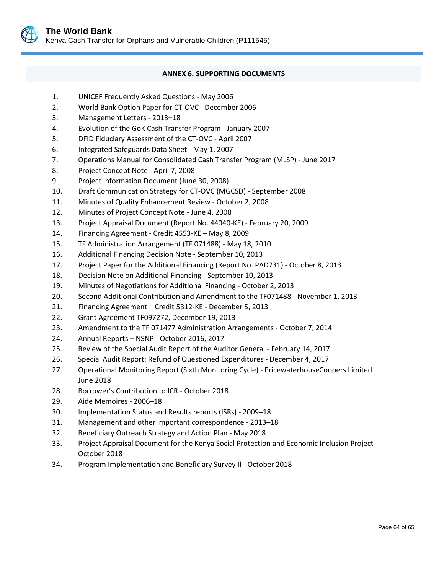

### **ANNEX 6. SUPPORTING DOCUMENTS**

- <span id="page-67-0"></span>1. UNICEF Frequently Asked Questions - May 2006
- 2. World Bank Option Paper for CT-OVC December 2006
- 3. Management Letters 2013–18
- 4. Evolution of the GoK Cash Transfer Program January 2007
- 5. DFID Fiduciary Assessment of the CT-OVC April 2007
- 6. Integrated Safeguards Data Sheet May 1, 2007
- 7. Operations Manual for Consolidated Cash Transfer Program (MLSP) June 2017
- 8. Project Concept Note April 7, 2008
- 9. Project Information Document (June 30, 2008)
- 10. Draft Communication Strategy for CT-OVC (MGCSD) September 2008
- 11. Minutes of Quality Enhancement Review October 2, 2008
- 12. Minutes of Project Concept Note June 4, 2008
- 13. Project Appraisal Document (Report No. 44040-KE) February 20, 2009
- 14. Financing Agreement Credit 4553-KE May 8, 2009
- 15. TF Administration Arrangement (TF 071488) May 18, 2010
- 16. Additional Financing Decision Note September 10, 2013
- 17. Project Paper for the Additional Financing (Report No. PAD731) October 8, 2013
- 18. Decision Note on Additional Financing September 10, 2013
- 19. Minutes of Negotiations for Additional Financing October 2, 2013
- 20. Second Additional Contribution and Amendment to the TF071488 November 1, 2013
- 21. Financing Agreement Credit 5312-KE December 5, 2013
- 22. Grant Agreement TF097272, December 19, 2013
- 23. Amendment to the TF 071477 Administration Arrangements October 7, 2014
- 24. Annual Reports NSNP October 2016, 2017
- 25. Review of the Special Audit Report of the Auditor General February 14, 2017
- 26. Special Audit Report: Refund of Questioned Expenditures December 4, 2017
- 27. Operational Monitoring Report (Sixth Monitoring Cycle) PricewaterhouseCoopers Limited -June 2018
- 28. Borrower's Contribution to ICR October 2018
- 29. Aide Memoires 2006–18
- 30. Implementation Status and Results reports (ISRs) 2009–18
- 31. Management and other important correspondence 2013–18
- 32. Beneficiary Outreach Strategy and Action Plan May 2018
- 33. Project Appraisal Document for the Kenya Social Protection and Economic Inclusion Project October 2018
- 34. Program Implementation and Beneficiary Survey II October 2018